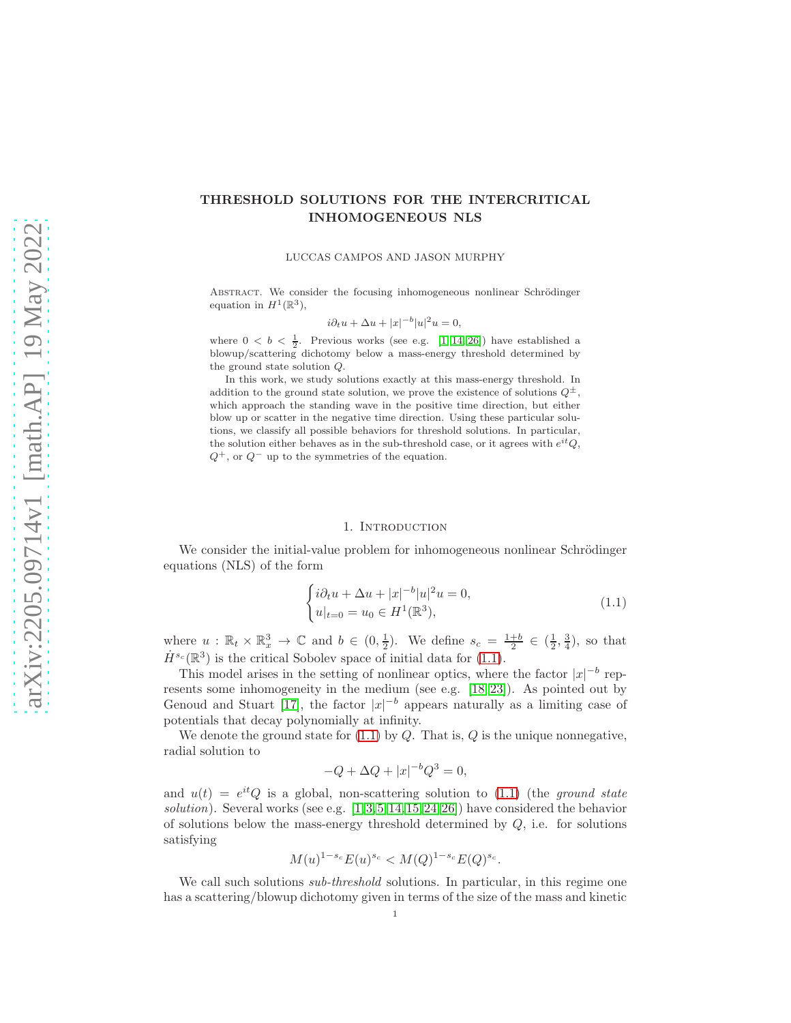# THRESHOLD SOLUTIONS FOR THE INTERCRITICAL INHOMOGENEOUS NLS

LUCCAS CAMPOS AND JASON MURPHY

ABSTRACT. We consider the focusing inhomogeneous nonlinear Schrödinger equation in  $H^1(\mathbb{R}^3)$ ,

$$
i\partial_t u + \Delta u + |x|^{-b} |u|^2 u = 0,
$$

where  $0 < b < \frac{1}{2}$ . Previous works (see e.g. [\[1,](#page-32-0) [14,](#page-32-1) [26\]](#page-33-0)) have established a blowup/scattering dichotomy below a mass-energy threshold determined by the ground state solution Q.

In this work, we study solutions exactly at this mass-energy threshold. In addition to the ground state solution, we prove the existence of solutions  $Q^{\pm}$ , which approach the standing wave in the positive time direction, but either blow up or scatter in the negative time direction. Using these particular solutions, we classify all possible behaviors for threshold solutions. In particular, the solution either behaves as in the sub-threshold case, or it agrees with  $e^{it}Q$ ,  $Q^+$ , or  $Q^-$  up to the symmetries of the equation.

#### <span id="page-0-0"></span>1. INTRODUCTION

We consider the initial-value problem for inhomogeneous nonlinear Schrödinger equations (NLS) of the form

$$
\begin{cases} i\partial_t u + \Delta u + |x|^{-b} |u|^2 u = 0, \\ u|_{t=0} = u_0 \in H^1(\mathbb{R}^3), \end{cases}
$$
(1.1)

where  $u : \mathbb{R}_t \times \mathbb{R}_x^3 \to \mathbb{C}$  and  $b \in (0, \frac{1}{2})$ . We define  $s_c = \frac{1+b}{2} \in (\frac{1}{2}, \frac{3}{4})$ , so that  $\dot{H}^{s_c}(\mathbb{R}^3)$  is the critical Sobolev space of initial data for [\(1.1\)](#page-0-0).

This model arises in the setting of nonlinear optics, where the factor  $|x|^{-b}$  represents some inhomogeneity in the medium (see e.g. [\[18,](#page-33-1) [23\]](#page-33-2)). As pointed out by Genoud and Stuart [\[17\]](#page-33-3), the factor  $|x|^{-b}$  appears naturally as a limiting case of potentials that decay polynomially at infinity.

We denote the ground state for  $(1.1)$  by  $Q$ . That is,  $Q$  is the unique nonnegative, radial solution to

$$
-Q + \Delta Q + |x|^{-b} Q^3 = 0,
$$

and  $u(t) = e^{it}Q$  is a global, non-scattering solution to [\(1.1\)](#page-0-0) (the ground state solution). Several works (see e.g. [\[1,](#page-32-0)[3,](#page-32-2)[5,](#page-32-3)[14,](#page-32-1)[15,](#page-33-4)[24,](#page-33-5)[26\]](#page-33-0)) have considered the behavior of solutions below the mass-energy threshold determined by  $Q$ , i.e. for solutions satisfying

$$
M(u)^{1-s_c} E(u)^{s_c} < M(Q)^{1-s_c} E(Q)^{s_c}.
$$

We call such solutions *sub-threshold* solutions. In particular, in this regime one has a scattering/blowup dichotomy given in terms of the size of the mass and kinetic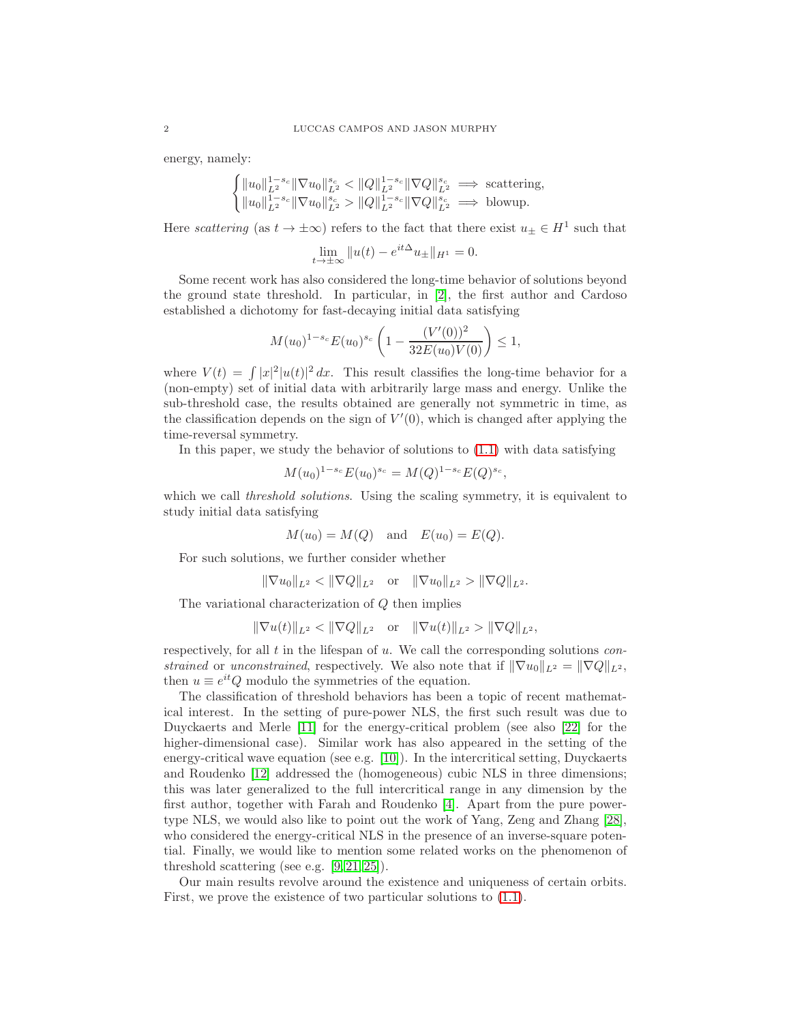energy, namely:

$$
\begin{cases} ||u_0||_{L^2}^{1-s_c} ||\nabla u_0||_{L^2}^{s_c} < ||Q||_{L^2}^{1-s_c} ||\nabla Q||_{L^2}^{s_c} \implies \text{scattering,} \\ ||u_0||_{L^2}^{1-s_c} ||\nabla u_0||_{L^2}^{s_c} > ||Q||_{L^2}^{1-s_c} ||\nabla Q||_{L^2}^{s_c} \implies \text{blowup.} \end{cases}
$$

Here scattering (as  $t \to \pm \infty$ ) refers to the fact that there exist  $u_{\pm} \in H^1$  such that

$$
\lim_{t \to \pm \infty} \|u(t) - e^{it\Delta} u_{\pm}\|_{H^1} = 0.
$$

Some recent work has also considered the long-time behavior of solutions beyond the ground state threshold. In particular, in [\[2\]](#page-32-4), the first author and Cardoso established a dichotomy for fast-decaying initial data satisfying

$$
M(u_0)^{1-s_c} E(u_0)^{s_c} \left(1 - \frac{(V'(0))^2}{32E(u_0)V(0)}\right) \le 1,
$$

where  $V(t) = \int |x|^2 |u(t)|^2 dx$ . This result classifies the long-time behavior for a (non-empty) set of initial data with arbitrarily large mass and energy. Unlike the sub-threshold case, the results obtained are generally not symmetric in time, as the classification depends on the sign of  $V'(0)$ , which is changed after applying the time-reversal symmetry.

In this paper, we study the behavior of solutions to  $(1.1)$  with data satisfying

$$
M(u_0)^{1-s_c} E(u_0)^{s_c} = M(Q)^{1-s_c} E(Q)^{s_c},
$$

which we call *threshold solutions*. Using the scaling symmetry, it is equivalent to study initial data satisfying

$$
M(u_0) = M(Q) \quad \text{and} \quad E(u_0) = E(Q).
$$

For such solutions, we further consider whether

$$
\|\nabla u_0\|_{L^2} < \|\nabla Q\|_{L^2} \quad \text{or} \quad \|\nabla u_0\|_{L^2} > \|\nabla Q\|_{L^2}.
$$

The variational characterization of Q then implies

$$
\|\nabla u(t)\|_{L^2} < \|\nabla Q\|_{L^2} \quad \text{or} \quad \|\nabla u(t)\|_{L^2} > \|\nabla Q\|_{L^2},
$$

respectively, for all  $t$  in the lifespan of  $u$ . We call the corresponding solutions constrained or unconstrained, respectively. We also note that if  $\|\nabla u_0\|_{L^2} = \|\nabla Q\|_{L^2}$ , then  $u \equiv e^{it}Q$  modulo the symmetries of the equation.

The classification of threshold behaviors has been a topic of recent mathematical interest. In the setting of pure-power NLS, the first such result was due to Duyckaerts and Merle [\[11\]](#page-32-5) for the energy-critical problem (see also [\[22\]](#page-33-6) for the higher-dimensional case). Similar work has also appeared in the setting of the energy-critical wave equation (see e.g. [\[10\]](#page-32-6)). In the intercritical setting, Duyckaerts and Roudenko [\[12\]](#page-32-7) addressed the (homogeneous) cubic NLS in three dimensions; this was later generalized to the full intercritical range in any dimension by the first author, together with Farah and Roudenko [\[4\]](#page-32-8). Apart from the pure powertype NLS, we would also like to point out the work of Yang, Zeng and Zhang [\[28\]](#page-33-7), who considered the energy-critical NLS in the presence of an inverse-square potential. Finally, we would like to mention some related works on the phenomenon of threshold scattering (see e.g. [\[9,](#page-32-9) [21,](#page-33-8) [25\]](#page-33-9)).

Our main results revolve around the existence and uniqueness of certain orbits. First, we prove the existence of two particular solutions to [\(1.1\)](#page-0-0).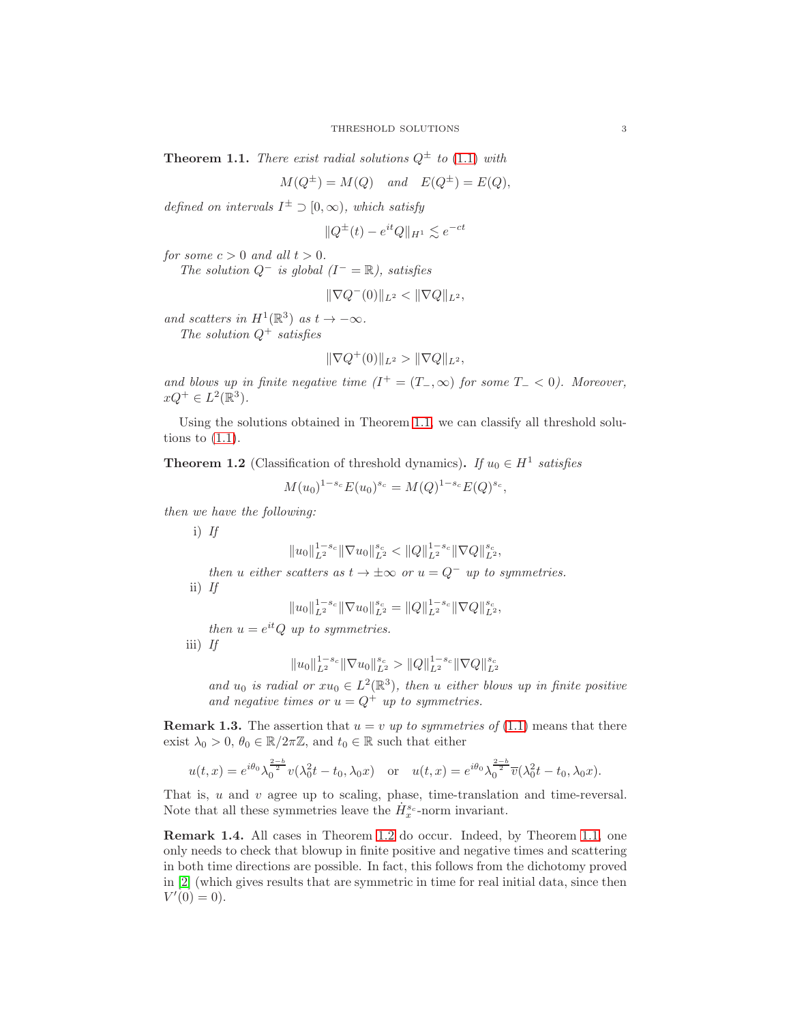<span id="page-2-0"></span>**Theorem 1.1.** There exist radial solutions  $Q^{\pm}$  to [\(1.1\)](#page-0-0) with

$$
M(Q^{\pm}) = M(Q) \quad and \quad E(Q^{\pm}) = E(Q),
$$

defined on intervals  $I^{\pm} \supset [0,\infty)$ , which satisfy

$$
||Q^{\pm}(t) - e^{it}Q||_{H^1} \lesssim e^{-ct}
$$

for some  $c > 0$  and all  $t > 0$ .

The solution  $Q^-$  is global  $(I^- = \mathbb{R})$ , satisfies

$$
\|\nabla Q^-(0)\|_{L^2} < \|\nabla Q\|_{L^2},
$$

and scatters in  $H^1(\mathbb{R}^3)$  as  $t \to -\infty$ . The solution  $Q^+$  satisfies

$$
\|\nabla Q^+(0)\|_{L^2} > \|\nabla Q\|_{L^2},
$$

and blows up in finite negative time  $(I^+ = (T_-,\infty))$  for some  $T_- < 0$ ). Moreover,  $xQ^+ \in L^2(\mathbb{R}^3).$ 

Using the solutions obtained in Theorem [1.1,](#page-2-0) we can classify all threshold solutions to  $(1.1)$ .

<span id="page-2-1"></span>**Theorem 1.2** (Classification of threshold dynamics). If  $u_0 \in H^1$  satisfies

$$
M(u_0)^{1-s_c} E(u_0)^{s_c} = M(Q)^{1-s_c} E(Q)^{s_c},
$$

then we have the following:

i)  $If$ 

$$
||u_0||_{L^2}^{1-s_c} ||\nabla u_0||_{L^2}^{s_c} < ||Q||_{L^2}^{1-s_c} ||\nabla Q||_{L^2}^{s_c},
$$

then u either scatters as  $t \to \pm \infty$  or  $u = Q^-$  up to symmetries. ii)  $If$ 

$$
||u_0||_{L^2}^{1-s_c} ||\nabla u_0||_{L^2}^{s_c} = ||Q||_{L^2}^{1-s_c} ||\nabla Q||_{L^2}^{s_c},
$$

then  $u = e^{it}Q$  up to symmetries.

iii) If

$$
||u_0||_{L^2}^{1-s_c} ||\nabla u_0||_{L^2}^{s_c} > ||Q||_{L^2}^{1-s_c} ||\nabla Q||_{L^2}^{s_c}
$$

and  $u_0$  is radial or  $xu_0 \in L^2(\mathbb{R}^3)$ , then u either blows up in finite positive and negative times or  $u = Q^+$  up to symmetries.

**Remark 1.3.** The assertion that  $u = v$  up to symmetries of [\(1.1\)](#page-0-0) means that there exist  $\lambda_0 > 0$ ,  $\theta_0 \in \mathbb{R}/2\pi\mathbb{Z}$ , and  $t_0 \in \mathbb{R}$  such that either

$$
u(t,x) = e^{i\theta_0} \lambda_0^{\frac{2-b}{2}} v(\lambda_0^2 t - t_0, \lambda_0 x)
$$
 or 
$$
u(t,x) = e^{i\theta_0} \lambda_0^{\frac{2-b}{2}} \overline{v}(\lambda_0^2 t - t_0, \lambda_0 x).
$$

That is, u and v agree up to scaling, phase, time-translation and time-reversal. Note that all these symmetries leave the  $\dot{H}_{x}^{s_c}$ -norm invariant.

Remark 1.4. All cases in Theorem [1.2](#page-2-1) do occur. Indeed, by Theorem [1.1,](#page-2-0) one only needs to check that blowup in finite positive and negative times and scattering in both time directions are possible. In fact, this follows from the dichotomy proved in [\[2\]](#page-32-4) (which gives results that are symmetric in time for real initial data, since then  $V'(0) = 0$ .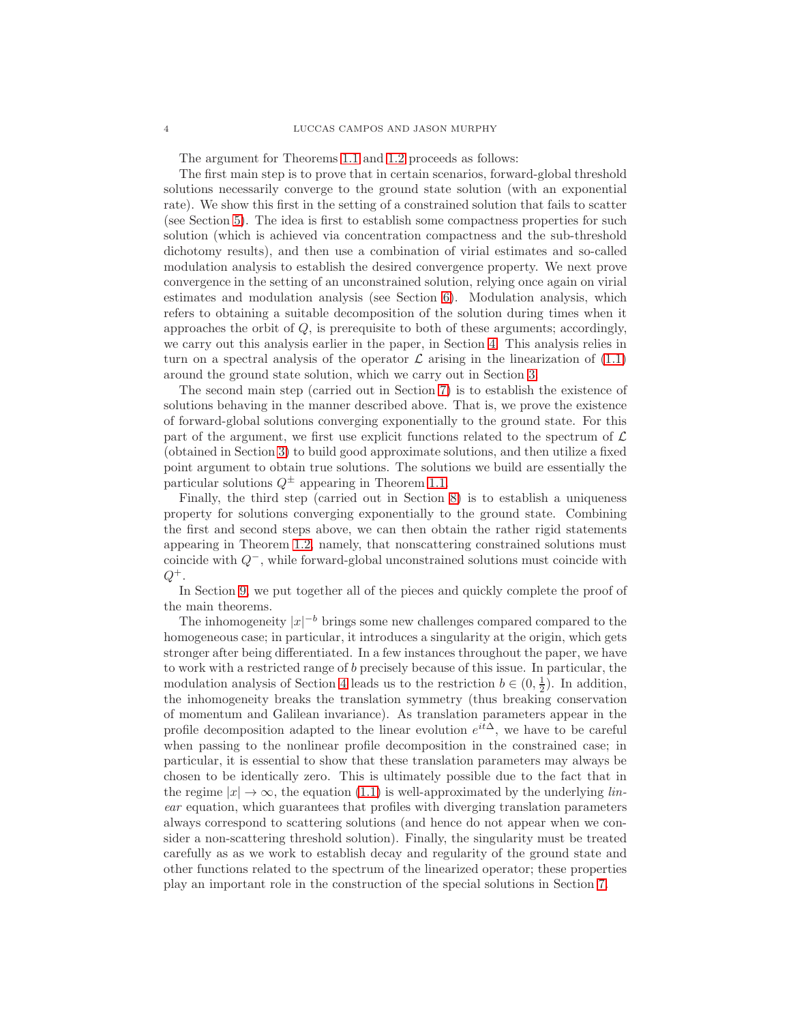The argument for Theorems [1.1](#page-2-0) and [1.2](#page-2-1) proceeds as follows:

The first main step is to prove that in certain scenarios, forward-global threshold solutions necessarily converge to the ground state solution (with an exponential rate). We show this first in the setting of a constrained solution that fails to scatter (see Section [5\)](#page-15-0). The idea is first to establish some compactness properties for such solution (which is achieved via concentration compactness and the sub-threshold dichotomy results), and then use a combination of virial estimates and so-called modulation analysis to establish the desired convergence property. We next prove convergence in the setting of an unconstrained solution, relying once again on virial estimates and modulation analysis (see Section [6\)](#page-20-0). Modulation analysis, which refers to obtaining a suitable decomposition of the solution during times when it approaches the orbit of  $Q$ , is prerequisite to both of these arguments; accordingly, we carry out this analysis earlier in the paper, in Section [4.](#page-10-0) This analysis relies in turn on a spectral analysis of the operator  $\mathcal L$  arising in the linearization of  $(1.1)$ around the ground state solution, which we carry out in Section [3.](#page-6-0)

The second main step (carried out in Section [7\)](#page-23-0) is to establish the existence of solutions behaving in the manner described above. That is, we prove the existence of forward-global solutions converging exponentially to the ground state. For this part of the argument, we first use explicit functions related to the spectrum of  $\mathcal L$ (obtained in Section [3\)](#page-6-0) to build good approximate solutions, and then utilize a fixed point argument to obtain true solutions. The solutions we build are essentially the particular solutions  $Q^{\pm}$  appearing in Theorem [1.1.](#page-2-0)

Finally, the third step (carried out in Section [8\)](#page-28-0) is to establish a uniqueness property for solutions converging exponentially to the ground state. Combining the first and second steps above, we can then obtain the rather rigid statements appearing in Theorem [1.2,](#page-2-1) namely, that nonscattering constrained solutions must coincide with Q<sup>−</sup>, while forward-global unconstrained solutions must coincide with  $Q^+$ .

In Section [9,](#page-31-0) we put together all of the pieces and quickly complete the proof of the main theorems.

The inhomogeneity  $|x|^{-b}$  brings some new challenges compared compared to the homogeneous case; in particular, it introduces a singularity at the origin, which gets stronger after being differentiated. In a few instances throughout the paper, we have to work with a restricted range of b precisely because of this issue. In particular, the modulation analysis of Section [4](#page-10-0) leads us to the restriction  $b \in (0, \frac{1}{2})$ . In addition, the inhomogeneity breaks the translation symmetry (thus breaking conservation of momentum and Galilean invariance). As translation parameters appear in the profile decomposition adapted to the linear evolution  $e^{it\Delta}$ , we have to be careful when passing to the nonlinear profile decomposition in the constrained case; in particular, it is essential to show that these translation parameters may always be chosen to be identically zero. This is ultimately possible due to the fact that in the regime  $|x| \to \infty$ , the equation [\(1.1\)](#page-0-0) is well-approximated by the underlying linear equation, which guarantees that profiles with diverging translation parameters always correspond to scattering solutions (and hence do not appear when we consider a non-scattering threshold solution). Finally, the singularity must be treated carefully as as we work to establish decay and regularity of the ground state and other functions related to the spectrum of the linearized operator; these properties play an important role in the construction of the special solutions in Section [7.](#page-23-0)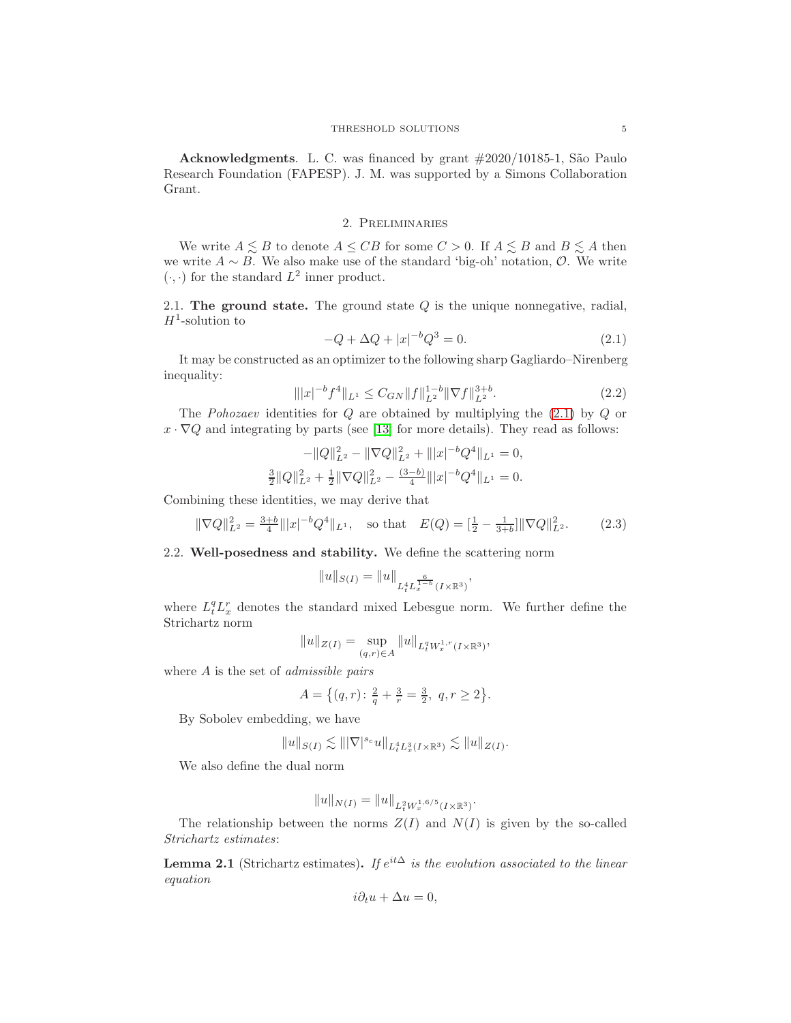Acknowledgments. L. C. was financed by grant  $\#2020/10185$ -1, São Paulo Research Foundation (FAPESP). J. M. was supported by a Simons Collaboration Grant.

## 2. Preliminaries

We write  $A \leq B$  to denote  $A \leq CB$  for some  $C > 0$ . If  $A \leq B$  and  $B \leq A$  then we write  $A \sim B$ . We also make use of the standard 'big-oh' notation,  $\mathcal{O}$ . We write  $(\cdot, \cdot)$  for the standard  $L^2$  inner product.

2.1. The ground state. The ground state  $Q$  is the unique nonnegative, radial,  $H^1$ -solution to

<span id="page-4-1"></span><span id="page-4-0"></span>
$$
-Q + \Delta Q + |x|^{-b}Q^3 = 0.
$$
\n(2.1)

It may be constructed as an optimizer to the following sharp Gagliardo–Nirenberg inequality:

$$
\| |x|^{-b} f^4 \|_{L^1} \le C_{GN} \| f \|_{L^2}^{1-b} \| \nabla f \|_{L^2}^{3+b}.
$$
\n(2.2)

The *Pohozaev* identities for  $Q$  are obtained by multiplying the  $(2.1)$  by  $Q$  or  $x \cdot \nabla Q$  and integrating by parts (see [\[13\]](#page-32-10) for more details). They read as follows:

$$
-\|Q\|_{L^2}^2 - \|\nabla Q\|_{L^2}^2 + \| |x|^{-b} Q^4 \|_{L^1} = 0,
$$
  

$$
\frac{3}{2} \|Q\|_{L^2}^2 + \frac{1}{2} \|\nabla Q\|_{L^2}^2 - \frac{(3-b)}{4} \| |x|^{-b} Q^4 \|_{L^1} = 0.
$$

Combining these identities, we may derive that

$$
\|\nabla Q\|_{L^2}^2 = \frac{3+b}{4} \| |x|^{-b} Q^4 \|_{L^1}, \quad \text{so that} \quad E(Q) = \left[\frac{1}{2} - \frac{1}{3+b}\right] \|\nabla Q\|_{L^2}^2. \tag{2.3}
$$

## <span id="page-4-3"></span>2.2. Well-posedness and stability. We define the scattering norm

<span id="page-4-2"></span>
$$
||u||_{S(I)} = ||u||_{L_t^4 L_x^{\frac{6}{1-b}}(I \times \mathbb{R}^3)},
$$

where  $L_t^q L_x^r$  denotes the standard mixed Lebesgue norm. We further define the Strichartz norm

$$
||u||_{Z(I)} = \sup_{(q,r)\in A} ||u||_{L_t^q W_x^{1,r}(I\times\mathbb{R}^3)},
$$

where A is the set of *admissible pairs* 

$$
A = \{(q, r): \frac{2}{q} + \frac{3}{r} = \frac{3}{2}, q, r \ge 2\}.
$$

By Sobolev embedding, we have

$$
||u||_{S(I)} \lesssim |||\nabla|^{s_c} u||_{L_t^4 L_x^3(I \times \mathbb{R}^3)} \lesssim ||u||_{Z(I)}.
$$

We also define the dual norm

$$
||u||_{N(I)} = ||u||_{L^2_t W^{1,6/5}_x(I \times \mathbb{R}^3)}.
$$

The relationship between the norms  $Z(I)$  and  $N(I)$  is given by the so-called Strichartz estimates:

**Lemma 2.1** (Strichartz estimates). If  $e^{it\Delta}$  is the evolution associated to the linear equation

$$
i\partial_t u + \Delta u = 0,
$$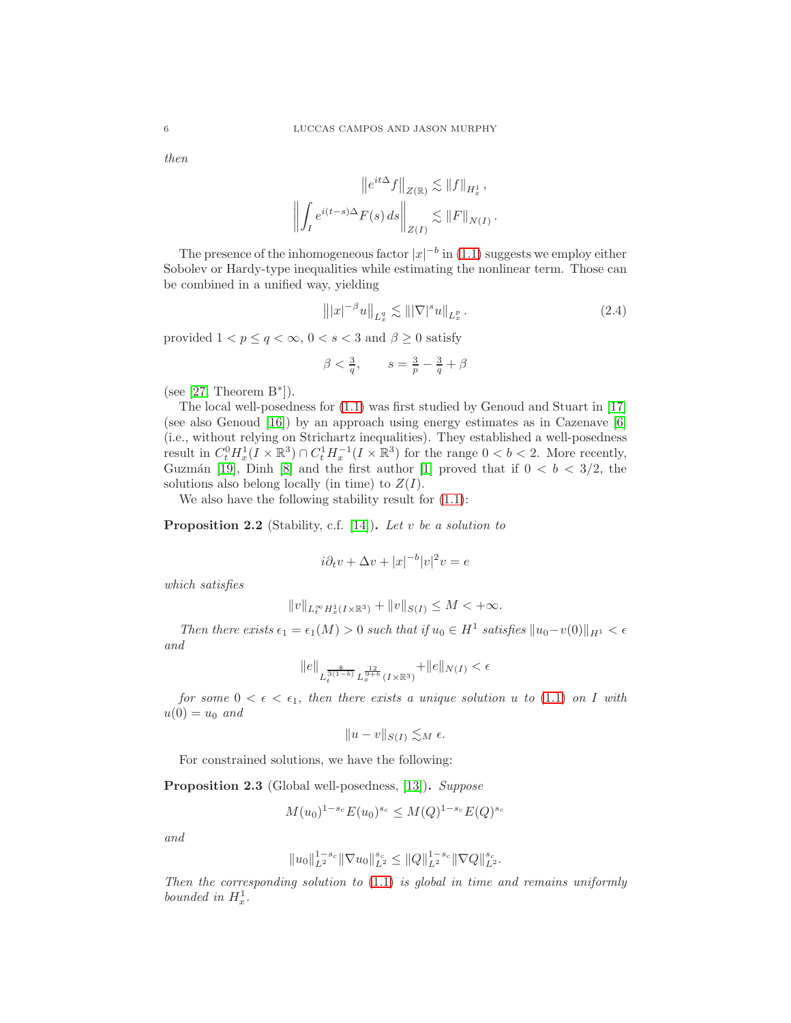then

$$
\|e^{it\Delta}f\|_{Z(\mathbb{R})} \lesssim \|f\|_{H_x^1},
$$
  

$$
\left\|\int_I e^{i(t-s)\Delta} F(s) ds\right\|_{Z(I)} \lesssim \|F\|_{N(I)}.
$$

The presence of the inhomogeneous factor  $|x|^{-b}$  in [\(1.1\)](#page-0-0) suggests we employ either Sobolev or Hardy-type inequalities while estimating the nonlinear term. Those can be combined in a unified way, yielding

<span id="page-5-1"></span>
$$
\| |x|^{-\beta} u \|_{L_x^q} \lesssim \| |\nabla|^s u \|_{L_x^p} \,. \tag{2.4}
$$

provided  $1 < p \le q < \infty$ ,  $0 < s < 3$  and  $\beta \ge 0$  satisfy

$$
\beta < \frac{3}{q}, \qquad s = \frac{3}{p} - \frac{3}{q} + \beta
$$

(see  $[27,$  Theorem  $B^*$ ]).

The local well-posedness for [\(1.1\)](#page-0-0) was first studied by Genoud and Stuart in [\[17\]](#page-33-3) (see also Genoud [\[16\]](#page-33-11)) by an approach using energy estimates as in Cazenave [\[6\]](#page-32-11) (i.e., without relying on Strichartz inequalities). They established a well-posedness result in  $C_t^0 H_x^1(I \times \mathbb{R}^3) \cap C_t^1 H_x^{-1}(I \times \mathbb{R}^3)$  for the range  $0 < b < 2$ . More recently, Guzmán [\[19\]](#page-33-12), Dinh [\[8\]](#page-32-12) and the first author [\[1\]](#page-32-0) proved that if  $0 < b < 3/2$ , the solutions also belong locally (in time) to  $Z(I)$ .

We also have the following stability result for [\(1.1\)](#page-0-0):

**Proposition 2.2** (Stability, c.f. [\[14\]](#page-32-1)). Let  $v$  be a solution to

$$
i\partial_t v + \Delta v + |x|^{-b} |v|^2 v = e
$$

which satisfies

$$
||v||_{L_t^{\infty}H_x^1(I\times\mathbb{R}^3)} + ||v||_{S(I)} \leq M < +\infty.
$$

Then there exists  $\epsilon_1 = \epsilon_1(M) > 0$  such that if  $u_0 \in H^1$  satisfies  $||u_0 - v(0)||_{H^1} < \epsilon$ and

$$
\|e\|_{L^{\frac{8}{3(1-b)}}_tL^{\frac{12}{9+b}}_x(I\times{\mathbb{R}}^3)}+\|e\|_{N(I)}<\epsilon
$$

for some  $0 < \epsilon < \epsilon_1$ , then there exists a unique solution u to [\(1.1\)](#page-0-0) on I with  $u(0) = u_0$  and

$$
||u - v||_{S(I)} \lesssim_M \epsilon.
$$

For constrained solutions, we have the following:

<span id="page-5-0"></span>Proposition 2.3 (Global well-posedness, [\[13\]](#page-32-10)). Suppose

$$
M(u_0)^{1-s_c} E(u_0)^{s_c} \le M(Q)^{1-s_c} E(Q)^{s_c}
$$

and

$$
||u_0||_{L^2}^{1-s_c} ||\nabla u_0||_{L^2}^{s_c} \leq ||Q||_{L^2}^{1-s_c} ||\nabla Q||_{L^2}^{s_c}.
$$

Then the corresponding solution to  $(1.1)$  is global in time and remains uniformly bounded in  $H_x^1$ .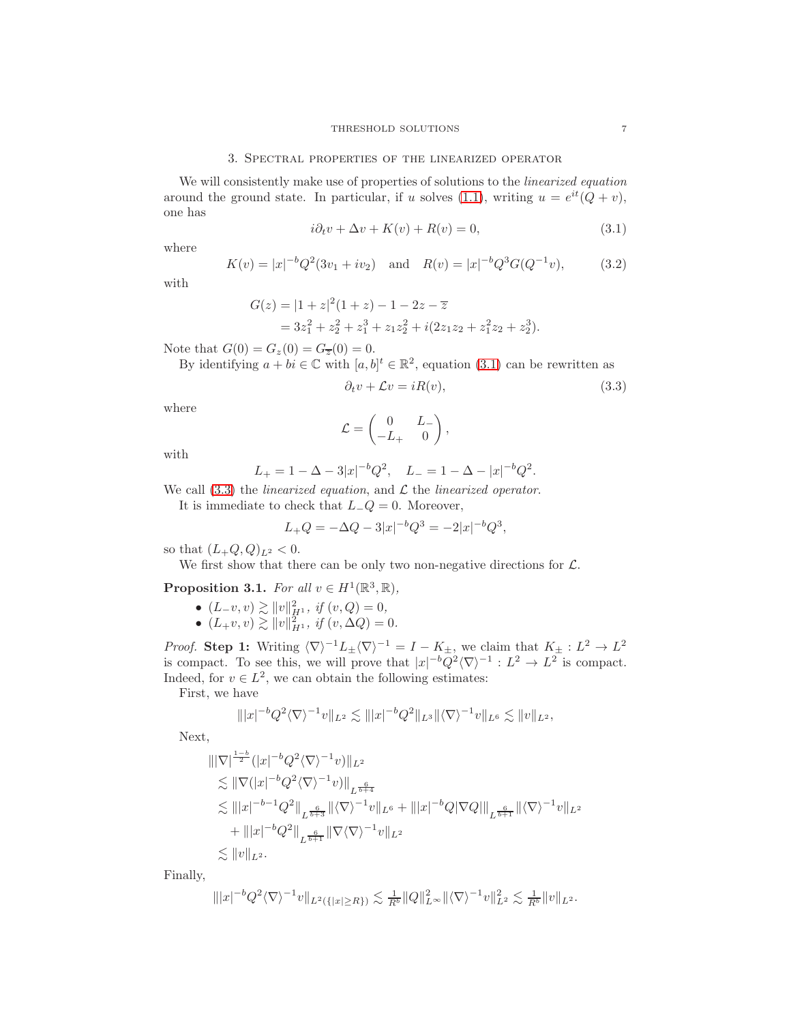#### 3. Spectral properties of the linearized operator

<span id="page-6-0"></span>We will consistently make use of properties of solutions to the *linearized equation* around the ground state. In particular, if u solves [\(1.1\)](#page-0-0), writing  $u = e^{it}(Q + v)$ , one has

<span id="page-6-1"></span>
$$
i\partial_t v + \Delta v + K(v) + R(v) = 0,\t\t(3.1)
$$

where

$$
K(v) = |x|^{-b} Q^2 (3v_1 + iv_2) \text{ and } R(v) = |x|^{-b} Q^3 G(Q^{-1}v), \quad (3.2)
$$

with

$$
G(z) = |1 + z|^2 (1 + z) - 1 - 2z - \overline{z}
$$
  
=  $3z_1^2 + z_2^2 + z_1^3 + z_1 z_2^2 + i(2z_1 z_2 + z_1^2 z_2 + z_2^3).$ 

Note that  $G(0) = G_z(0) = G_{\overline{z}}(0) = 0$ .

By identifying  $a + bi \in \mathbb{C}$  with  $[a, b]^t \in \mathbb{R}^2$ , equation [\(3.1\)](#page-6-1) can be rewritten as

<span id="page-6-4"></span><span id="page-6-2"></span>
$$
\partial_t v + \mathcal{L}v = iR(v),\tag{3.3}
$$

where

$$
\mathcal{L} = \begin{pmatrix} 0 & L_- \\ -L_+ & 0 \end{pmatrix},
$$

with

$$
L_{+} = 1 - \Delta - 3|x|^{-b}Q^{2}, \quad L_{-} = 1 - \Delta - |x|^{-b}Q^{2}.
$$

We call  $(3.3)$  the *linearized equation*, and  $\mathcal L$  the *linearized operator*.

It is immediate to check that  $L_{-}Q = 0$ . Moreover,

$$
L_{+}Q = -\Delta Q - 3|x|^{-b}Q^{3} = -2|x|^{-b}Q^{3},
$$

so that  $(L_{+}Q,Q)_{L^{2}} < 0$ .

We first show that there can be only two non-negative directions for  $\mathcal{L}$ .

<span id="page-6-3"></span>Proposition 3.1. For all  $v \in H^1(\mathbb{R}^3, \mathbb{R})$ ,

- $(L_{-}v, v) \gtrsim ||v||_{H^{1}}^{2}$ , if  $(v, Q) = 0$ ,
- $(L_{+}v, v) \gtrsim ||v||_{H^{1}}^{2}$ , if  $(v, \Delta Q) = 0$ .

*Proof.* Step 1: Writing  $\langle \nabla \rangle^{-1}L_{\pm} \langle \nabla \rangle^{-1} = I - K_{\pm}$ , we claim that  $K_{\pm} : L^2 \to L^2$ is compact. To see this, we will prove that  $|x|^{-b}Q^2\langle \nabla \rangle^{-1} : L^2 \to L^2$  is compact. Indeed, for  $v \in L^2$ , we can obtain the following estimates:

First, we have

$$
\| |x|^{-b} Q^2 \langle \nabla \rangle^{-1} v \|_{L^2} \lesssim \| |x|^{-b} Q^2 \|_{L^3} \| \langle \nabla \rangle^{-1} v \|_{L^6} \lesssim \| v \|_{L^2},
$$

Next,

$$
\| |\nabla|^{\frac{1-b}{2}} (|x|^{-b} Q^2 \langle \nabla \rangle^{-1} v) \|_{L^2}
$$
  
\n
$$
\lesssim \| \nabla (|x|^{-b} Q^2 \langle \nabla \rangle^{-1} v) \|_{L^{\frac{6}{b+4}}}
$$
  
\n
$$
\lesssim \| |x|^{-b-1} Q^2 \|_{L^{\frac{6}{b+3}}} \| \langle \nabla \rangle^{-1} v \|_{L^6} + \| |x|^{-b} Q |\nabla Q| \|_{L^{\frac{6}{b+1}}} \| \langle \nabla \rangle^{-1} v \|_{L^2}
$$
  
\n
$$
+ \| |x|^{-b} Q^2 \|_{L^{\frac{6}{b+1}}} \| \nabla \langle \nabla \rangle^{-1} v \|_{L^2}
$$
  
\n
$$
\lesssim \| v \|_{L^2}.
$$

Finally,

$$
\| |x|^{-b} Q^2 \langle \nabla \rangle^{-1} v \|_{L^2(\{|x| \ge R\})} \lesssim \frac{1}{R^b} \|Q\|_{L^\infty}^2 \|\langle \nabla \rangle^{-1} v\|_{L^2}^2 \lesssim \frac{1}{R^b} \|v\|_{L^2}.
$$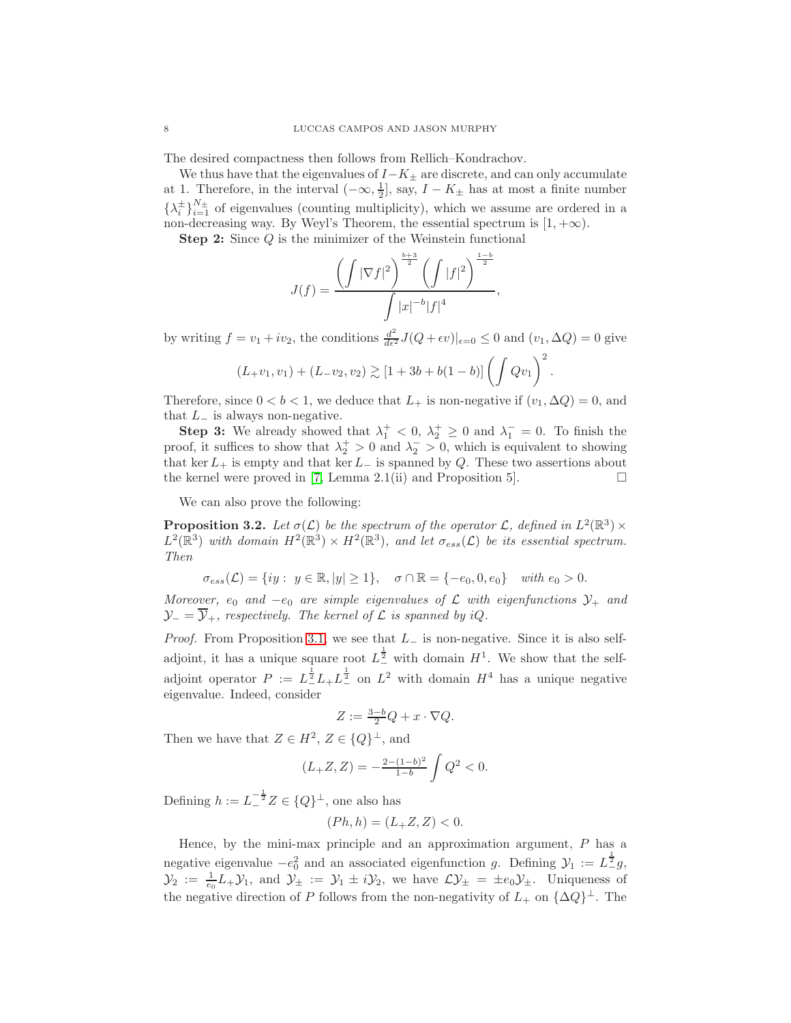The desired compactness then follows from Rellich–Kondrachov.

We thus have that the eigenvalues of  $I-K_{\pm}$  are discrete, and can only accumulate at 1. Therefore, in the interval  $(-\infty, \frac{1}{2}]$ , say,  $I - K_{\pm}$  has at most a finite number  $\{\lambda_i^{\pm}\}_{i=1}^{N_{\pm}}$  of eigenvalues (counting multiplicity), which we assume are ordered in a non-decreasing way. By Weyl's Theorem, the essential spectrum is  $[1, +\infty)$ .

Step 2: Since Q is the minimizer of the Weinstein functional

$$
J(f) = \frac{\left(\int |\nabla f|^2\right)^{\frac{b+3}{2}} \left(\int |f|^2\right)^{\frac{1-b}{2}}}{\int |x|^{-b} |f|^4},
$$

by writing  $f = v_1 + iv_2$ , the conditions  $\frac{d^2}{d\epsilon^2} J(Q + \epsilon v)|_{\epsilon=0} \le 0$  and  $(v_1, \Delta Q) = 0$  give

$$
(L_{+}v_{1}, v_{1})+(L_{-}v_{2}, v_{2}) \gtrsim [1+3b+b(1-b)] \left(\int Qv_{1}\right)^{2}.
$$

Therefore, since  $0 < b < 1$ , we deduce that  $L_{+}$  is non-negative if  $(v_1, \Delta Q) = 0$ , and that  $L_-\$  is always non-negative.

**Step 3:** We already showed that  $\lambda_1^+ < 0$ ,  $\lambda_2^+ \ge 0$  and  $\lambda_1^- = 0$ . To finish the proof, it suffices to show that  $\lambda_2^+ > 0$  and  $\lambda_2^- > 0$ , which is equivalent to showing that ker  $L_+$  is empty and that ker  $L_-\$  is spanned by Q. These two assertions about the kernel were proved in [\[7,](#page-32-13) Lemma 2.1(ii) and Proposition 5].  $\Box$ 

We can also prove the following:

**Proposition 3.2.** Let  $\sigma(\mathcal{L})$  be the spectrum of the operator  $\mathcal{L}$ , defined in  $L^2(\mathbb{R}^3) \times$  $L^2(\mathbb{R}^3)$  with domain  $H^2(\mathbb{R}^3) \times H^2(\mathbb{R}^3)$ , and let  $\sigma_{ess}(\mathcal{L})$  be its essential spectrum. Then

$$
\sigma_{ess}(\mathcal{L}) = \{ iy : y \in \mathbb{R}, |y| \ge 1 \}, \quad \sigma \cap \mathbb{R} = \{-e_0, 0, e_0\} \quad with \ e_0 > 0.
$$

Moreover,  $e_0$  and  $-e_0$  are simple eigenvalues of  $\mathcal L$  with eigenfunctions  $\mathcal Y_+$  and  $\mathcal{Y}_- = \overline{\mathcal{Y}}_+$ , respectively. The kernel of  $\mathcal L$  is spanned by iQ.

*Proof.* From Proposition [3.1,](#page-6-3) we see that  $L_$  is non-negative. Since it is also selfadjoint, it has a unique square root  $L^{\frac{1}{2}}$  with domain  $H^1$ . We show that the selfadjoint operator  $P := L^{\frac{1}{2}} L + L^{\frac{1}{2}}$  on  $L^2$  with domain  $H^4$  has a unique negative eigenvalue. Indeed, consider

$$
Z := \frac{3-b}{2}Q + x \cdot \nabla Q.
$$

Then we have that  $Z \in H^2$ ,  $Z \in \{Q\}^{\perp}$ , and

$$
(L_{+}Z, Z) = -\frac{2 - (1 - b)^2}{1 - b} \int Q^2 < 0.
$$

Defining  $h := L_{-}^{-\frac{1}{2}} Z \in \{Q\}^{\perp}$ , one also has

$$
(Ph, h) = (L_{+}Z, Z) < 0.
$$

Hence, by the mini-max principle and an approximation argument, P has a negative eigenvalue  $-e_0^2$  and an associated eigenfunction g. Defining  $\mathcal{Y}_1 := L^{\frac{1}{2}}g$ ,  $\mathcal{Y}_2 := \frac{1}{e_0} L_+ \mathcal{Y}_1$ , and  $\mathcal{Y}_\pm := \mathcal{Y}_1 \pm i \mathcal{Y}_2$ , we have  $\mathcal{L} \mathcal{Y}_\pm = \pm e_0 \mathcal{Y}_\pm$ . Uniqueness of the negative direction of P follows from the non-negativity of  $L_+$  on  $\{\Delta Q\}^{\perp}$ . The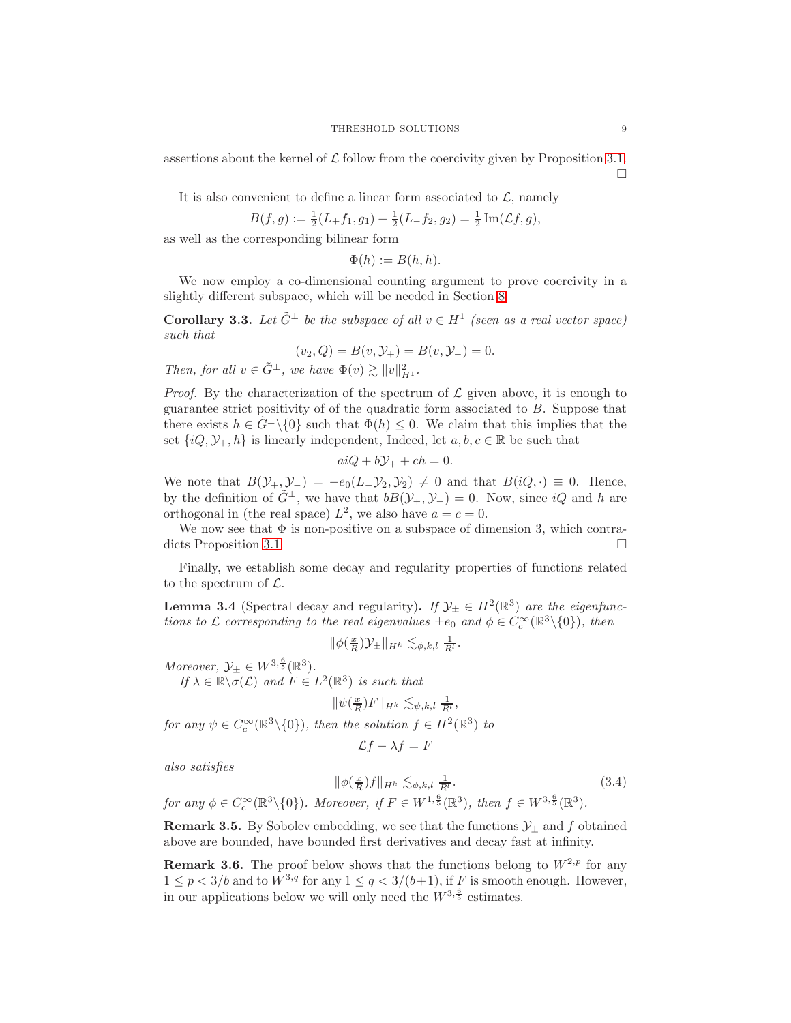assertions about the kernel of  $\mathcal L$  follow from the coercivity given by Proposition [3.1.](#page-6-3)  $\Box$ 

It is also convenient to define a linear form associated to  $\mathcal{L}$ , namely

$$
B(f,g) := \frac{1}{2}(L_+f_1,g_1) + \frac{1}{2}(L_-f_2,g_2) = \frac{1}{2}\operatorname{Im}(\mathcal{L}f,g),
$$

as well as the corresponding bilinear form

$$
\Phi(h) := B(h, h).
$$

We now employ a co-dimensional counting argument to prove coercivity in a slightly different subspace, which will be needed in Section [8.](#page-28-0)

**Corollary 3.3.** Let  $\tilde{G}^{\perp}$  be the subspace of all  $v \in H^1$  (seen as a real vector space) such that

$$
(v_2, Q) = B(v, \mathcal{Y}_+) = B(v, \mathcal{Y}_-) = 0.
$$

Then, for all  $v \in \tilde{G}^{\perp}$ , we have  $\Phi(v) \gtrsim ||v||_{H^1}^2$ .

*Proof.* By the characterization of the spectrum of  $\mathcal L$  given above, it is enough to guarantee strict positivity of of the quadratic form associated to B. Suppose that there exists  $h \in \tilde{G}^{\perp} \setminus \{0\}$  such that  $\Phi(h) \leq 0$ . We claim that this implies that the set  $\{iQ, \mathcal{Y}_+, h\}$  is linearly independent, Indeed, let  $a, b, c \in \mathbb{R}$  be such that

$$
aiQ + b\mathcal{Y}_+ + ch = 0.
$$

We note that  $B(\mathcal{Y}_+,\mathcal{Y}_-) = -e_0(L_-\mathcal{Y}_2,\mathcal{Y}_2) \neq 0$  and that  $B(iQ, \cdot) \equiv 0$ . Hence, by the definition of  $\tilde{G}^{\perp}$ , we have that  $bB(\mathcal{Y}_+,\mathcal{Y}_-) = 0$ . Now, since  $iQ$  and h are orthogonal in (the real space)  $L^2$ , we also have  $a = c = 0$ .

We now see that  $\Phi$  is non-positive on a subspace of dimension 3, which contra-dicts Proposition [3.1.](#page-6-3)

Finally, we establish some decay and regularity properties of functions related to the spectrum of  $\mathcal{L}$ .

<span id="page-8-0"></span>**Lemma 3.4** (Spectral decay and regularity). If  $\mathcal{Y}_{\pm} \in H^2(\mathbb{R}^3)$  are the eigenfunctions to L corresponding to the real eigenvalues  $\pm e_0$  and  $\phi \in C_c^{\infty}(\mathbb{R}^3 \setminus \{0\})$ , then

$$
\|\phi(\tfrac{x}{R})\mathcal{Y}_{\pm}\|_{H^k} \lesssim_{\phi,k,l} \tfrac{1}{R^l}.
$$

Moreover,  $\mathcal{Y}_{\pm} \in W^{3,\frac{6}{5}}(\mathbb{R}^3)$ . If  $\lambda \in \mathbb{R} \setminus \sigma(\mathcal{L})$  and  $F \in L^2(\mathbb{R}^3)$  is such that

$$
\|\psi(\tfrac{x}{R})F\|_{H^k} \lesssim_{\psi,k,l} \tfrac{1}{R^l},
$$

for any  $\psi \in C_c^{\infty}(\mathbb{R}^3 \setminus \{0\})$ , then the solution  $f \in H^2(\mathbb{R}^3)$  to

<span id="page-8-1"></span>
$$
\mathcal{L}f - \lambda f = F
$$

also satisfies

$$
\|\phi(\frac{x}{R})f\|_{H^k} \lesssim_{\phi,k,l} \frac{1}{R^l}.
$$
\n
$$
\text{for any } \phi \in C_c^{\infty}(\mathbb{R}^3 \setminus \{0\}). \text{ Moreover, if } F \in W^{1,\frac{6}{5}}(\mathbb{R}^3), \text{ then } f \in W^{3,\frac{6}{5}}(\mathbb{R}^3).
$$
\n
$$
(3.4)
$$

**Remark 3.5.** By Sobolev embedding, we see that the functions  $\mathcal{Y}_\pm$  and f obtained

above are bounded, have bounded first derivatives and decay fast at infinity.

**Remark 3.6.** The proof below shows that the functions belong to  $W^{2,p}$  for any  $1 \leq p < 3/b$  and to  $W^{3,q}$  for any  $1 \leq q < 3/(b+1)$ , if F is smooth enough. However, in our applications below we will only need the  $W^{3, \frac{6}{5}}$  estimates.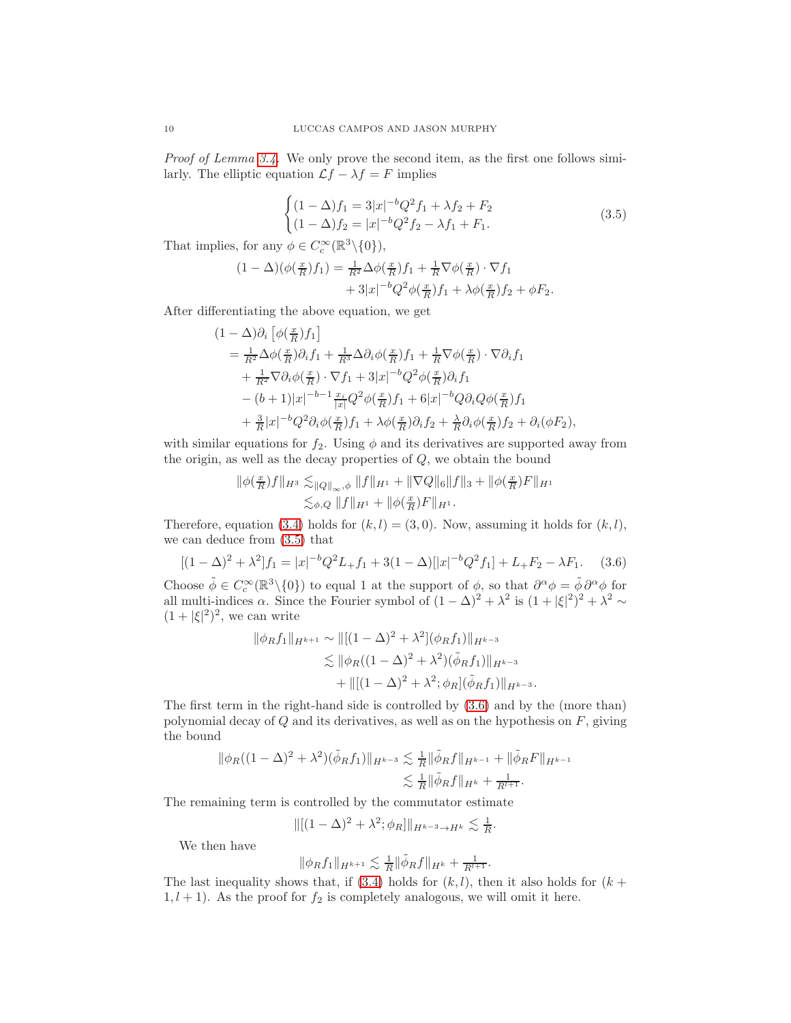Proof of Lemma [3.4.](#page-8-0) We only prove the second item, as the first one follows similarly. The elliptic equation  $\mathcal{L}f - \lambda f = F$  implies

<span id="page-9-0"></span>
$$
\begin{cases}\n(1 - \Delta)f_1 = 3|x|^{-b}Q^2f_1 + \lambda f_2 + F_2\\ \n(1 - \Delta)f_2 = |x|^{-b}Q^2f_2 - \lambda f_1 + F_1.\n\end{cases}
$$
\n(3.5)

That implies, for any  $\phi \in C_c^{\infty}(\mathbb{R}^3 \setminus \{0\}),$ 

$$
(1 - \Delta)(\phi(\frac{x}{R})f_1) = \frac{1}{R^2}\Delta\phi(\frac{x}{R})f_1 + \frac{1}{R}\nabla\phi(\frac{x}{R})\cdot\nabla f_1
$$

$$
+ 3|x|^{-b}Q^2\phi(\frac{x}{R})f_1 + \lambda\phi(\frac{x}{R})f_2 + \phi F_2.
$$

After differentiating the above equation, we get

$$
(1 - \Delta)\partial_i \left[ \phi(\frac{x}{R})f_1 \right]
$$
  
=  $\frac{1}{R^2} \Delta \phi(\frac{x}{R}) \partial_i f_1 + \frac{1}{R^3} \Delta \partial_i \phi(\frac{x}{R}) f_1 + \frac{1}{R} \nabla \phi(\frac{x}{R}) \cdot \nabla \partial_i f_1$   
+  $\frac{1}{R^2} \nabla \partial_i \phi(\frac{x}{R}) \cdot \nabla f_1 + 3|x|^{-b} Q^2 \phi(\frac{x}{R}) \partial_i f_1$   
-  $(b+1)|x|^{-b-1} \frac{x_i}{|x|} Q^2 \phi(\frac{x}{R}) f_1 + 6|x|^{-b} Q \partial_i Q \phi(\frac{x}{R}) f_1$   
+  $\frac{3}{R}|x|^{-b} Q^2 \partial_i \phi(\frac{x}{R}) f_1 + \lambda \phi(\frac{x}{R}) \partial_i f_2 + \frac{\lambda}{R} \partial_i \phi(\frac{x}{R}) f_2 + \partial_i (\phi F_2),$ 

with similar equations for  $f_2$ . Using  $\phi$  and its derivatives are supported away from the origin, as well as the decay properties of  $Q$ , we obtain the bound

$$
\|\phi(\frac{x}{R})f\|_{H^3} \lesssim_{\|Q\|_{\infty},\phi} \|f\|_{H^1} + \|\nabla Q\|_{6} \|f\|_{3} + \|\phi(\frac{x}{R})F\|_{H^1}
$$
  

$$
\lesssim_{\phi,Q} \|f\|_{H^1} + \|\phi(\frac{x}{R})F\|_{H^1}.
$$

Therefore, equation [\(3.4\)](#page-8-1) holds for  $(k, l) = (3, 0)$ . Now, assuming it holds for  $(k, l)$ , we can deduce from [\(3.5\)](#page-9-0) that

$$
[(1 - \Delta)^2 + \lambda^2]f_1 = |x|^{-b}Q^2L_+f_1 + 3(1 - \Delta)[|x|^{-b}Q^2f_1] + L_+F_2 - \lambda F_1.
$$
 (3.6)

Choose  $\tilde{\phi} \in C_c^{\infty}(\mathbb{R}^3 \setminus \{0\})$  to equal 1 at the support of  $\phi$ , so that  $\partial^{\alpha} \phi = \tilde{\phi} \partial^{\alpha} \phi$  for all multi-indices  $\alpha$ . Since the Fourier symbol of  $(1 - \Delta)^2 + \lambda^2$  is  $(1 + |\xi|^2)^2 + \lambda^2 \sim$  $(1+|\xi|^2)^2$ , we can write

<span id="page-9-1"></span>
$$
\|\phi_R f_1\|_{H^{k+1}} \sim \|\left[(1-\Delta)^2 + \lambda^2\right](\phi_R f_1)\|_{H^{k-3}}\lesssim \|\phi_R((1-\Delta)^2 + \lambda^2)(\tilde{\phi}_R f_1)\|_{H^{k-3}}+\|[(1-\Delta)^2 + \lambda^2; \phi_R](\tilde{\phi}_R f_1)\|_{H^{k-3}}.
$$

The first term in the right-hand side is controlled by [\(3.6\)](#page-9-1) and by the (more than) polynomial decay of  $Q$  and its derivatives, as well as on the hypothesis on  $F$ , giving the bound

$$
\|\phi_R((1-\Delta)^2 + \lambda^2)(\tilde{\phi}_R f_1)\|_{H^{k-3}} \lesssim \frac{1}{R} \|\tilde{\phi}_R f\|_{H^{k-1}} + \|\tilde{\phi}_R F\|_{H^{k-1}} \lesssim \frac{1}{R} \|\tilde{\phi}_R f\|_{H^k} + \frac{1}{R^{l+1}}.
$$

The remaining term is controlled by the commutator estimate

$$
\|[(1-\Delta)^2+\lambda^2;\phi_R]\|_{H^{k-3}\to H^k}\lesssim \frac{1}{R}.
$$

We then have

$$
\|\phi_R f_1\|_{H^{k+1}} \lesssim \frac{1}{R}\|\tilde{\phi}_R f\|_{H^k} + \frac{1}{R^{l+1}}.
$$

The last inequality shows that, if  $(3.4)$  holds for  $(k, l)$ , then it also holds for  $(k +$  $1, l + 1$ ). As the proof for  $f_2$  is completely analogous, we will omit it here.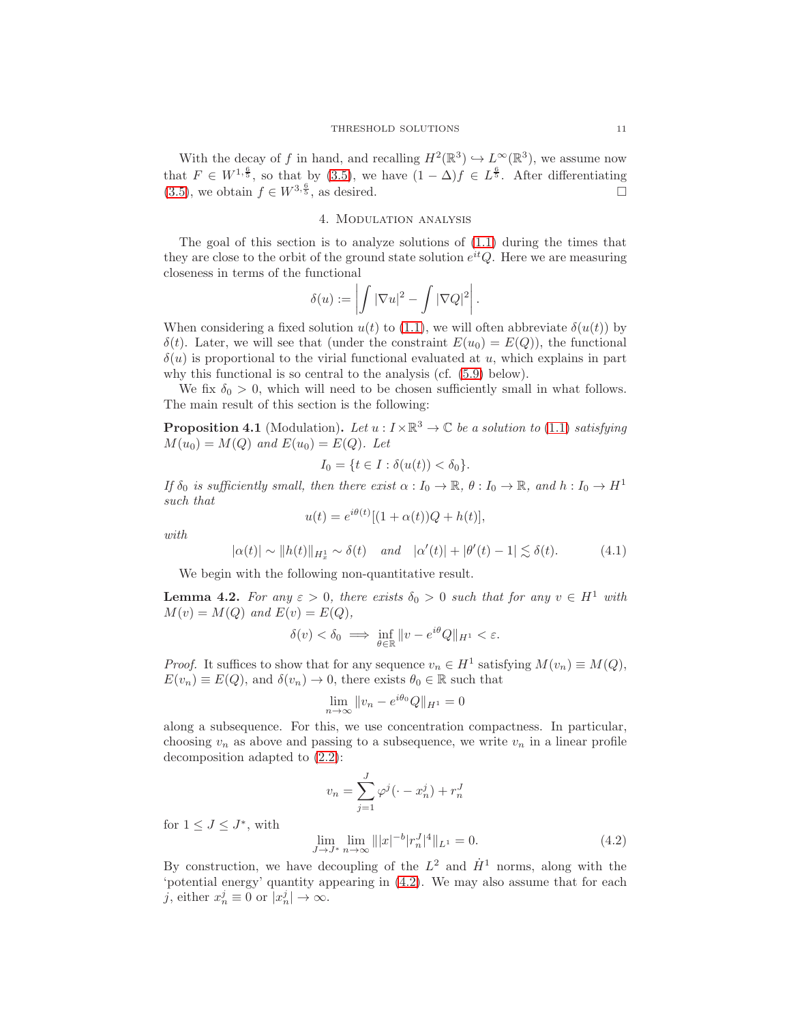With the decay of f in hand, and recalling  $H^2(\mathbb{R}^3) \hookrightarrow L^\infty(\mathbb{R}^3)$ , we assume now that  $F \in W^{1,\frac{6}{5}}$ , so that by [\(3.5\)](#page-9-0), we have  $(1 - \Delta)f \in L^{\frac{6}{5}}$ . After differentiating [\(3.5\)](#page-9-0), we obtain  $f \in W^{3, \frac{6}{5}}$ , as desired.

### 4. Modulation analysis

<span id="page-10-0"></span>The goal of this section is to analyze solutions of [\(1.1\)](#page-0-0) during the times that they are close to the orbit of the ground state solution  $e^{it}Q$ . Here we are measuring closeness in terms of the functional

$$
\delta(u) := \left| \int |\nabla u|^2 - \int |\nabla Q|^2 \right|.
$$

When considering a fixed solution  $u(t)$  to [\(1.1\)](#page-0-0), we will often abbreviate  $\delta(u(t))$  by  $\delta(t)$ . Later, we will see that (under the constraint  $E(u_0) = E(Q)$ ), the functional  $\delta(u)$  is proportional to the virial functional evaluated at u, which explains in part why this functional is so central to the analysis (cf. [\(5.9\)](#page-18-0) below).

We fix  $\delta_0 > 0$ , which will need to be chosen sufficiently small in what follows. The main result of this section is the following:

<span id="page-10-2"></span>**Proposition 4.1** (Modulation). Let  $u: I \times \mathbb{R}^3 \to \mathbb{C}$  be a solution to [\(1.1\)](#page-0-0) satisfying  $M(u_0) = M(Q)$  and  $E(u_0) = E(Q)$ . Let

<span id="page-10-4"></span>
$$
I_0 = \{ t \in I : \delta(u(t)) < \delta_0 \}.
$$

If  $\delta_0$  is sufficiently small, then there exist  $\alpha: I_0 \to \mathbb{R}$ ,  $\theta: I_0 \to \mathbb{R}$ , and  $h: I_0 \to H^1$ such that

$$
u(t) = e^{i\theta(t)}[(1+\alpha(t))Q + h(t)],
$$

with

$$
|\alpha(t)| \sim ||h(t)||_{H_x^1} \sim \delta(t) \quad \text{and} \quad |\alpha'(t)| + |\theta'(t) - 1| \lesssim \delta(t). \tag{4.1}
$$

We begin with the following non-quantitative result.

<span id="page-10-3"></span>**Lemma 4.2.** For any  $\varepsilon > 0$ , there exists  $\delta_0 > 0$  such that for any  $v \in H^1$  with  $M(v) = M(Q)$  and  $E(v) = E(Q)$ ,

$$
\delta(v) < \delta_0 \implies \inf_{\theta \in \mathbb{R}} \|v - e^{i\theta}Q\|_{H^1} < \varepsilon.
$$

*Proof.* It suffices to show that for any sequence  $v_n \in H^1$  satisfying  $M(v_n) \equiv M(Q)$ ,  $E(v_n) \equiv E(Q)$ , and  $\delta(v_n) \to 0$ , there exists  $\theta_0 \in \mathbb{R}$  such that

$$
\lim_{n \to \infty} ||v_n - e^{i\theta_0} Q||_{H^1} = 0
$$

along a subsequence. For this, we use concentration compactness. In particular, choosing  $v_n$  as above and passing to a subsequence, we write  $v_n$  in a linear profile decomposition adapted to [\(2.2\)](#page-4-1):

<span id="page-10-1"></span>
$$
v_n = \sum_{j=1}^{J} \varphi^j(\cdot - x_n^j) + r_n^J
$$
  
lim  $\lim_{n \to \infty} ||x|^{-b} |x^J|^4 ||_{x^J} = 0$  (4.2)

for  $1 \leq J \leq J^*$ , with

$$
\lim_{J \to J^*} \lim_{n \to \infty} |||x|^{-b} |r_n^J|^4 ||_{L^1} = 0.
$$
\n(4.2)

By construction, we have decoupling of the  $L^2$  and  $\dot{H}^1$  norms, along with the 'potential energy' quantity appearing in [\(4.2\)](#page-10-1). We may also assume that for each j, either  $x_n^j \equiv 0$  or  $|x_n^j| \to \infty$ .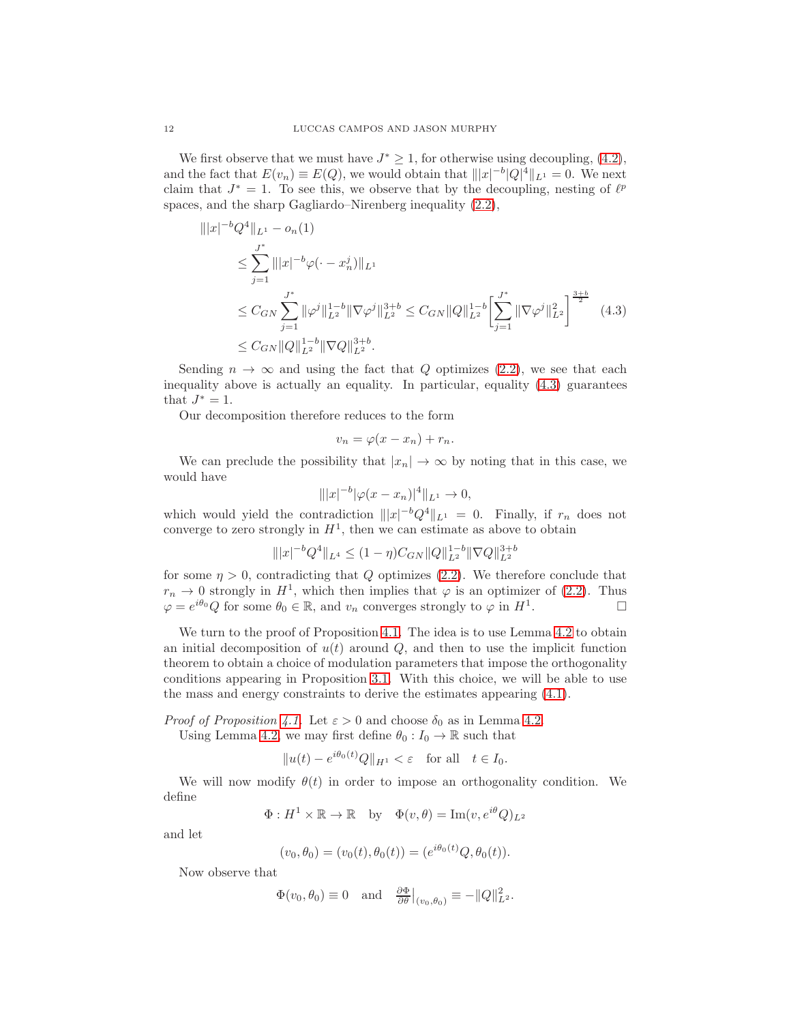We first observe that we must have  $J^* \geq 1$ , for otherwise using decoupling, [\(4.2\)](#page-10-1), and the fact that  $E(v_n) \equiv E(Q)$ , we would obtain that  $|||x|^{-b}|Q|^4||_{L^1} = 0$ . We next claim that  $J^* = 1$ . To see this, we observe that by the decoupling, nesting of  $\ell^p$ spaces, and the sharp Gagliardo–Nirenberg inequality [\(2.2\)](#page-4-1),

$$
\| |x|^{-b} Q^4 \|_{L^1} - o_n(1)
$$
  
\n
$$
\leq \sum_{j=1}^{J^*} \| |x|^{-b} \varphi(\cdot - x_n^j) \|_{L^1}
$$
  
\n
$$
\leq C_{GN} \sum_{j=1}^{J^*} \| \varphi^j \|_{L^2}^{1-b} \| \nabla \varphi^j \|_{L^2}^{3+b} \leq C_{GN} \| Q \|_{L^2}^{1-b} \left[ \sum_{j=1}^{J^*} \| \nabla \varphi^j \|_{L^2}^2 \right]^{\frac{3+b}{2}} (4.3)
$$
  
\n
$$
\leq C_{GN} \| Q \|_{L^2}^{1-b} \| \nabla Q \|_{L^2}^{3+b}.
$$

Sending  $n \to \infty$  and using the fact that Q optimizes [\(2.2\)](#page-4-1), we see that each inequality above is actually an equality. In particular, equality [\(4.3\)](#page-11-0) guarantees that  $J^* = 1$ .

Our decomposition therefore reduces to the form

<span id="page-11-0"></span>
$$
v_n = \varphi(x - x_n) + r_n.
$$

We can preclude the possibility that  $|x_n| \to \infty$  by noting that in this case, we would have

$$
\| |x|^{-b} |\varphi(x - x_n)|^4 \|_{L^1} \to 0,
$$

which would yield the contradiction  $|||x|^{-b}Q^4||_{L^1} = 0$ . Finally, if  $r_n$  does not converge to zero strongly in  $H<sup>1</sup>$ , then we can estimate as above to obtain

$$
\||x|^{-b}Q^4\|_{L^4}\leq (1-\eta)C_{GN}\|Q\|_{L^2}^{1-b}\|\nabla Q\|_{L^2}^{3+b}
$$

for some  $\eta > 0$ , contradicting that Q optimizes [\(2.2\)](#page-4-1). We therefore conclude that  $r_n \to 0$  strongly in  $H^1$ , which then implies that  $\varphi$  is an optimizer of [\(2.2\)](#page-4-1). Thus  $\varphi = e^{i\theta_0} Q$  for some  $\theta_0 \in \mathbb{R}$ , and  $v_n$  converges strongly to  $\varphi$  in  $H^1$ .

We turn to the proof of Proposition [4.1.](#page-10-2) The idea is to use Lemma [4.2](#page-10-3) to obtain an initial decomposition of  $u(t)$  around  $Q$ , and then to use the implicit function theorem to obtain a choice of modulation parameters that impose the orthogonality conditions appearing in Proposition [3.1.](#page-6-3) With this choice, we will be able to use the mass and energy constraints to derive the estimates appearing [\(4.1\)](#page-10-4).

*Proof of Proposition [4.1.](#page-10-2)* Let  $\varepsilon > 0$  and choose  $\delta_0$  as in Lemma [4.2.](#page-10-3)

Using Lemma [4.2,](#page-10-3) we may first define  $\theta_0: I_0 \to \mathbb{R}$  such that

$$
||u(t) - e^{i\theta_0(t)}Q||_{H^1} < \varepsilon \quad \text{for all} \quad t \in I_0.
$$

We will now modify  $\theta(t)$  in order to impose an orthogonality condition. We define

$$
\Phi: H^1 \times \mathbb{R} \to \mathbb{R} \quad \text{by} \quad \Phi(v, \theta) = \text{Im}(v, e^{i\theta}Q)_{L^2}
$$

and let

$$
(v_0, \theta_0) = (v_0(t), \theta_0(t)) = (e^{i\theta_0(t)}Q, \theta_0(t)).
$$

Now observe that

$$
\Phi(v_0, \theta_0) \equiv 0 \quad \text{and} \quad \frac{\partial \Phi}{\partial \theta}\big|_{(v_0, \theta_0)} \equiv -\|Q\|_{L^2}^2.
$$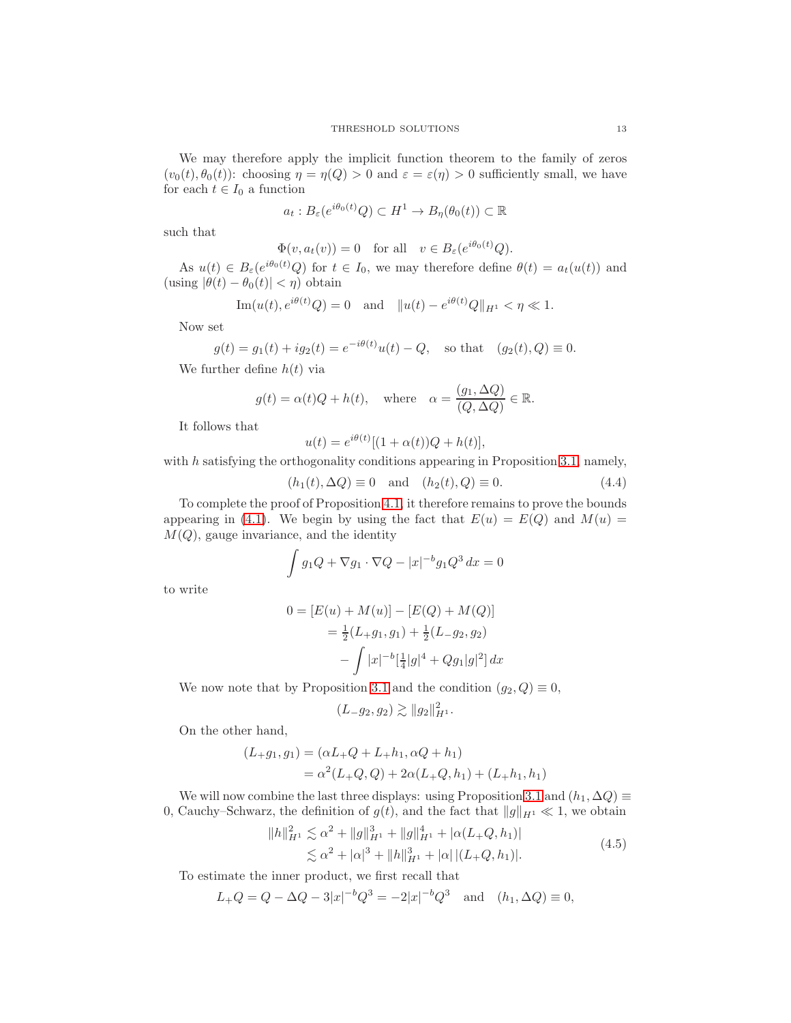We may therefore apply the implicit function theorem to the family of zeros  $(v_0(t), \theta_0(t))$ : choosing  $\eta = \eta(Q) > 0$  and  $\varepsilon = \varepsilon(\eta) > 0$  sufficiently small, we have for each  $t \in I_0$  a function

$$
a_t: B_{\varepsilon}(e^{i\theta_0(t)}Q) \subset H^1 \to B_{\eta}(\theta_0(t)) \subset \mathbb{R}
$$

such that

$$
\Phi(v, a_t(v)) = 0 \quad \text{for all} \quad v \in B_{\varepsilon}(e^{i\theta_0(t)}Q).
$$

As  $u(t) \in B_{\varepsilon}(e^{i\theta_0(t)}Q)$  for  $t \in I_0$ , we may therefore define  $\theta(t) = a_t(u(t))$  and (using  $|\theta(t) - \theta_0(t)| < \eta$ ) obtain

Im
$$
(u(t), e^{i\theta(t)}Q) = 0
$$
 and  $||u(t) - e^{i\theta(t)}Q||_{H^1} < \eta \ll 1$ .

Now set

$$
g(t) = g_1(t) + ig_2(t) = e^{-i\theta(t)}u(t) - Q
$$
, so that  $(g_2(t), Q) \equiv 0$ .

We further define  $h(t)$  via

$$
g(t) = \alpha(t)Q + h(t)
$$
, where  $\alpha = \frac{(g_1, \Delta Q)}{(Q, \Delta Q)} \in \mathbb{R}$ .

It follows that

<span id="page-12-1"></span>
$$
u(t) = e^{i\theta(t)}[(1+\alpha(t))Q + h(t)],
$$

with  $h$  satisfying the orthogonality conditions appearing in Proposition [3.1,](#page-6-3) namely,

$$
(h_1(t), \Delta Q) \equiv 0
$$
 and  $(h_2(t), Q) \equiv 0.$  (4.4)

To complete the proof of Proposition [4.1,](#page-10-2) it therefore remains to prove the bounds appearing in [\(4.1\)](#page-10-4). We begin by using the fact that  $E(u) = E(Q)$  and  $M(u) =$  $M(Q)$ , gauge invariance, and the identity

$$
\int g_1 Q + \nabla g_1 \cdot \nabla Q - |x|^{-b} g_1 Q^3 dx = 0
$$

to write

$$
0 = [E(u) + M(u)] - [E(Q) + M(Q)]
$$
  
=  $\frac{1}{2}(L+g_1, g_1) + \frac{1}{2}(L-g_2, g_2)$   

$$
- \int |x|^{-b} [\frac{1}{4}|g|^4 + Qg_1|g|^2] dx
$$

We now note that by Proposition [3.1](#page-6-3) and the condition  $(g_2, Q) \equiv 0$ ,

<span id="page-12-0"></span>
$$
(L_{-}g_2, g_2) \gtrsim ||g_2||_{H^1}^2.
$$

On the other hand,

$$
(L+g_1, g_1) = (\alpha L + Q + L + h_1, \alpha Q + h_1)
$$
  
=  $\alpha^2 (L + Q, Q) + 2\alpha (L + Q, h_1) + (L + h_1, h_1)$ 

We will now combine the last three displays: using Proposition [3.1](#page-6-3) and  $(h_1, \Delta Q) \equiv$ 0, Cauchy–Schwarz, the definition of  $g(t)$ , and the fact that  $||g||_{H^1} \ll 1$ , we obtain

$$
||h||_{H^1}^2 \lesssim \alpha^2 + ||g||_{H^1}^3 + ||g||_{H^1}^4 + |\alpha(L_+Q, h_1)|
$$
  
 
$$
\lesssim \alpha^2 + |\alpha|^3 + ||h||_{H^1}^3 + |\alpha| |(L_+Q, h_1)|.
$$
 (4.5)

To estimate the inner product, we first recall that

$$
L_{+}Q = Q - \Delta Q - 3|x|^{-b}Q^{3} = -2|x|^{-b}Q^{3} \text{ and } (h_{1}, \Delta Q) \equiv 0,
$$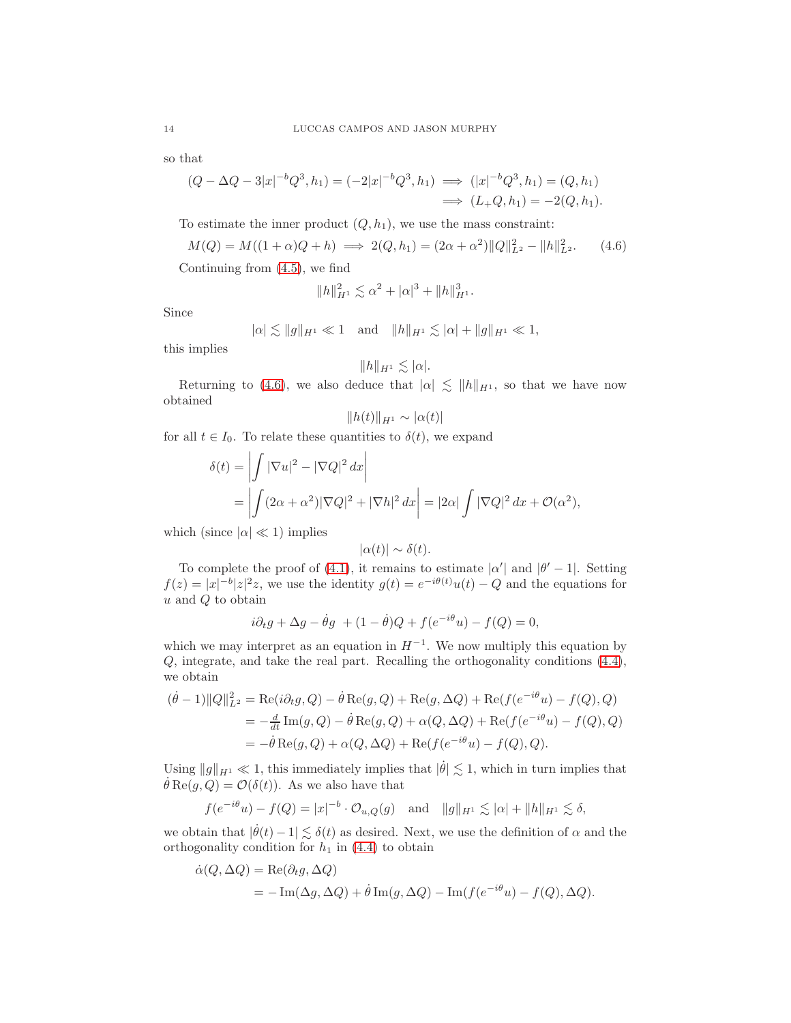so that

$$
(Q - \Delta Q - 3|x|^{-b}Q^{3}, h_{1}) = (-2|x|^{-b}Q^{3}, h_{1}) \implies (|x|^{-b}Q^{3}, h_{1}) = (Q, h_{1})
$$
  

$$
\implies (L_{+}Q, h_{1}) = -2(Q, h_{1}).
$$

To estimate the inner product  $(Q, h_1)$ , we use the mass constraint:

$$
M(Q) = M((1+\alpha)Q + h) \implies 2(Q, h_1) = (2\alpha + \alpha^2) \|Q\|_{L^2}^2 - \|h\|_{L^2}^2. \tag{4.6}
$$

Continuing from [\(4.5\)](#page-12-0), we find

$$
||h||_{H^1}^2 \lesssim \alpha^2 + |\alpha|^3 + ||h||_{H^1}^3.
$$

Since

$$
|\alpha| \lesssim ||g||_{H^1} \ll 1
$$
 and  $||h||_{H^1} \lesssim |\alpha| + ||g||_{H^1} \ll 1$ ,

this implies

<span id="page-13-0"></span>
$$
||h||_{H^1} \lesssim |\alpha|.
$$

Returning to [\(4.6\)](#page-13-0), we also deduce that  $|\alpha| \leq ||h||_{H^1}$ , so that we have now obtained

$$
||h(t)||_{H^1} \sim |\alpha(t)|
$$

for all  $t \in I_0$ . To relate these quantities to  $\delta(t)$ , we expand

$$
\delta(t) = \left| \int |\nabla u|^2 - |\nabla Q|^2 dx \right|
$$
  
= 
$$
\left| \int (2\alpha + \alpha^2) |\nabla Q|^2 + |\nabla h|^2 dx \right| = |2\alpha| \int |\nabla Q|^2 dx + \mathcal{O}(\alpha^2),
$$

which (since  $|\alpha| \ll 1$ ) implies

$$
|\alpha(t)| \sim \delta(t).
$$

To complete the proof of [\(4.1\)](#page-10-4), it remains to estimate  $|\alpha'|$  and  $|\theta' - 1|$ . Setting  $f(z) = |x|^{-b} |z|^2 z$ , we use the identity  $g(t) = e^{-i\theta(t)} u(t) - Q$  and the equations for  $u$  and  $Q$  to obtain

$$
i\partial_t g + \Delta g - \dot{\theta}g + (1 - \dot{\theta})Q + f(e^{-i\theta}u) - f(Q) = 0,
$$

which we may interpret as an equation in  $H^{-1}$ . We now multiply this equation by Q, integrate, and take the real part. Recalling the orthogonality conditions [\(4.4\)](#page-12-1), we obtain

$$
(\dot{\theta} - 1) ||Q||_{L^2}^2 = \text{Re}(i\partial_t g, Q) - \dot{\theta} \text{Re}(g, Q) + \text{Re}(g, \Delta Q) + \text{Re}(f(e^{-i\theta}u) - f(Q), Q)
$$
  
= 
$$
-\frac{d}{dt} \text{Im}(g, Q) - \dot{\theta} \text{Re}(g, Q) + \alpha(Q, \Delta Q) + \text{Re}(f(e^{-i\theta}u) - f(Q), Q)
$$
  
= 
$$
-\dot{\theta} \text{Re}(g, Q) + \alpha(Q, \Delta Q) + \text{Re}(f(e^{-i\theta}u) - f(Q), Q).
$$

Using  $||g||_{H^1} \ll 1$ , this immediately implies that  $|\dot{\theta}| \lesssim 1$ , which in turn implies that  $\dot{\theta} \text{Re}(g, Q) = \mathcal{O}(\delta(t)).$  As we also have that

$$
f(e^{-i\theta}u) - f(Q) = |x|^{-b} \cdot O_{u,Q}(g)
$$
 and  $||g||_{H^1} \lesssim |\alpha| + ||h||_{H^1} \lesssim \delta$ ,

we obtain that  $|\dot{\theta}(t)-1| \lesssim \delta(t)$  as desired. Next, we use the definition of  $\alpha$  and the orthogonality condition for  $h_1$  in [\(4.4\)](#page-12-1) to obtain

$$
\dot{\alpha}(Q, \Delta Q) = \text{Re}(\partial_t g, \Delta Q)
$$
  
= -\text{Im}(\Delta g, \Delta Q) + \dot{\theta} \text{Im}(g, \Delta Q) - \text{Im}(f(e^{-i\theta}u) - f(Q), \Delta Q).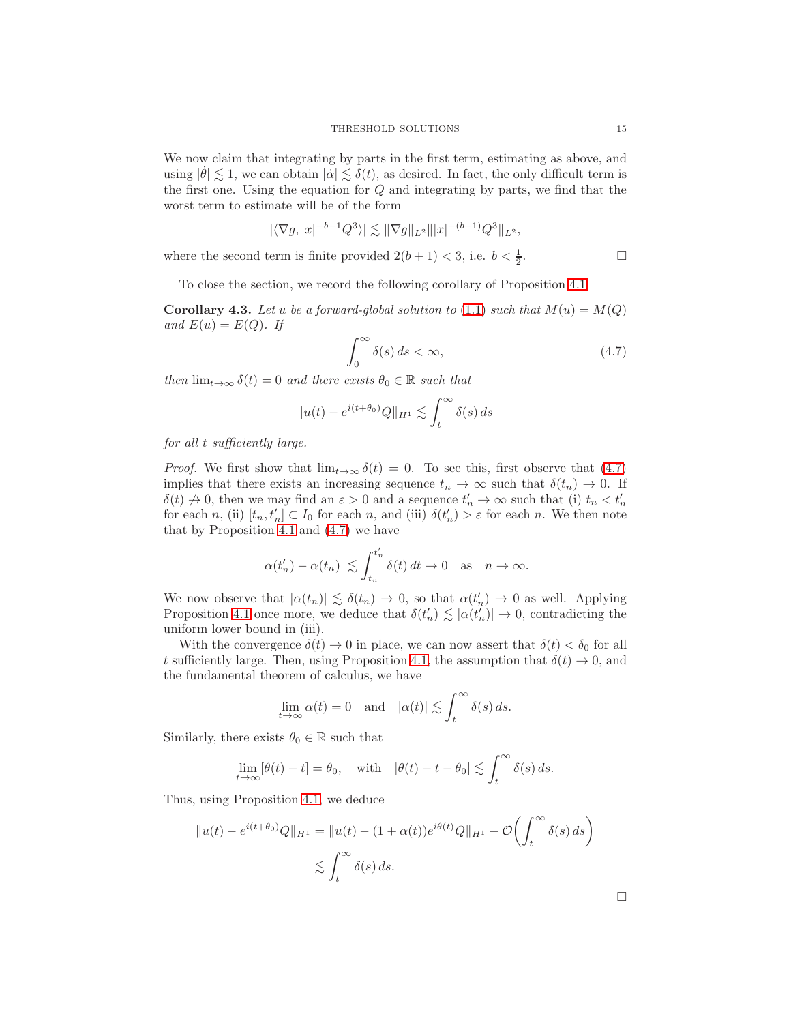We now claim that integrating by parts in the first term, estimating as above, and using  $|\dot{\theta}| \lesssim 1$ , we can obtain  $|\dot{\alpha}| \lesssim \delta(t)$ , as desired. In fact, the only difficult term is the first one. Using the equation for Q and integrating by parts, we find that the worst term to estimate will be of the form

$$
|\langle \nabla g, |x|^{-b-1} Q^3 \rangle| \lesssim ||\nabla g||_{L^2} |||x|^{-(b+1)} Q^3||_{L^2},
$$

where the second term is finite provided  $2(b+1) < 3$ , i.e.  $b < \frac{1}{2}$ . — Первый профессиональный профессиональный профессиональный профессиональный профессиональный профессиональн<br>В сервисов профессиональный профессиональный профессиональный профессиональный профессиональный профессиональн

To close the section, we record the following corollary of Proposition [4.1.](#page-10-2)

<span id="page-14-1"></span>**Corollary 4.3.** Let u be a forward-global solution to [\(1.1\)](#page-0-0) such that  $M(u) = M(Q)$ and  $E(u) = E(Q)$ . If

<span id="page-14-0"></span>
$$
\int_0^\infty \delta(s) \, ds < \infty,\tag{4.7}
$$

then  $\lim_{t\to\infty} \delta(t) = 0$  and there exists  $\theta_0 \in \mathbb{R}$  such that

$$
||u(t) - e^{i(t+\theta_0)}Q||_{H^1} \lesssim \int_t^\infty \delta(s) \, ds
$$

for all t sufficiently large.

*Proof.* We first show that  $\lim_{t\to\infty} \delta(t) = 0$ . To see this, first observe that [\(4.7\)](#page-14-0) implies that there exists an increasing sequence  $t_n \to \infty$  such that  $\delta(t_n) \to 0$ . If  $\delta(t) \nightharpoonup 0$ , then we may find an  $\varepsilon > 0$  and a sequence  $t'_n \to \infty$  such that (i)  $t_n < t'_n$ for each n, (ii)  $[t_n, t'_n] \subset I_0$  for each n, and (iii)  $\delta(t'_n) > \varepsilon$  for each n. We then note that by Proposition [4.1](#page-10-2) and [\(4.7\)](#page-14-0) we have

$$
|\alpha(t'_n) - \alpha(t_n)| \lesssim \int_{t_n}^{t'_n} \delta(t) dt \to 0 \text{ as } n \to \infty.
$$

We now observe that  $|\alpha(t_n)| \lesssim \delta(t_n) \to 0$ , so that  $\alpha(t'_n) \to 0$  as well. Applying Proposition [4.1](#page-10-2) once more, we deduce that  $\delta(t'_n) \lesssim |\alpha(t'_n)| \to 0$ , contradicting the uniform lower bound in (iii).

With the convergence  $\delta(t) \to 0$  in place, we can now assert that  $\delta(t) < \delta_0$  for all t sufficiently large. Then, using Proposition [4.1,](#page-10-2) the assumption that  $\delta(t) \to 0$ , and the fundamental theorem of calculus, we have

$$
\lim_{t \to \infty} \alpha(t) = 0 \quad \text{and} \quad |\alpha(t)| \lesssim \int_t^{\infty} \delta(s) \, ds.
$$

Similarly, there exists  $\theta_0 \in \mathbb{R}$  such that

$$
\lim_{t \to \infty} [\theta(t) - t] = \theta_0, \quad \text{with} \quad |\theta(t) - t - \theta_0| \lesssim \int_t^\infty \delta(s) \, ds.
$$

Thus, using Proposition [4.1,](#page-10-2) we deduce

$$
||u(t) - e^{i(t+\theta_0)}Q||_{H^1} = ||u(t) - (1+\alpha(t))e^{i\theta(t)}Q||_{H^1} + \mathcal{O}\left(\int_t^\infty \delta(s) ds\right)
$$
  

$$
\lesssim \int_t^\infty \delta(s) ds.
$$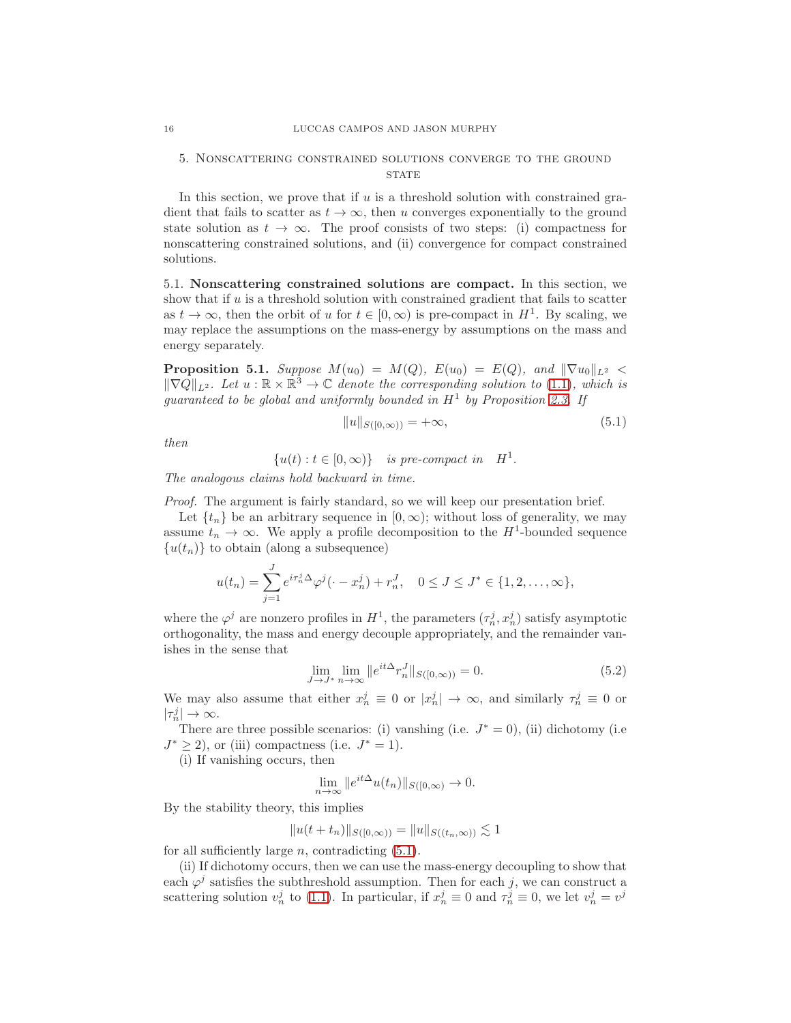## 5. Nonscattering constrained solutions converge to the ground **STATE**

In this section, we prove that if  $u$  is a threshold solution with constrained gradient that fails to scatter as  $t \to \infty$ , then u converges exponentially to the ground state solution as  $t \to \infty$ . The proof consists of two steps: (i) compactness for nonscattering constrained solutions, and (ii) convergence for compact constrained solutions.

5.1. Nonscattering constrained solutions are compact. In this section, we show that if  $u$  is a threshold solution with constrained gradient that fails to scatter as  $t \to \infty$ , then the orbit of u for  $t \in [0, \infty)$  is pre-compact in  $H^1$ . By scaling, we may replace the assumptions on the mass-energy by assumptions on the mass and energy separately.

<span id="page-15-3"></span>**Proposition 5.1.** Suppose  $M(u_0) = M(Q)$ ,  $E(u_0) = E(Q)$ , and  $\|\nabla u_0\|_{L^2}$  $\|\nabla Q\|_{L^2}$ . Let  $u : \mathbb{R} \times \mathbb{R}^3 \to \mathbb{C}$  denote the corresponding solution to [\(1.1\)](#page-0-0), which is guaranteed to be global and uniformly bounded in  $H^1$  by Proposition [2.3.](#page-5-0) If

<span id="page-15-1"></span>
$$
||u||_{S([0,\infty))} = +\infty,
$$
\n(5.1)

then

$$
\{u(t) : t \in [0, \infty)\} \text{ is pre-compact in } H^1.
$$

The analogous claims hold backward in time.

Proof. The argument is fairly standard, so we will keep our presentation brief.

Let  $\{t_n\}$  be an arbitrary sequence in  $[0,\infty)$ ; without loss of generality, we may assume  $t_n \to \infty$ . We apply a profile decomposition to the  $H^1$ -bounded sequence  $\{u(t_n)\}\)$  to obtain (along a subsequence)

$$
u(t_n) = \sum_{j=1}^{J} e^{i\tau_n^j \Delta} \varphi^j(\cdot - x_n^j) + r_n^J, \quad 0 \le J \le J^* \in \{1, 2, \dots, \infty\},\
$$

where the  $\varphi^j$  are nonzero profiles in  $H^1$ , the parameters  $(\tau_n^j, x_n^j)$  satisfy asymptotic orthogonality, the mass and energy decouple appropriately, and the remainder vanishes in the sense that

<span id="page-15-2"></span>
$$
\lim_{J \to J^*} \lim_{n \to \infty} \|e^{it\Delta} r_n^J\|_{S([0,\infty))} = 0.
$$
\n(5.2)

We may also assume that either  $x_n^j \equiv 0$  or  $|x_n^j| \to \infty$ , and similarly  $\tau_n^j \equiv 0$  or  $|\tau_n^j| \to \infty$ .

There are three possible scenarios: (i) vanshing (i.e.  $J^* = 0$ ), (ii) dichotomy (i.e.  $J^* \geq 2$ , or (iii) compactness (i.e.  $J^* = 1$ ).

(i) If vanishing occurs, then

$$
\lim_{n \to \infty} \|e^{it\Delta} u(t_n)\|_{S([0,\infty))} \to 0.
$$

By the stability theory, this implies

$$
||u(t + t_n)||_{S([0,\infty))} = ||u||_{S((t_n,\infty))} \lesssim 1
$$

for all sufficiently large  $n$ , contradicting  $(5.1)$ .

(ii) If dichotomy occurs, then we can use the mass-energy decoupling to show that each  $\varphi^j$  satisfies the subthreshold assumption. Then for each j, we can construct a scattering solution  $v_n^j$  to [\(1.1\)](#page-0-0). In particular, if  $x_n^j \equiv 0$  and  $\tau_n^j \equiv 0$ , we let  $v_n^j = v^j$ 

<span id="page-15-0"></span>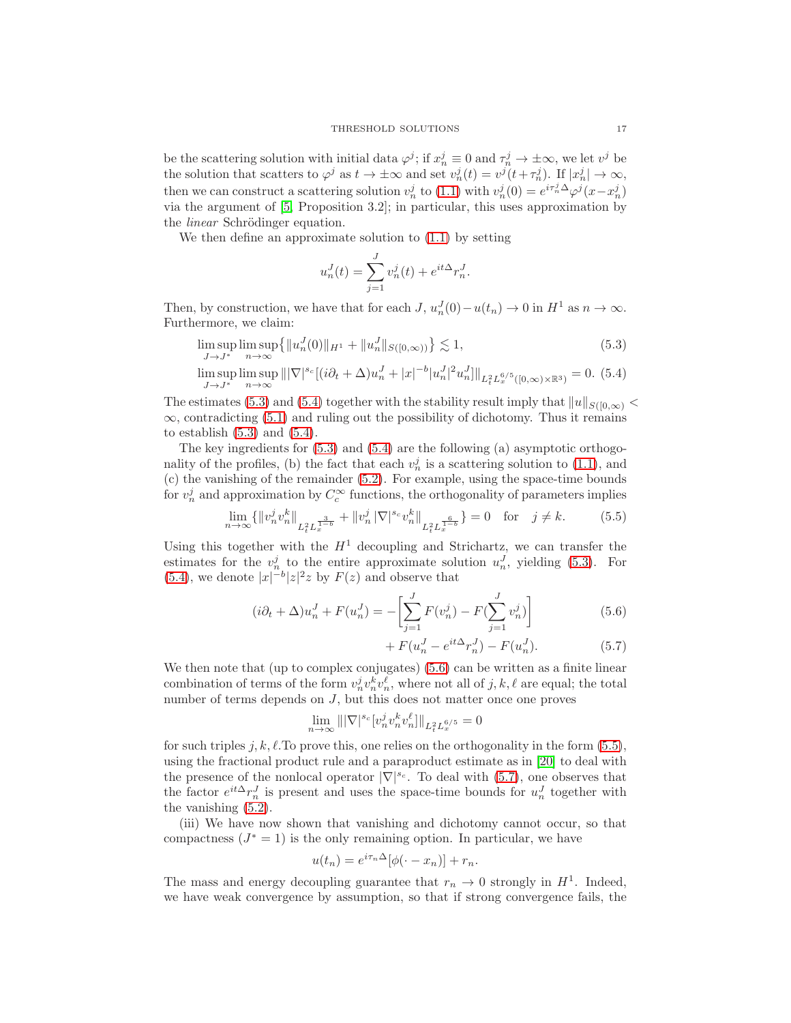be the scattering solution with initial data  $\varphi^j$ ; if  $x_n^j \equiv 0$  and  $\tau_n^j \to \pm \infty$ , we let  $v^j$  be the solution that scatters to  $\varphi^j$  as  $t \to \pm \infty$  and set  $v_n^j(t) = v^j(t + \tau_n^j)$ . If  $|x_n^j| \to \infty$ , then we can construct a scattering solution  $v_n^j$  to [\(1.1\)](#page-0-0) with  $v_n^j(0) = e^{i\tau_n^j \Delta} \varphi^j(x - x_n^j)$ via the argument of [\[5,](#page-32-3) Proposition 3.2]; in particular, this uses approximation by the *linear* Schrödinger equation.

We then define an approximate solution to [\(1.1\)](#page-0-0) by setting

<span id="page-16-1"></span><span id="page-16-0"></span>
$$
u_n^J(t) = \sum_{j=1}^J v_n^j(t) + e^{it\Delta} r_n^J.
$$

Then, by construction, we have that for each  $J$ ,  $u_n^J(0) - u(t_n) \to 0$  in  $H^1$  as  $n \to \infty$ . Furthermore, we claim:

$$
\limsup_{J \to J^*} \limsup_{n \to \infty} \{ \|u_n^J(0)\|_{H^1} + \|u_n^J\|_{S([0,\infty))} \} \lesssim 1,
$$
\n(5.3)

$$
\limsup_{J \to J^*} \limsup_{n \to \infty} |||\nabla|^{s_c} [(i\partial_t + \Delta)u_n^J + |x|^{-b} |u_n^J|^2 u_n^J]||_{L_t^2 L_x^{6/5}([0,\infty) \times \mathbb{R}^3)} = 0. (5.4)
$$

The estimates [\(5.3\)](#page-16-0) and [\(5.4\)](#page-16-1) together with the stability result imply that  $||u||_{S([0,\infty)} <$  $\infty$ , contradicting [\(5.1\)](#page-15-1) and ruling out the possibility of dichotomy. Thus it remains to establish  $(5.3)$  and  $(5.4)$ .

The key ingredients for [\(5.3\)](#page-16-0) and [\(5.4\)](#page-16-1) are the following (a) asymptotic orthogonality of the profiles, (b) the fact that each  $v_n^j$  is a scattering solution to [\(1.1\)](#page-0-0), and (c) the vanishing of the remainder [\(5.2\)](#page-15-2). For example, using the space-time bounds for  $v_n^j$  and approximation by  $C_c^{\infty}$  functions, the orthogonality of parameters implies

$$
\lim_{n \to \infty} \{ \|v_n^j v_n^k\|_{L_t^2 L_x^{\frac{3}{1-b}}} + \|v_n^j \|\nabla|^{s_c} v_n^k\|_{L_t^2 L_x^{\frac{6}{1-b}}} \} = 0 \quad \text{for} \quad j \neq k. \tag{5.5}
$$

Using this together with the  $H<sup>1</sup>$  decoupling and Strichartz, we can transfer the estimates for the  $v_n^j$  to the entire approximate solution  $u_n^j$ , yielding [\(5.3\)](#page-16-0). For [\(5.4\)](#page-16-1), we denote  $|x|^{-b}|z|^2z$  by  $F(z)$  and observe that

$$
(i\partial_t + \Delta)u_n^J + F(u_n^J) = -\left[\sum_{j=1}^J F(v_n^j) - F(\sum_{j=1}^J v_n^j)\right]
$$
(5.6)

<span id="page-16-4"></span><span id="page-16-3"></span><span id="page-16-2"></span>+ 
$$
F(u_n^J - e^{it\Delta}r_n^J) - F(u_n^J)
$$
. (5.7)

We then note that (up to complex conjugates) [\(5.6\)](#page-16-2) can be written as a finite linear combination of terms of the form  $v_n^j v_n^k v_n^{\ell}$ , where not all of  $j, k, \ell$  are equal; the total number of terms depends on J, but this does not matter once one proves

$$
\lim_{n\to\infty} \||\nabla|^{s_c}[v_n^jv_n^kv_n^\ell]\|_{L^2_tL^{6/5}_x}=0
$$

for such triples j, k,  $\ell$ . To prove this, one relies on the orthogonality in the form [\(5.5\)](#page-16-3), using the fractional product rule and a paraproduct estimate as in [\[20\]](#page-33-13) to deal with the presence of the nonlocal operator  $|\nabla|^{s_c}$ . To deal with [\(5.7\)](#page-16-4), one observes that the factor  $e^{it\Delta}r_n^J$  is present and uses the space-time bounds for  $u_n^J$  together with the vanishing [\(5.2\)](#page-15-2).

(iii) We have now shown that vanishing and dichotomy cannot occur, so that compactness  $(J^* = 1)$  is the only remaining option. In particular, we have

$$
u(t_n) = e^{i\tau_n \Delta} [\phi(\cdot - x_n)] + r_n.
$$

The mass and energy decoupling guarantee that  $r_n \to 0$  strongly in  $H^1$ . Indeed, we have weak convergence by assumption, so that if strong convergence fails, the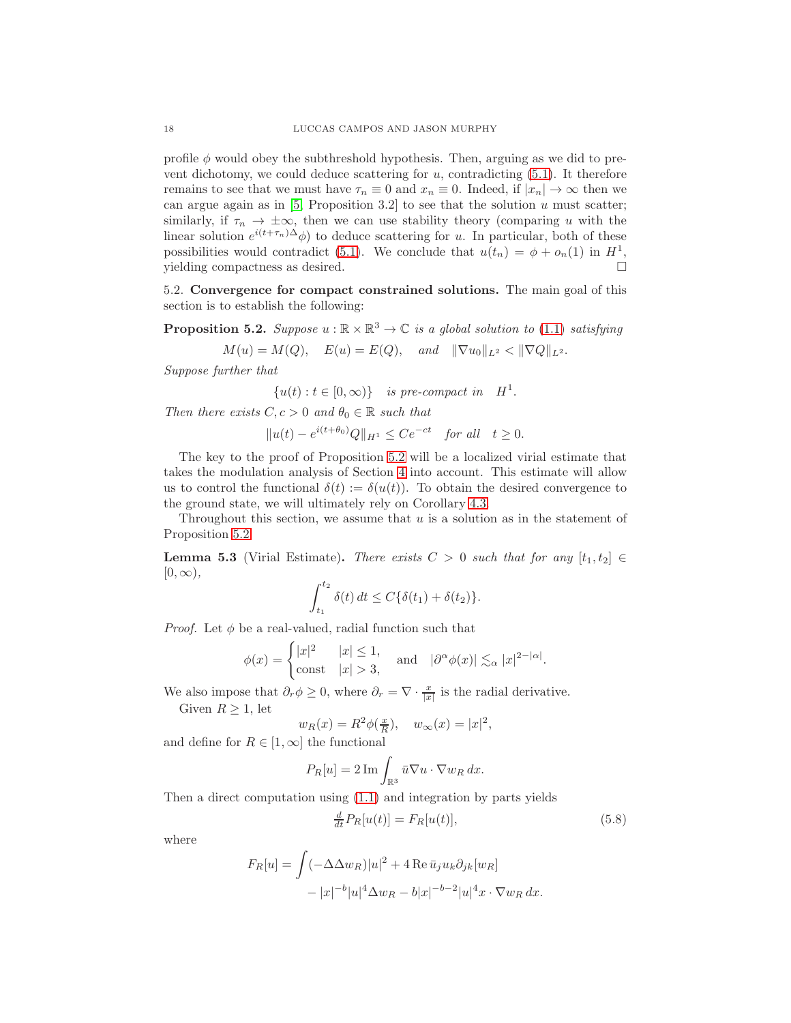profile  $\phi$  would obey the subthreshold hypothesis. Then, arguing as we did to prevent dichotomy, we could deduce scattering for  $u$ , contradicting  $(5.1)$ . It therefore remains to see that we must have  $\tau_n \equiv 0$  and  $x_n \equiv 0$ . Indeed, if  $|x_n| \to \infty$  then we can argue again as in  $[5,$  Proposition 3.2] to see that the solution  $u$  must scatter; similarly, if  $\tau_n \to \pm \infty$ , then we can use stability theory (comparing u with the linear solution  $e^{i(t+\tau_n)\Delta}\phi$  to deduce scattering for u. In particular, both of these possibilities would contradict [\(5.1\)](#page-15-1). We conclude that  $u(t_n) = \phi + o_n(1)$  in  $H^1$ , yielding compactness as desired.

5.2. Convergence for compact constrained solutions. The main goal of this section is to establish the following:

<span id="page-17-0"></span>**Proposition 5.2.** Suppose  $u : \mathbb{R} \times \mathbb{R}^3 \to \mathbb{C}$  is a global solution to [\(1.1\)](#page-0-0) satisfying

$$
M(u) = M(Q),
$$
  $E(u) = E(Q),$  and  $\|\nabla u_0\|_{L^2} < \|\nabla Q\|_{L^2}.$ 

Suppose further that

 $\{u(t): t \in [0, \infty)\}\$  is pre-compact in  $H^1$ .

Then there exists  $C, c > 0$  and  $\theta_0 \in \mathbb{R}$  such that

 $||u(t) - e^{i(t+\theta_0)}Q||_{H^1} \le Ce^{-ct}$  for all  $t \ge 0$ .

The key to the proof of Proposition [5.2](#page-17-0) will be a localized virial estimate that takes the modulation analysis of Section [4](#page-10-0) into account. This estimate will allow us to control the functional  $\delta(t) := \delta(u(t))$ . To obtain the desired convergence to the ground state, we will ultimately rely on Corollary [4.3.](#page-14-1)

Throughout this section, we assume that  $u$  is a solution as in the statement of Proposition [5.2.](#page-17-0)

<span id="page-17-2"></span>**Lemma 5.3** (Virial Estimate). There exists  $C > 0$  such that for any  $[t_1, t_2] \in$  $[0, \infty),$ 

$$
\int_{t_1}^{t_2} \delta(t) dt \le C\{\delta(t_1) + \delta(t_2)\}.
$$

*Proof.* Let  $\phi$  be a real-valued, radial function such that

$$
\phi(x) = \begin{cases} |x|^2 & |x| \le 1, \\ \text{const} & |x| > 3, \end{cases} \quad \text{and} \quad |\partial^{\alpha}\phi(x)| \lesssim_{\alpha} |x|^{2-|\alpha|}.
$$

We also impose that  $\partial_r \phi \geq 0$ , where  $\partial_r = \nabla \cdot \frac{x}{|x|}$  is the radial derivative. Given  $R > 1$ , let

$$
u \leq 1, \text{ for}
$$
\n
$$
u_{\text{D}}(x)
$$

$$
w_R(x) = R^2 \phi(\frac{x}{R}), \quad w_\infty(x) = |x|^2,
$$
  
the functional

and define for  $R \in [1,\infty]$  the functional

$$
P_R[u] = 2 \operatorname{Im} \int_{\mathbb{R}^3} \bar{u} \nabla u \cdot \nabla w_R \, dx.
$$

Then a direct computation using [\(1.1\)](#page-0-0) and integration by parts yields

<span id="page-17-1"></span>
$$
\frac{d}{dt}P_R[u(t)] = F_R[u(t)],\tag{5.8}
$$

where

$$
F_R[u] = \int (-\Delta \Delta w_R)|u|^2 + 4 \operatorname{Re} \bar{u}_j u_k \partial_{jk} [w_R]
$$

$$
- |x|^{-b} |u|^4 \Delta w_R - b|x|^{-b-2} |u|^4 x \cdot \nabla w_R dx.
$$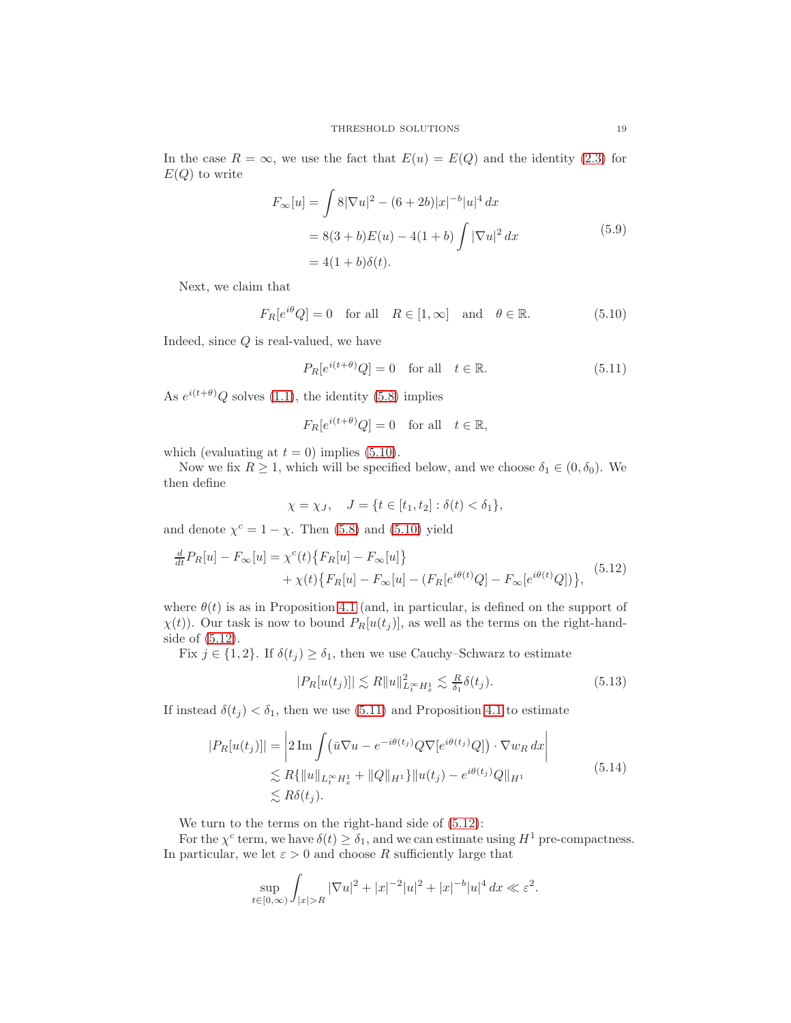In the case  $R = \infty$ , we use the fact that  $E(u) = E(Q)$  and the identity [\(2.3\)](#page-4-2) for  $E(Q)$  to write

$$
F_{\infty}[u] = \int 8|\nabla u|^2 - (6+2b)|x|^{-b}|u|^4 dx
$$
  
= 8(3+b)E(u) - 4(1+b)  $\int |\nabla u|^2 dx$  (5.9)  
= 4(1+b)\delta(t).

Next, we claim that

$$
F_R[e^{i\theta}Q] = 0 \quad \text{for all} \quad R \in [1, \infty] \quad \text{and} \quad \theta \in \mathbb{R}.\tag{5.10}
$$

Indeed, since Q is real-valued, we have

<span id="page-18-3"></span><span id="page-18-1"></span><span id="page-18-0"></span>
$$
P_R[e^{i(t+\theta)}Q] = 0 \quad \text{for all} \quad t \in \mathbb{R}.\tag{5.11}
$$

As  $e^{i(t+\theta)}Q$  solves [\(1.1\)](#page-0-0), the identity [\(5.8\)](#page-17-1) implies

$$
F_R[e^{i(t+\theta)}Q] = 0 \quad \text{for all} \quad t \in \mathbb{R},
$$

which (evaluating at  $t = 0$ ) implies [\(5.10\)](#page-18-1).

Now we fix  $R \ge 1$ , which will be specified below, and we choose  $\delta_1 \in (0, \delta_0)$ . We then define

<span id="page-18-2"></span>
$$
\chi = \chi_J, \quad J = \{ t \in [t_1, t_2] : \delta(t) < \delta_1 \},
$$

and denote  $\chi^c = 1 - \chi$ . Then [\(5.8\)](#page-17-1) and [\(5.10\)](#page-18-1) yield

$$
\frac{d}{dt}P_R[u] - F_{\infty}[u] = \chi^c(t) \{ F_R[u] - F_{\infty}[u] \} \n+ \chi(t) \{ F_R[u] - F_{\infty}[u] - (F_R[e^{i\theta(t)}Q] - F_{\infty}[e^{i\theta(t)}Q]) \},
$$
\n(5.12)

where  $\theta(t)$  is as in Proposition [4.1](#page-10-2) (and, in particular, is defined on the support of  $\chi(t)$ ). Our task is now to bound  $P_R[u(t_j)]$ , as well as the terms on the right-handside of [\(5.12\)](#page-18-2).

Fix  $j \in \{1, 2\}$ . If  $\delta(t_j) \geq \delta_1$ , then we use Cauchy–Schwarz to estimate

<span id="page-18-5"></span><span id="page-18-4"></span>
$$
|P_R[u(t_j)]| \lesssim R \|u\|_{L_t^\infty H_x^1}^2 \lesssim \frac{R}{\delta_1} \delta(t_j). \tag{5.13}
$$

If instead  $\delta(t_j) < \delta_1$ , then we use [\(5.11\)](#page-18-3) and Proposition [4.1](#page-10-2) to estimate

$$
|P_R[u(t_j)]| = \left|2\operatorname{Im}\int (\bar{u}\nabla u - e^{-i\theta(t_j)}Q\nabla[e^{i\theta(t_j)}Q]) \cdot \nabla w_R dx\right|
$$
  
\n
$$
\lesssim R\{\|u\|_{L_t^\infty H_x^1} + \|Q\|_{H^1}\}\|u(t_j) - e^{i\theta(t_j)}Q\|_{H^1}
$$
  
\n
$$
\lesssim R\delta(t_j).
$$
\n(5.14)

We turn to the terms on the right-hand side of [\(5.12\)](#page-18-2):

For the  $\chi^c$  term, we have  $\delta(t) \geq \delta_1$ , and we can estimate using  $H^1$  pre-compactness. In particular, we let  $\varepsilon > 0$  and choose R sufficiently large that

$$
\sup_{t \in [0,\infty)} \int_{|x|>R} |\nabla u|^2 + |x|^{-2} |u|^2 + |x|^{-b} |u|^4 dx \ll \varepsilon^2.
$$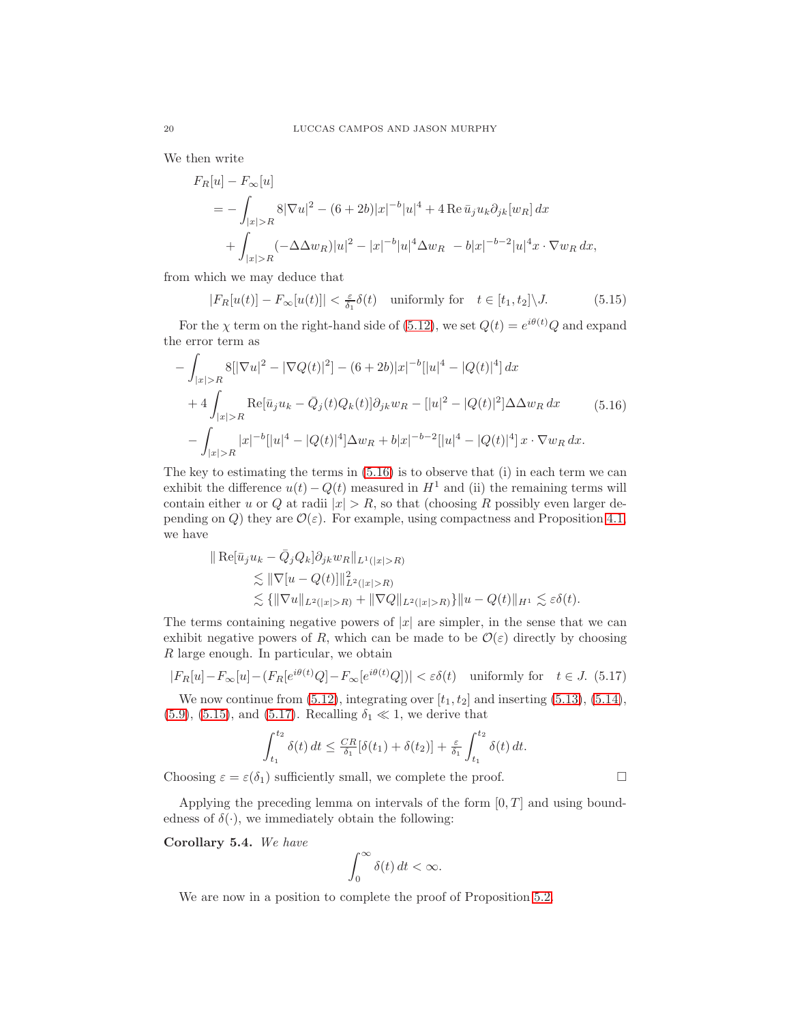We then write

$$
F_R[u] - F_{\infty}[u]
$$
  
=  $-\int_{|x|>R} 8|\nabla u|^2 - (6+2b)|x|^{-b}|u|^4 + 4 \operatorname{Re} \bar{u}_j u_k \partial_{jk}[w_R] dx$   
+  $\int_{|x|>R} (-\Delta \Delta w_R)|u|^2 - |x|^{-b}|u|^4 \Delta w_R - b|x|^{-b-2}|u|^4 x \cdot \nabla w_R dx,$ 

from which we may deduce that

<span id="page-19-1"></span><span id="page-19-0"></span>
$$
|F_R[u(t)] - F_{\infty}[u(t)]| < \frac{\varepsilon}{\delta_1} \delta(t) \quad \text{uniformly for} \quad t \in [t_1, t_2] \setminus J. \tag{5.15}
$$

For the  $\chi$  term on the right-hand side of [\(5.12\)](#page-18-2), we set  $Q(t) = e^{i\theta(t)}Q$  and expand the error term as

$$
-\int_{|x|>R} 8[|\nabla u|^2 - |\nabla Q(t)|^2] - (6+2b)|x|^{-b}[|u|^4 - |Q(t)|^4] dx
$$
  
+4
$$
\int_{|x|>R} \text{Re}[\bar{u}_j u_k - \bar{Q}_j(t)Q_k(t)]\partial_{jk}w_R - [|u|^2 - |Q(t)|^2] \Delta \Delta w_R dx
$$
(5.16)  
-
$$
\int_{|x|>R} |x|^{-b}[|u|^4 - |Q(t)|^4] \Delta w_R + b|x|^{-b-2}[|u|^4 - |Q(t)|^4]x \cdot \nabla w_R dx.
$$

The key to estimating the terms in [\(5.16\)](#page-19-0) is to observe that (i) in each term we can exhibit the difference  $u(t) - Q(t)$  measured in  $H<sup>1</sup>$  and (ii) the remaining terms will contain either u or Q at radii  $|x| > R$ , so that (choosing R possibly even larger depending on Q) they are  $\mathcal{O}(\varepsilon)$ . For example, using compactness and Proposition [4.1,](#page-10-2) we have

$$
\| \operatorname{Re}[\bar{u}_j u_k - \bar{Q}_j Q_k] \partial_{jk} w_R \|_{L^1(|x|>R)} \n\lesssim \| \nabla[u - Q(t)] \|_{L^2(|x|>R)}^2 \n\lesssim \{ \| \nabla u \|_{L^2(|x|>R)} + \| \nabla Q \|_{L^2(|x|>R)} \} \| u - Q(t) \|_{H^1} \lesssim \varepsilon \delta(t).
$$

The terms containing negative powers of  $|x|$  are simpler, in the sense that we can exhibit negative powers of R, which can be made to be  $\mathcal{O}(\varepsilon)$  directly by choosing R large enough. In particular, we obtain

$$
|F_R[u] - F_{\infty}[u] - (F_R[e^{i\theta(t)}Q] - F_{\infty}[e^{i\theta(t)}Q])| < \varepsilon\delta(t) \quad \text{uniformly for} \quad t \in J. \tag{5.17}
$$

We now continue from  $(5.12)$ , integrating over  $[t_1, t_2]$  and inserting  $(5.13)$ ,  $(5.14)$ , [\(5.9\)](#page-18-0), [\(5.15\)](#page-19-1), and [\(5.17\)](#page-19-2). Recalling  $\delta_1 \ll 1$ , we derive that

$$
\int_{t_1}^{t_2} \delta(t) dt \leq \frac{CR}{\delta_1} [\delta(t_1) + \delta(t_2)] + \frac{\varepsilon}{\delta_1} \int_{t_1}^{t_2} \delta(t) dt.
$$

Choosing  $\varepsilon = \varepsilon(\delta_1)$  sufficiently small, we complete the proof.

Applying the preceding lemma on intervals of the form  $[0, T]$  and using boundedness of  $\delta(\cdot)$ , we immediately obtain the following:

<span id="page-19-3"></span>Corollary 5.4. We have

<span id="page-19-2"></span>
$$
\int_0^\infty \delta(t) \, dt < \infty.
$$

We are now in a position to complete the proof of Proposition [5.2.](#page-17-0)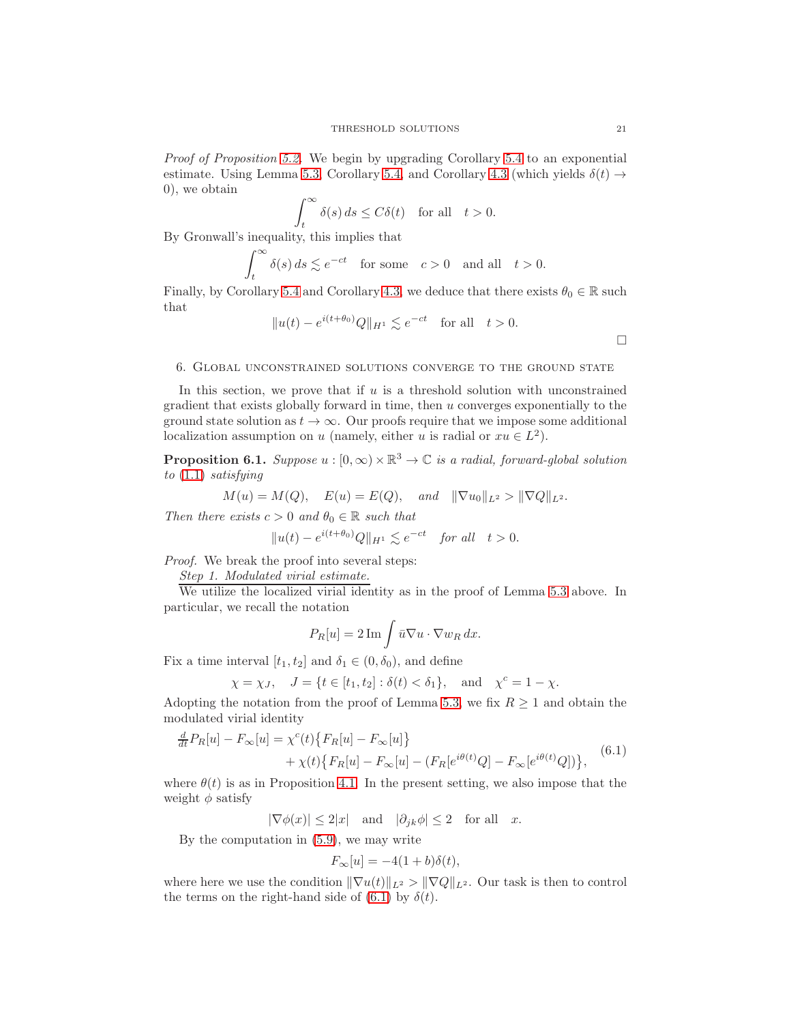Proof of Proposition [5.2.](#page-17-0) We begin by upgrading Corollary [5.4](#page-19-3) to an exponential estimate. Using Lemma [5.3,](#page-17-2) Corollary [5.4,](#page-19-3) and Corollary [4.3](#page-14-1) (which yields  $\delta(t) \rightarrow$ 0), we obtain

$$
\int_t^{\infty} \delta(s) ds \le C\delta(t) \quad \text{for all} \quad t > 0.
$$

 $B_y$  Gronwall's inequality, this implies that

$$
\int_t^\infty \delta(s)\,ds \lesssim e^{-ct} \quad \text{for some} \quad c > 0 \quad \text{and all} \quad t > 0.
$$

Finally, by Corollary [5.4](#page-19-3) and Corollary [4.3,](#page-14-1) we deduce that there exists  $\theta_0 \in \mathbb{R}$  such that

$$
||u(t) - e^{i(t+\theta_0)}Q||_{H^1} \lesssim e^{-ct} \quad \text{for all} \quad t > 0.
$$

 $\Box$ 

#### <span id="page-20-0"></span>6. Global unconstrained solutions converge to the ground state

In this section, we prove that if  $u$  is a threshold solution with unconstrained gradient that exists globally forward in time, then u converges exponentially to the ground state solution as  $t \to \infty$ . Our proofs require that we impose some additional localization assumption on u (namely, either u is radial or  $xu \in L^2$ ).

<span id="page-20-2"></span>**Proposition 6.1.** Suppose  $u : [0, \infty) \times \mathbb{R}^3 \to \mathbb{C}$  is a radial, forward-global solution to [\(1.1\)](#page-0-0) satisfying

$$
M(u) = M(Q)
$$
,  $E(u) = E(Q)$ , and  $\|\nabla u_0\|_{L^2} > \|\nabla Q\|_{L^2}$ .

Then there exists  $c > 0$  and  $\theta_0 \in \mathbb{R}$  such that

$$
||u(t) - e^{i(t+\theta_0)}Q||_{H^1} \lesssim e^{-ct} \quad \text{for all} \quad t > 0.
$$

Proof. We break the proof into several steps:

Step 1. Modulated virial estimate.

We utilize the localized virial identity as in the proof of Lemma [5.3](#page-17-2) above. In particular, we recall the notation

$$
P_R[u] = 2 \operatorname{Im} \int \bar{u} \nabla u \cdot \nabla w_R \, dx.
$$

Fix a time interval  $[t_1, t_2]$  and  $\delta_1 \in (0, \delta_0)$ , and define

$$
\chi = \chi_J
$$
,  $J = \{ t \in [t_1, t_2] : \delta(t) < \delta_1 \}$ , and  $\chi^c = 1 - \chi$ .

Adopting the notation from the proof of Lemma [5.3,](#page-17-2) we fix  $R \geq 1$  and obtain the modulated virial identity

$$
\frac{d}{dt}P_R[u] - F_{\infty}[u] = \chi^c(t) \{ F_R[u] - F_{\infty}[u] \} \n+ \chi(t) \{ F_R[u] - F_{\infty}[u] - (F_R[e^{i\theta(t)}Q] - F_{\infty}[e^{i\theta(t)}Q]) \},
$$
\n(6.1)

where  $\theta(t)$  is as in Proposition [4.1.](#page-10-2) In the present setting, we also impose that the weight  $\phi$  satisfy

 $|\nabla \phi(x)| \leq 2|x|$  and  $|\partial_{jk}\phi| \leq 2$  for all x.

By the computation in [\(5.9\)](#page-18-0), we may write

<span id="page-20-1"></span>
$$
F_{\infty}[u] = -4(1+b)\delta(t),
$$

where here we use the condition  $\|\nabla u(t)\|_{L^2} > \|\nabla Q\|_{L^2}$ . Our task is then to control the terms on the right-hand side of [\(6.1\)](#page-20-1) by  $\delta(t)$ .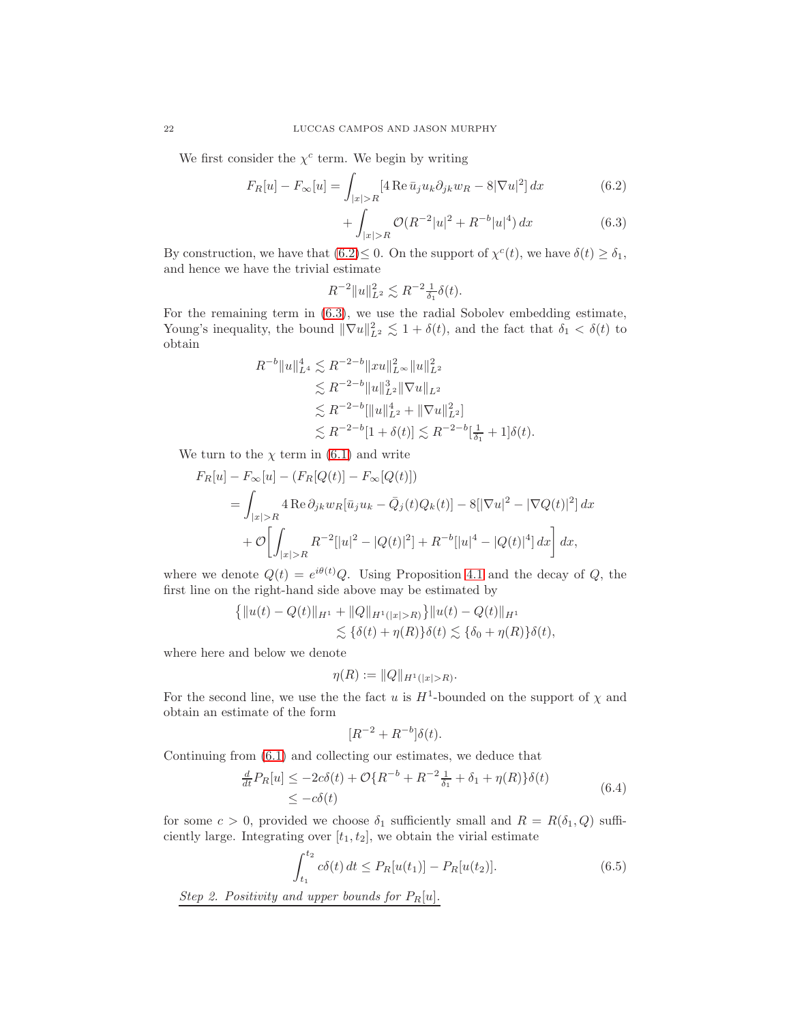We first consider the  $\chi^c$  term. We begin by writing

$$
F_R[u] - F_{\infty}[u] = \int_{|x| > R} [4 \operatorname{Re} \bar{u}_j u_k \partial_{jk} w_R - 8|\nabla u|^2] dx \tag{6.2}
$$

<span id="page-21-1"></span><span id="page-21-0"></span>
$$
+\int_{|x|>R} \mathcal{O}(R^{-2}|u|^2 + R^{-b}|u|^4) dx \tag{6.3}
$$

By construction, we have that  $(6.2) \leq 0$ . On the support of  $\chi^c(t)$ , we have  $\delta(t) \geq \delta_1$ , and hence we have the trivial estimate

$$
R^{-2} \|u\|_{L^2}^2 \lesssim R^{-2} \frac{1}{\delta_1} \delta(t).
$$

For the remaining term in [\(6.3\)](#page-21-1), we use the radial Sobolev embedding estimate, Young's inequality, the bound  $\|\nabla u\|_{L^2}^2 \lesssim 1 + \delta(t)$ , and the fact that  $\delta_1 < \delta(t)$  to obtain

$$
R^{-b} \|u\|_{L^4}^4 \lesssim R^{-2-b} \|xu\|_{L^\infty}^2 \|u\|_{L^2}^2
$$
  
\n
$$
\lesssim R^{-2-b} \|u\|_{L^2}^3 \|\nabla u\|_{L^2}
$$
  
\n
$$
\lesssim R^{-2-b} \|u\|_{L^2}^4 + \|\nabla u\|_{L^2}^2]
$$
  
\n
$$
\lesssim R^{-2-b} [1+\delta(t)] \lesssim R^{-2-b} [\frac{1}{\delta_1}+1]\delta(t).
$$

We turn to the  $\chi$  term in [\(6.1\)](#page-20-1) and write

$$
F_R[u] - F_{\infty}[u] - (F_R[Q(t)] - F_{\infty}[Q(t)])
$$
  
= 
$$
\int_{|x|>R} 4 \operatorname{Re} \partial_{jk} w_R[\bar{u}_j u_k - \bar{Q}_j(t)Q_k(t)] - 8[|\nabla u|^2 - |\nabla Q(t)|^2] dx
$$
  
+ 
$$
\mathcal{O}\left[\int_{|x|>R} R^{-2}[|u|^2 - |Q(t)|^2] + R^{-b}[|u|^4 - |Q(t)|^4] dx\right] dx,
$$

where we denote  $Q(t) = e^{i\theta(t)}Q$ . Using Proposition [4.1](#page-10-2) and the decay of Q, the first line on the right-hand side above may be estimated by

$$
\{||u(t) - Q(t)||_{H^1} + ||Q||_{H^1(|x|>R)}\}||u(t) - Q(t)||_{H^1}
$$
  

$$
\lesssim {\delta(t) + \eta(R)}{\delta(t) \lesssim {\delta_0 + \eta(R)}{\delta(t),
$$

where here and below we denote

$$
\eta(R) := ||Q||_{H^1(|x|>R)}.
$$

For the second line, we use the the fact u is  $H^1$ -bounded on the support of  $\chi$  and obtain an estimate of the form

<span id="page-21-3"></span><span id="page-21-2"></span>
$$
[R^{-2} + R^{-b}]\delta(t).
$$

Continuing from [\(6.1\)](#page-20-1) and collecting our estimates, we deduce that

$$
\frac{d}{dt}P_R[u] \le -2c\delta(t) + \mathcal{O}\{R^{-b} + R^{-2}\frac{1}{\delta_1} + \delta_1 + \eta(R)\}\delta(t)
$$
\n
$$
\le -c\delta(t) \tag{6.4}
$$

for some  $c > 0$ , provided we choose  $\delta_1$  sufficiently small and  $R = R(\delta_1, Q)$  sufficiently large. Integrating over  $[t_1, t_2]$ , we obtain the virial estimate

$$
\int_{t_1}^{t_2} c\delta(t) dt \le P_R[u(t_1)] - P_R[u(t_2)].
$$
\n(6.5)

Step 2. Positivity and upper bounds for  $P_R[u]$ .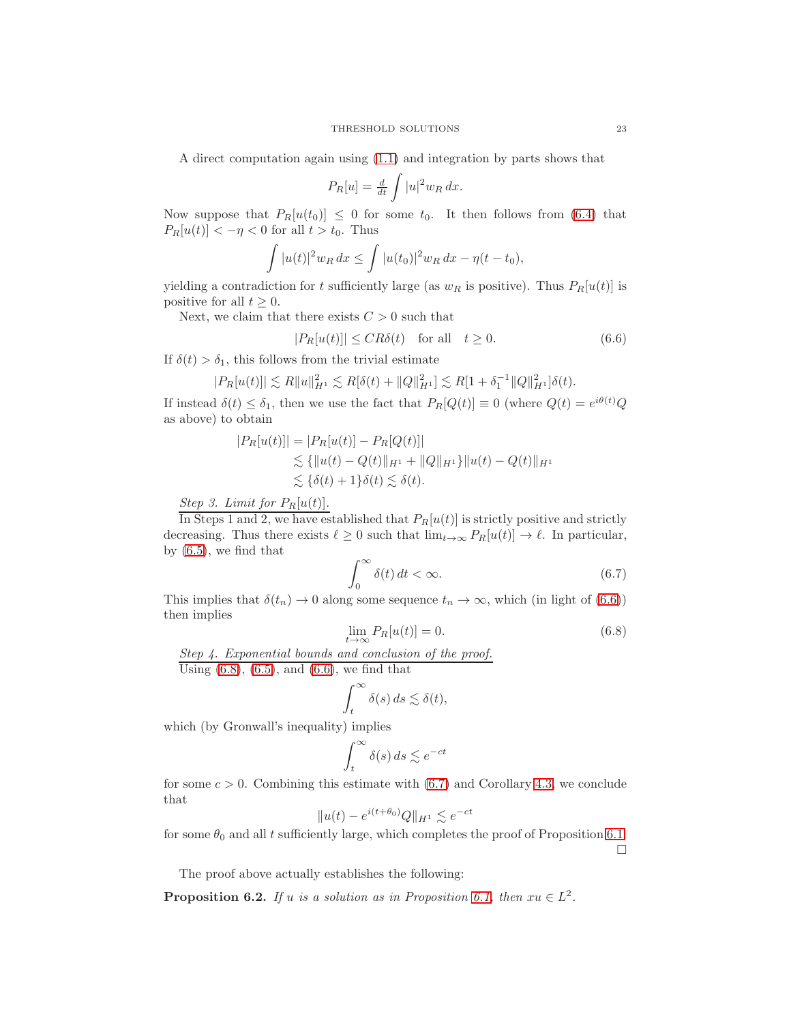A direct computation again using [\(1.1\)](#page-0-0) and integration by parts shows that

$$
P_R[u] = \frac{d}{dt} \int |u|^2 w_R dx.
$$

Now suppose that  $P_R[u(t_0)] \leq 0$  for some  $t_0$ . It then follows from [\(6.4\)](#page-21-2) that  $P_R[u(t)] < -\eta < 0$  for all  $t > t_0$ . Thus

$$
\int |u(t)|^2 w_R dx \le \int |u(t_0)|^2 w_R dx - \eta(t - t_0),
$$

yielding a contradiction for t sufficiently large (as  $w_R$  is positive). Thus  $P_R[u(t)]$  is positive for all  $t \geq 0$ .

Next, we claim that there exists  $C > 0$  such that

<span id="page-22-0"></span>
$$
|P_R[u(t)]| \le CR\delta(t) \quad \text{for all} \quad t \ge 0. \tag{6.6}
$$

If  $\delta(t) > \delta_1$ , this follows from the trivial estimate

$$
|P_R[u(t)]| \lesssim R||u||_{H^1}^2 \lesssim R[\delta(t) + ||Q||_{H^1}^2] \lesssim R[1 + \delta_1^{-1} ||Q||_{H^1}^2]\delta(t).
$$

If instead  $\delta(t) \leq \delta_1$ , then we use the fact that  $P_R[Q(t)] \equiv 0$  (where  $Q(t) = e^{i\theta(t)}Q$ as above) to obtain

$$
|P_R[u(t)]| = |P_R[u(t)] - P_R[Q(t)]|
$$
  
\n
$$
\lesssim \{ ||u(t) - Q(t)||_{H^1} + ||Q||_{H^1} \} ||u(t) - Q(t)||_{H^1}
$$
  
\n
$$
\lesssim \{ \delta(t) + 1 \} \delta(t) \lesssim \delta(t).
$$

Step 3. Limit for  $P_R[u(t)]$ .

In Steps 1 and 2, we have established that  $P_R[u(t)]$  is strictly positive and strictly decreasing. Thus there exists  $\ell \geq 0$  such that  $\lim_{t\to\infty} P_R[u(t)] \to \ell$ . In particular, by [\(6.5\)](#page-21-3), we find that

<span id="page-22-2"></span>
$$
\int_0^\infty \delta(t) \, dt < \infty. \tag{6.7}
$$

This implies that  $\delta(t_n) \to 0$  along some sequence  $t_n \to \infty$ , which (in light of [\(6.6\)](#page-22-0)) then implies

<span id="page-22-1"></span>
$$
\lim_{t \to \infty} P_R[u(t)] = 0. \tag{6.8}
$$

Step 4. Exponential bounds and conclusion of the proof.

Using  $(6.8)$ ,  $(6.5)$ , and  $(6.6)$ , we find that

$$
\int_t^\infty \delta(s) \, ds \lesssim \delta(t),
$$

which (by Gronwall's inequality) implies

$$
\int_t^\infty \delta(s) \, ds \lesssim e^{-ct}
$$

for some  $c > 0$ . Combining this estimate with  $(6.7)$  and Corollary [4.3,](#page-14-1) we conclude that

$$
||u(t) - e^{i(t+\theta_0)}Q||_{H^1} \lesssim e^{-ct}
$$

for some  $\theta_0$  and all t sufficiently large, which completes the proof of Proposition [6.1.](#page-20-2)  $\Box$ 

The proof above actually establishes the following:

<span id="page-22-3"></span>**Proposition 6.2.** If u is a solution as in Proposition [6.1,](#page-20-2) then  $xu \in L^2$ .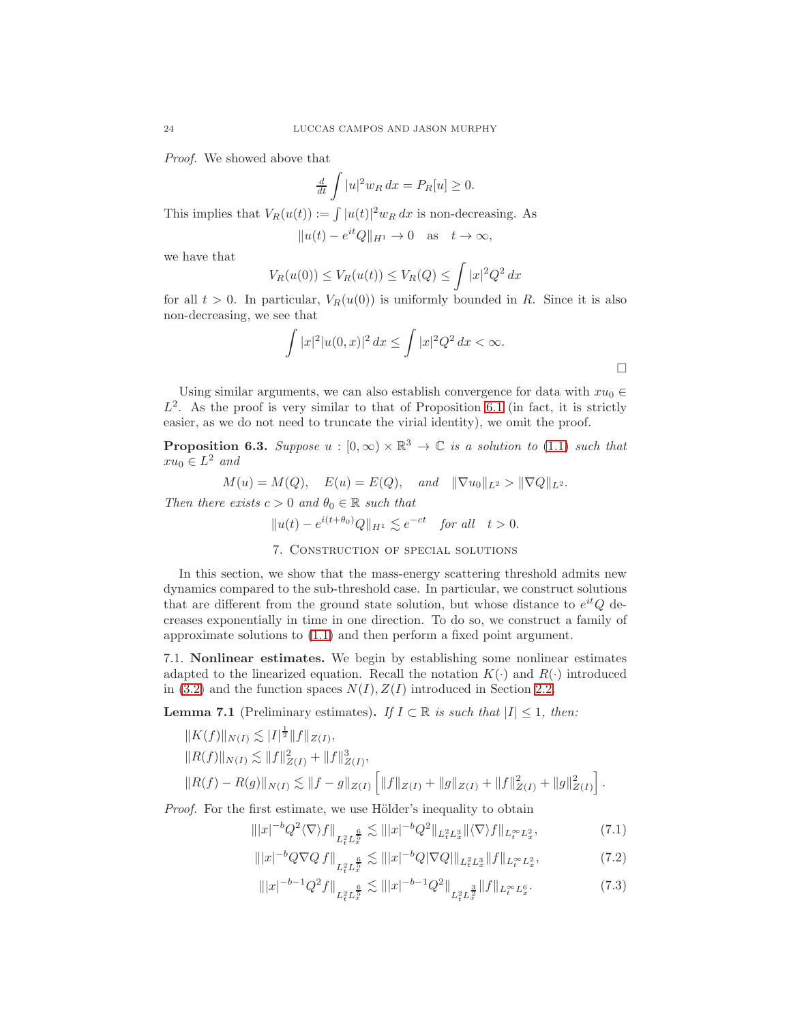Proof. We showed above that

$$
\frac{d}{dt} \int |u|^2 w_R dx = P_R[u] \ge 0.
$$

This implies that  $V_R(u(t)) := \int |u(t)|^2 w_R dx$  is non-decreasing. As

 $||u(t) - e^{it}Q||_{H^1} \to 0 \text{ as } t \to \infty,$ 

we have that

$$
V_R(u(0)) \le V_R(u(t)) \le V_R(Q) \le \int |x|^2 Q^2 dx
$$

for all  $t > 0$ . In particular,  $V_R(u(0))$  is uniformly bounded in R. Since it is also non-decreasing, we see that

$$
\int |x|^2 |u(0, x)|^2 dx \le \int |x|^2 Q^2 dx < \infty.
$$

Using similar arguments, we can also establish convergence for data with  $xu_0 \in$  $L^2$ . As the proof is very similar to that of Proposition [6.1](#page-20-2) (in fact, it is strictly easier, as we do not need to truncate the virial identity), we omit the proof.

**Proposition 6.3.** Suppose  $u : [0, \infty) \times \mathbb{R}^3 \to \mathbb{C}$  is a solution to [\(1.1\)](#page-0-0) such that  $xu_0 \in L^2$  and

$$
M(u) = M(Q)
$$
,  $E(u) = E(Q)$ , and  $\|\nabla u_0\|_{L^2} > \|\nabla Q\|_{L^2}$ .

<span id="page-23-0"></span>Then there exists  $c > 0$  and  $\theta_0 \in \mathbb{R}$  such that

$$
||u(t) - e^{i(t+\theta_0)}Q||_{H^1} \lesssim e^{-ct} \quad \text{for all} \quad t > 0.
$$

#### 7. Construction of special solutions

In this section, we show that the mass-energy scattering threshold admits new dynamics compared to the sub-threshold case. In particular, we construct solutions that are different from the ground state solution, but whose distance to  $e^{it}Q$  decreases exponentially in time in one direction. To do so, we construct a family of approximate solutions to [\(1.1\)](#page-0-0) and then perform a fixed point argument.

7.1. Nonlinear estimates. We begin by establishing some nonlinear estimates adapted to the linearized equation. Recall the notation  $K(\cdot)$  and  $R(\cdot)$  introduced in [\(3.2\)](#page-6-4) and the function spaces  $N(I)$ ,  $Z(I)$  introduced in Section [2.2.](#page-4-3)

<span id="page-23-1"></span>**Lemma 7.1** (Preliminary estimates). If  $I \subset \mathbb{R}$  is such that  $|I| \leq 1$ , then:

$$
||K(f)||_{N(I)} \lesssim |I|^{\frac{1}{2}} ||f||_{Z(I)},
$$
  
\n
$$
||R(f)||_{N(I)} \lesssim ||f||_{Z(I)}^{2} + ||f||_{Z(I)}^{3},
$$
  
\n
$$
||R(f) - R(g)||_{N(I)} \lesssim ||f - g||_{Z(I)} \left[ ||f||_{Z(I)} + ||g||_{Z(I)} + ||f||_{Z(I)}^{2} + ||g||_{Z(I)}^{2} \right].
$$

Proof. For the first estimate, we use Hölder's inequality to obtain

$$
\| |x|^{-b} Q^2 \langle \nabla \rangle f \|_{L_t^2 L_x^{\frac{6}{5}}} \lesssim \| |x|^{-b} Q^2 \|_{L_t^2 L_x^3} \| \langle \nabla \rangle f \|_{L_t^\infty L_x^2},\tag{7.1}
$$

$$
\| |x|^{-b} Q \nabla Q f \|_{L_t^2 L_x^{\frac{6}{5}}} \lesssim \| |x|^{-b} Q |\nabla Q| \|_{L_t^2 L_x^3} \| f \|_{L_t^\infty L_x^2}, \tag{7.2}
$$

<span id="page-23-4"></span><span id="page-23-3"></span><span id="page-23-2"></span>
$$
\| |x|^{-b-1} Q^2 f \|_{L_t^2 L_x^{\frac{6}{5}}} \lesssim \| |x|^{-b-1} Q^2 \|_{L_t^2 L_x^{\frac{3}{2}}} \| f \|_{L_t^\infty L_x^6} . \tag{7.3}
$$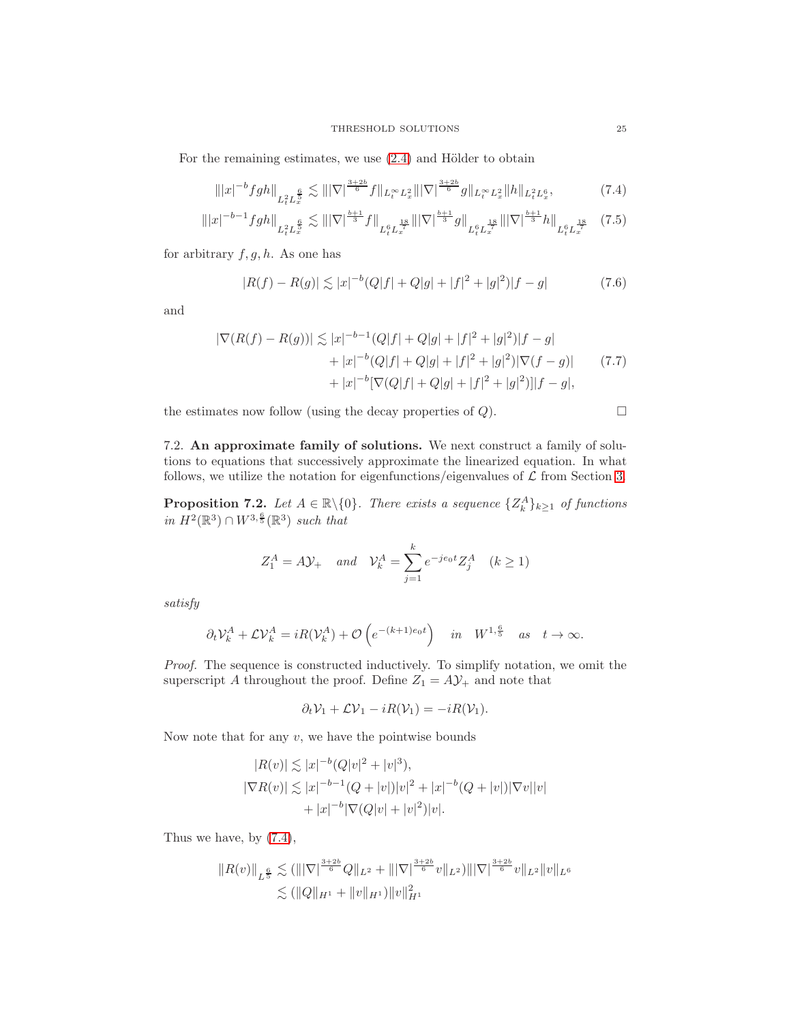For the remaining estimates, we use  $(2.4)$  and Hölder to obtain

$$
\| |x|^{-b} fgh \|_{L_{t}^{2} L_{x}^{\frac{6}{5}}} \lesssim \| |\nabla|^{\frac{3+2b}{6}} f \|_{L_{t}^{\infty} L_{x}^{2}} \| |\nabla|^{\frac{3+2b}{6}} g \|_{L_{t}^{\infty} L_{x}^{2}} \| h \|_{L_{t}^{2} L_{x}^{6}}, \tag{7.4}
$$

$$
\| |x|^{-b-1} fgh \|_{L_{t}^{2} L_{x}^{\frac{6}{5}}} \lesssim \| |\nabla|^{\frac{b+1}{3}} f \|_{L_{t}^{6} L_{x}^{\frac{18}{7}}} \| |\nabla|^{\frac{b+1}{3}} g \|_{L_{t}^{6} L_{x}^{\frac{18}{7}}} \| |\nabla|^{\frac{b+1}{3}} h \|_{L_{t}^{6} L_{x}^{\frac{18}{7}}} \tag{7.5}
$$

for arbitrary  $f, g, h$ . As one has

$$
|R(f) - R(g)| \lesssim |x|^{-b} (Q|f| + Q|g| + |f|^2 + |g|^2)|f - g| \tag{7.6}
$$

and

$$
|\nabla(R(f) - R(g))| \lesssim |x|^{-b-1}(Q|f| + Q|g| + |f|^2 + |g|^2)|f - g|
$$
  
+ 
$$
|x|^{-b}(Q|f| + Q|g| + |f|^2 + |g|^2)|\nabla(f - g)|
$$
  
+ 
$$
|x|^{-b}[\nabla(Q|f| + Q|g| + |f|^2 + |g|^2)]|f - g|,
$$
 (7.7)

the estimates now follow (using the decay properties of Q).

<span id="page-24-4"></span><span id="page-24-3"></span><span id="page-24-1"></span><span id="page-24-0"></span>
$$
\qquad \qquad \Box
$$

7.2. An approximate family of solutions. We next construct a family of solutions to equations that successively approximate the linearized equation. In what follows, we utilize the notation for eigenfunctions/eigenvalues of  $\mathcal L$  from Section [3.](#page-6-0)

<span id="page-24-2"></span>**Proposition 7.2.** Let  $A \in \mathbb{R} \setminus \{0\}$ . There exists a sequence  $\{Z_k^A\}_{k \geq 1}$  of functions in  $H^2(\mathbb{R}^3) \cap W^{3,\frac{6}{5}}(\mathbb{R}^3)$  such that

$$
Z_1^A = A\mathcal{Y}_+ \quad and \quad \mathcal{V}_k^A = \sum_{j=1}^k e^{-j\epsilon_0 t} Z_j^A \quad (k \ge 1)
$$

satisfy

$$
\partial_t \mathcal{V}_k^A + \mathcal{L} \mathcal{V}_k^A = iR(\mathcal{V}_k^A) + \mathcal{O}\left(e^{-(k+1)e_0 t}\right) \quad \text{in} \quad W^{1, \frac{6}{5}} \quad \text{as} \quad t \to \infty.
$$

Proof. The sequence is constructed inductively. To simplify notation, we omit the superscript  $A$  throughout the proof. Define  $Z_1 = A \mathcal{Y}_+$  and note that

$$
\partial_t \mathcal{V}_1 + \mathcal{L} \mathcal{V}_1 - iR(\mathcal{V}_1) = -iR(\mathcal{V}_1).
$$

Now note that for any  $v$ , we have the pointwise bounds

$$
|R(v)| \lesssim |x|^{-b} (Q|v|^2 + |v|^3),
$$
  
\n
$$
|\nabla R(v)| \lesssim |x|^{-b-1} (Q+|v|)|v|^2 + |x|^{-b} (Q+|v|)|\nabla v||v|
$$
  
\n
$$
+ |x|^{-b} |\nabla (Q|v| + |v|^2)|v|.
$$

Thus we have, by [\(7.4\)](#page-24-0),

$$
||R(v)||_{L^{\frac{6}{5}}} \lesssim (|||\nabla|^{\frac{3+2b}{6}}Q||_{L^2} + |||\nabla|^{\frac{3+2b}{6}}v||_{L^2})|||\nabla|^{\frac{3+2b}{6}}v||_{L^2}||v||_{L^6}
$$
  

$$
\lesssim (||Q||_{H^1} + ||v||_{H^1})||v||_{H^1}^2
$$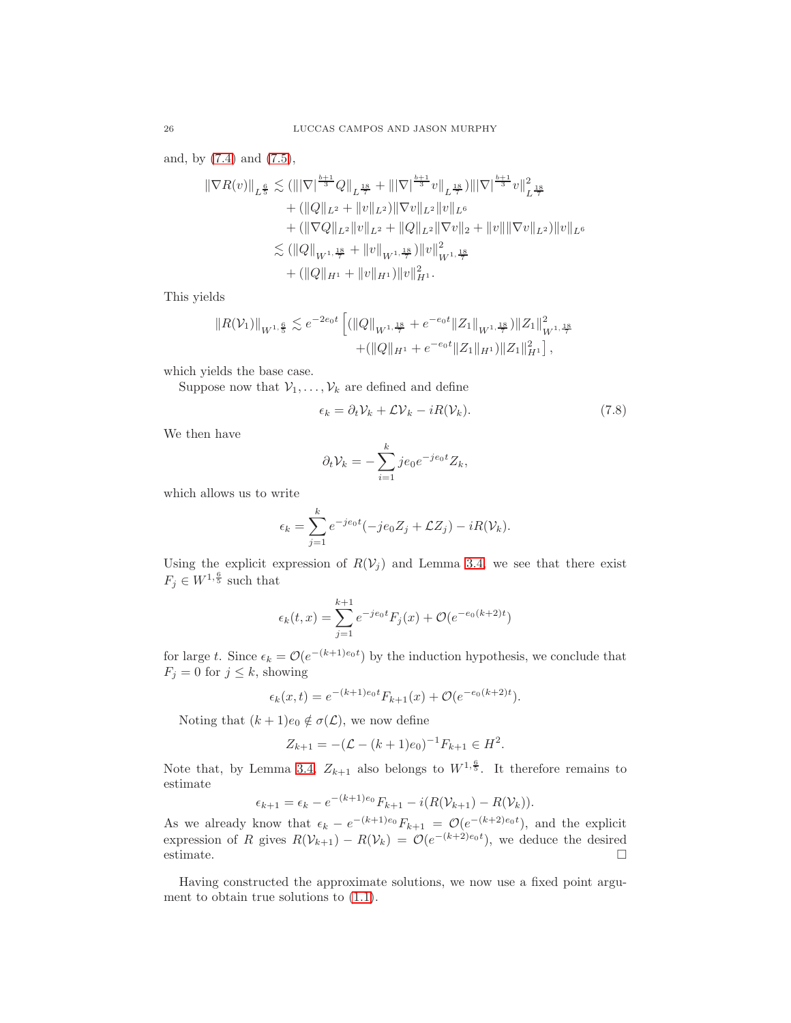and, by [\(7.4\)](#page-24-0) and [\(7.5\)](#page-24-1),

$$
\|\nabla R(v)\|_{L^{\frac{6}{5}}} \lesssim (\||\nabla|^{\frac{b+1}{3}}Q\|_{L^{\frac{18}{7}}} + \||\nabla|^{\frac{b+1}{3}}v\|_{L^{\frac{18}{7}}})\||\nabla|^{\frac{b+1}{3}}v\|_{L^{\frac{18}{7}}}^2 \n+ (\||Q\|_{L^2} + \|v\|_{L^2})\|\nabla v\|_{L^2}\|v\|_{L^6} \n+ (\|\nabla Q\|_{L^2}\|v\|_{L^2} + \|Q\|_{L^2}\|\nabla v\|_2 + \|v\|\|\nabla v\|_{L^2})\|v\|_{L^6} \n\lesssim (\||Q\|_{W^{1,\frac{18}{7}}} + \|v\|_{W^{1,\frac{18}{7}}})\|v\|_{W^{1,\frac{18}{7}}}^2 \n+ (\|Q\|_{H^1} + \|v\|_{H^1})\|v\|_{H^1}^2.
$$

This yields

$$
||R(\mathcal{V}_1)||_{W^{1,\frac{6}{5}}} \lesssim e^{-2e_0t} \left[ (||Q||_{W^{1,\frac{18}{7}}} + e^{-e_0t} ||Z_1||_{W^{1,\frac{18}{7}}}) ||Z_1||_{W^{1,\frac{18}{7}}}^2 + (||Q||_{H^1} + e^{-e_0t} ||Z_1||_{H^1}) ||Z_1||_{H^1}^2 \right],
$$

which yields the base case.

Suppose now that  $V_1, \ldots, V_k$  are defined and define

$$
\epsilon_k = \partial_t \mathcal{V}_k + \mathcal{L} \mathcal{V}_k - iR(\mathcal{V}_k). \tag{7.8}
$$

We then have

<span id="page-25-0"></span>
$$
\partial_t \mathcal{V}_k = -\sum_{i=1}^k j e_0 e^{-j e_0 t} Z_k,
$$

which allows us to write

$$
\epsilon_k = \sum_{j=1}^k e^{-je_0t}(-je_0Z_j + \mathcal{L}Z_j) - iR(\mathcal{V}_k).
$$

Using the explicit expression of  $R(V_i)$  and Lemma [3.4,](#page-8-0) we see that there exist  $F_j \in W^{1,\frac{6}{5}}$  such that

$$
\epsilon_k(t,x) = \sum_{j=1}^{k+1} e^{-je_0t} F_j(x) + \mathcal{O}(e^{-e_0(k+2)t})
$$

for large t. Since  $\epsilon_k = \mathcal{O}(e^{-(k+1)e_0 t})$  by the induction hypothesis, we conclude that  $F_j = 0$  for  $j \leq k$ , showing

$$
\epsilon_k(x,t) = e^{-(k+1)e_0t} F_{k+1}(x) + \mathcal{O}(e^{-e_0(k+2)t}).
$$

Noting that  $(k+1)e_0 \notin \sigma(\mathcal{L})$ , we now define

$$
Z_{k+1} = -(\mathcal{L} - (k+1)e_0)^{-1} F_{k+1} \in H^2.
$$

Note that, by Lemma [3.4,](#page-8-0)  $Z_{k+1}$  also belongs to  $W^{1,\frac{6}{5}}$ . It therefore remains to estimate

$$
\epsilon_{k+1} = \epsilon_k - e^{-(k+1)e_0} F_{k+1} - i(R(\mathcal{V}_{k+1}) - R(\mathcal{V}_k)).
$$

As we already know that  $\epsilon_k - e^{-(k+1)e_0} F_{k+1} = \mathcal{O}(e^{-(k+2)e_0 t})$ , and the explicit expression of R gives  $R(\mathcal{V}_{k+1}) - R(\mathcal{V}_k) = \mathcal{O}(e^{-(k+2)e_0 t})$ , we deduce the desired estimate.  $\Box$ 

Having constructed the approximate solutions, we now use a fixed point argument to obtain true solutions to  $(1.1)$ .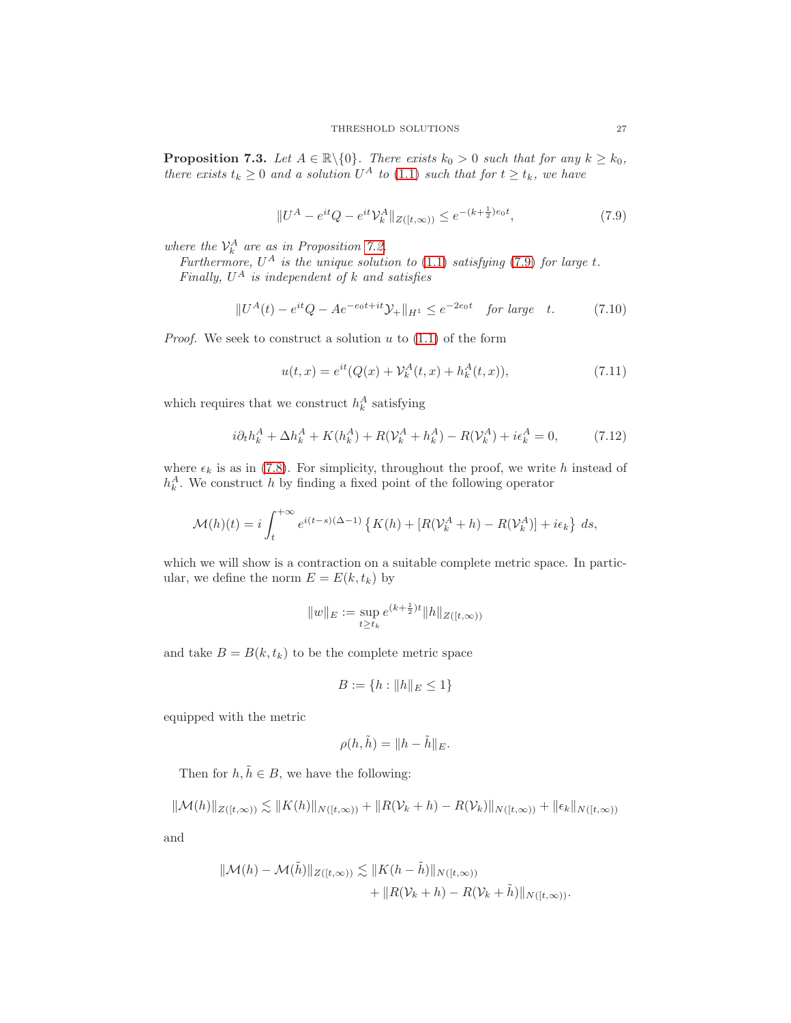<span id="page-26-4"></span>**Proposition 7.3.** Let  $A \in \mathbb{R} \setminus \{0\}$ . There exists  $k_0 > 0$  such that for any  $k \geq k_0$ , there exists  $t_k \geq 0$  and a solution  $U^A$  to [\(1.1\)](#page-0-0) such that for  $t \geq t_k$ , we have

<span id="page-26-0"></span>
$$
||U^A - e^{it}Q - e^{it}\mathcal{V}_k^A||_{Z([t,\infty))} \le e^{-(k + \frac{1}{2})e_0 t},\tag{7.9}
$$

where the  $\mathcal{V}_k^A$  are as in Proposition [7.2.](#page-24-2)

Furthermore,  $U^A$  is the unique solution to [\(1.1\)](#page-0-0) satisfying [\(7.9\)](#page-26-0) for large t. Finally,  $U^A$  is independent of k and satisfies

$$
||U^{A}(t) - e^{it}Q - Ae^{-e_0t + it}\mathcal{Y}_+||_{H^1} \le e^{-2e_0t} \quad \text{for large} \quad t. \tag{7.10}
$$

*Proof.* We seek to construct a solution  $u$  to  $(1.1)$  of the form

<span id="page-26-3"></span><span id="page-26-2"></span><span id="page-26-1"></span>
$$
u(t,x) = e^{it}(Q(x) + V_k^A(t,x) + h_k^A(t,x)),
$$
\n(7.11)

which requires that we construct  $h_k^A$  satisfying

$$
i\partial_t h_k^A + \Delta h_k^A + K(h_k^A) + R(\mathcal{V}_k^A + h_k^A) - R(\mathcal{V}_k^A) + i\epsilon_k^A = 0,
$$
 (7.12)

where  $\epsilon_k$  is as in [\(7.8\)](#page-25-0). For simplicity, throughout the proof, we write h instead of  $h_k^A$ . We construct h by finding a fixed point of the following operator

$$
\mathcal{M}(h)(t) = i \int_{t}^{+\infty} e^{i(t-s)(\Delta - 1)} \left\{ K(h) + \left[ R(\mathcal{V}_k^A + h) - R(\mathcal{V}_k^A) \right] + i\epsilon_k \right\} ds,
$$

which we will show is a contraction on a suitable complete metric space. In particular, we define the norm  $E = E(k, t_k)$  by

$$
||w||_E := \sup_{t \ge t_k} e^{(k+\frac{1}{2})t} ||h||_{Z([t,\infty))}
$$

and take  $B = B(k, t_k)$  to be the complete metric space

$$
B := \{ h : \|h\|_E \le 1 \}
$$

equipped with the metric

$$
\rho(h,\tilde{h}) = ||h - \tilde{h}||_E.
$$

Then for  $h, \tilde{h} \in B$ , we have the following:

$$
\|\mathcal{M}(h)\|_{Z([t,\infty))} \lesssim \|K(h)\|_{N([t,\infty))} + \|R(\mathcal{V}_k + h) - R(\mathcal{V}_k)\|_{N([t,\infty))} + \|\epsilon_k\|_{N([t,\infty))}
$$

and

$$
\|\mathcal{M}(h) - \mathcal{M}(\tilde{h})\|_{Z([t,\infty))} \lesssim \|K(h - \tilde{h})\|_{N([t,\infty))}
$$
  
+ 
$$
\|R(\mathcal{V}_k + h) - R(\mathcal{V}_k + \tilde{h})\|_{N([t,\infty))}.
$$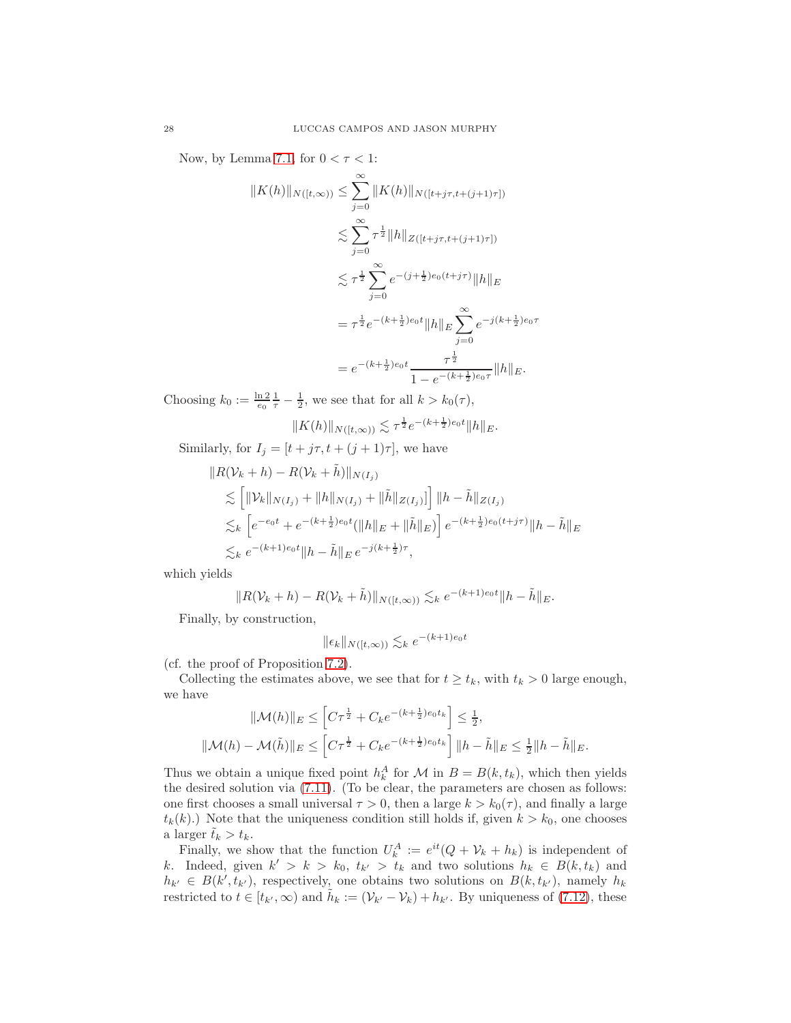Now, by Lemma [7.1,](#page-23-1) for  $0 < \tau < 1$ :

$$
||K(h)||_{N([t,\infty))} \leq \sum_{j=0}^{\infty} ||K(h)||_{N([t+j\tau,t+(j+1)\tau])}
$$
  

$$
\lesssim \sum_{j=0}^{\infty} \tau^{\frac{1}{2}} ||h||_{Z([t+j\tau,t+(j+1)\tau])}
$$
  

$$
\lesssim \tau^{\frac{1}{2}} \sum_{j=0}^{\infty} e^{-(j+\frac{1}{2})e_0(t+j\tau)} ||h||_E
$$
  

$$
= \tau^{\frac{1}{2}} e^{-(k+\frac{1}{2})e_0t} ||h||_E \sum_{j=0}^{\infty} e^{-j(k+\frac{1}{2})e_0\tau}
$$
  

$$
= e^{-(k+\frac{1}{2})e_0t} \frac{\tau^{\frac{1}{2}}}{1 - e^{-(k+\frac{1}{2})e_0\tau}} ||h||_E.
$$

Choosing  $k_0 := \frac{\ln 2}{e_0} \frac{1}{\tau} - \frac{1}{2}$ , we see that for all  $k > k_0(\tau)$ ,

$$
||K(h)||_{N([t,\infty))} \lesssim \tau^{\frac{1}{2}} e^{-(k+\frac{1}{2})e_0 t} ||h||_E.
$$

Similarly, for  $I_j = [t + j\tau, t + (j + 1)\tau]$ , we have

$$
||R(\mathcal{V}_k + h) - R(\mathcal{V}_k + \tilde{h})||_{N(I_j)}
$$
  
\n
$$
\lesssim [||\mathcal{V}_k||_{N(I_j)} + ||h||_{N(I_j)} + ||\tilde{h}||_{Z(I_j)}] ||h - \tilde{h}||_{Z(I_j)}
$$
  
\n
$$
\lesssim_k [e^{-\epsilon_0 t} + e^{-(k + \frac{1}{2})\epsilon_0 t} (||h||_E + ||\tilde{h}||_E)] e^{-(k + \frac{1}{2})\epsilon_0 (t + j\tau)} ||h - \tilde{h}||_E
$$
  
\n
$$
\lesssim_k e^{-(k+1)\epsilon_0 t} ||h - \tilde{h}||_E e^{-j(k + \frac{1}{2})\tau},
$$

which yields

$$
||R(\mathcal{V}_k+h)-R(\mathcal{V}_k+\tilde{h})||_{N([t,\infty))} \lesssim_k e^{-(k+1)e_0t}||h-\tilde{h}||_E.
$$

Finally, by construction,

$$
\|\epsilon_k\|_{N([t,\infty))} \lesssim_k e^{-(k+1)e_0 t}
$$

(cf. the proof of Proposition [7.2\)](#page-24-2).

Collecting the estimates above, we see that for  $t \geq t_k$ , with  $t_k > 0$  large enough, we have

$$
\|\mathcal{M}(h)\|_{E} \leq \left[C\tau^{\frac{1}{2}} + C_{k}e^{-(k+\frac{1}{2})e_{0}t_{k}}\right] \leq \frac{1}{2},
$$
  

$$
\|\mathcal{M}(h) - \mathcal{M}(\tilde{h})\|_{E} \leq \left[C\tau^{\frac{1}{2}} + C_{k}e^{-(k+\frac{1}{2})e_{0}t_{k}}\right] \|h - \tilde{h}\|_{E} \leq \frac{1}{2} \|h - \tilde{h}\|_{E}.
$$

Thus we obtain a unique fixed point  $h_k^A$  for  $\mathcal M$  in  $B = B(k, t_k)$ , which then yields the desired solution via [\(7.11\)](#page-26-1). (To be clear, the parameters are chosen as follows: one first chooses a small universal  $\tau > 0$ , then a large  $k > k_0(\tau)$ , and finally a large  $t_k(k)$ .) Note that the uniqueness condition still holds if, given  $k > k_0$ , one chooses a larger  $\tilde{t}_k > t_k$ .

Finally, we show that the function  $U_k^A := e^{it}(Q + V_k + h_k)$  is independent of k. Indeed, given  $k' > k > k_0$ ,  $t_{k'} > t_k$  and two solutions  $h_k \in B(k, t_k)$  and  $h_{k'} \in B(k', t_{k'})$ , respectively, one obtains two solutions on  $B(k, t_{k'})$ , namely  $h_k$ restricted to  $t \in [t_{k'}, \infty)$  and  $\tilde{h}_k := (\mathcal{V}_{k'} - \mathcal{V}_k) + h_{k'}$ . By uniqueness of [\(7.12\)](#page-26-2), these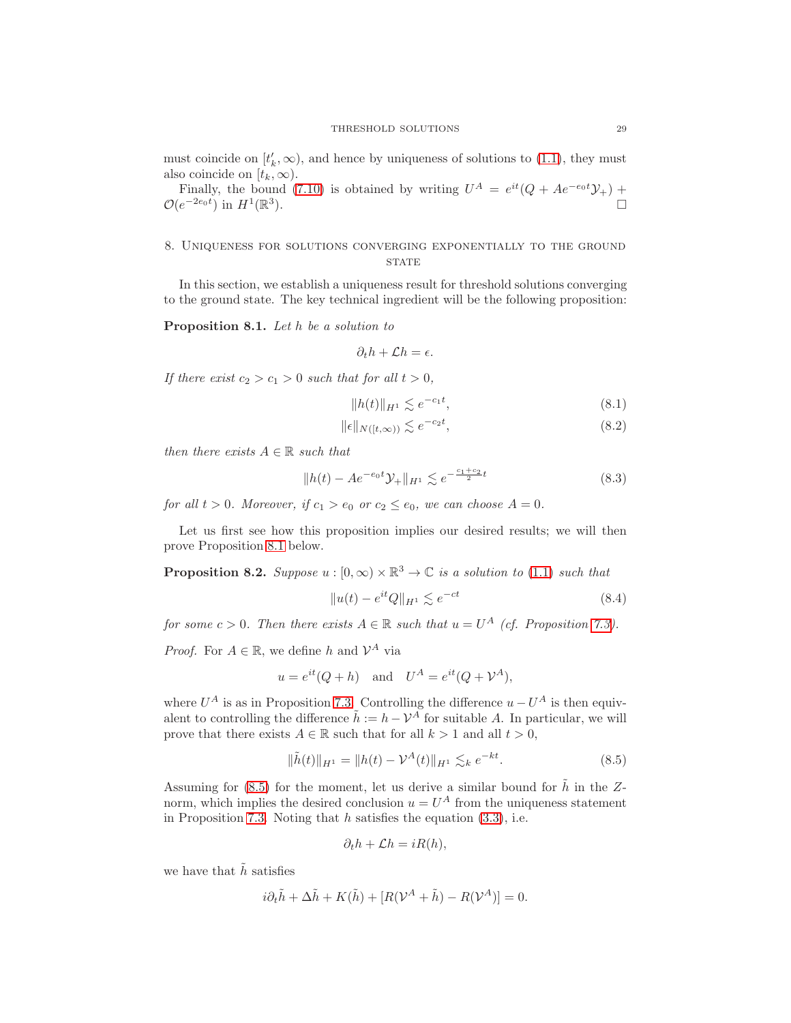must coincide on  $[t'_k, \infty)$ , and hence by uniqueness of solutions to [\(1.1\)](#page-0-0), they must also coincide on  $[t_k, \infty)$ .

Finally, the bound [\(7.10\)](#page-26-3) is obtained by writing  $U^A = e^{it}(Q + Ae^{-e_0t}\mathcal{Y}_+) +$  $\mathcal{O}(e^{-2e_0t})$  in  $H^1(\mathbb{R}^3)$ ).  $\qquad \qquad \Box$ 

## <span id="page-28-0"></span>8. Uniqueness for solutions converging exponentially to the ground **STATE**

In this section, we establish a uniqueness result for threshold solutions converging to the ground state. The key technical ingredient will be the following proposition:

<span id="page-28-1"></span>Proposition 8.1. Let h be a solution to

$$
\partial_t h + \mathcal{L}h = \epsilon.
$$

If there exist  $c_2 > c_1 > 0$  such that for all  $t > 0$ ,

<span id="page-28-6"></span><span id="page-28-5"></span><span id="page-28-4"></span>
$$
||h(t)||_{H^1} \lesssim e^{-c_1 t},\tag{8.1}
$$

$$
\|\epsilon\|_{N([t,\infty))} \lesssim e^{-c_2 t},\tag{8.2}
$$

then there exists  $A \in \mathbb{R}$  such that

$$
||h(t) - Ae^{-e_0t}\mathcal{Y}_+||_{H^1} \lesssim e^{-\frac{c_1+c_2}{2}t}
$$
\n(8.3)

for all  $t > 0$ . Moreover, if  $c_1 > e_0$  or  $c_2 \le e_0$ , we can choose  $A = 0$ .

Let us first see how this proposition implies our desired results; we will then prove Proposition [8.1](#page-28-1) below.

**Proposition 8.2.** Suppose  $u : [0, \infty) \times \mathbb{R}^3 \to \mathbb{C}$  is a solution to [\(1.1\)](#page-0-0) such that

<span id="page-28-3"></span>
$$
||u(t) - e^{it}Q||_{H^1} \lesssim e^{-ct}
$$
\n(8.4)

for some  $c > 0$ . Then there exists  $A \in \mathbb{R}$  such that  $u = U^A$  (cf. Proposition [7.3\)](#page-26-4).

*Proof.* For  $A \in \mathbb{R}$ , we define h and  $\mathcal{V}^A$  via

$$
u = e^{it}(Q + h)
$$
 and  $U^A = e^{it}(Q + V^A)$ ,

where  $U^A$  is as in Proposition [7.3.](#page-26-4) Controlling the difference  $u - U^A$  is then equivalent to controlling the difference  $\tilde{h} := h - V^A$  for suitable A. In particular, we will prove that there exists  $A \in \mathbb{R}$  such that for all  $k > 1$  and all  $t > 0$ ,

$$
\|\tilde{h}(t)\|_{H^1} = \|h(t) - \mathcal{V}^A(t)\|_{H^1} \lesssim_k e^{-kt}.\tag{8.5}
$$

Assuming for [\(8.5\)](#page-28-2) for the moment, let us derive a similar bound for  $\tilde{h}$  in the Znorm, which implies the desired conclusion  $u = U^A$  from the uniqueness statement in Proposition [7.3.](#page-26-4) Noting that  $h$  satisfies the equation  $(3.3)$ , i.e.

<span id="page-28-2"></span>
$$
\partial_t h + \mathcal{L}h = iR(h),
$$

we have that  $\hat{h}$  satisfies

$$
i\partial_t \tilde{h} + \Delta \tilde{h} + K(\tilde{h}) + [R(\mathcal{V}^A + \tilde{h}) - R(\mathcal{V}^A)] = 0.
$$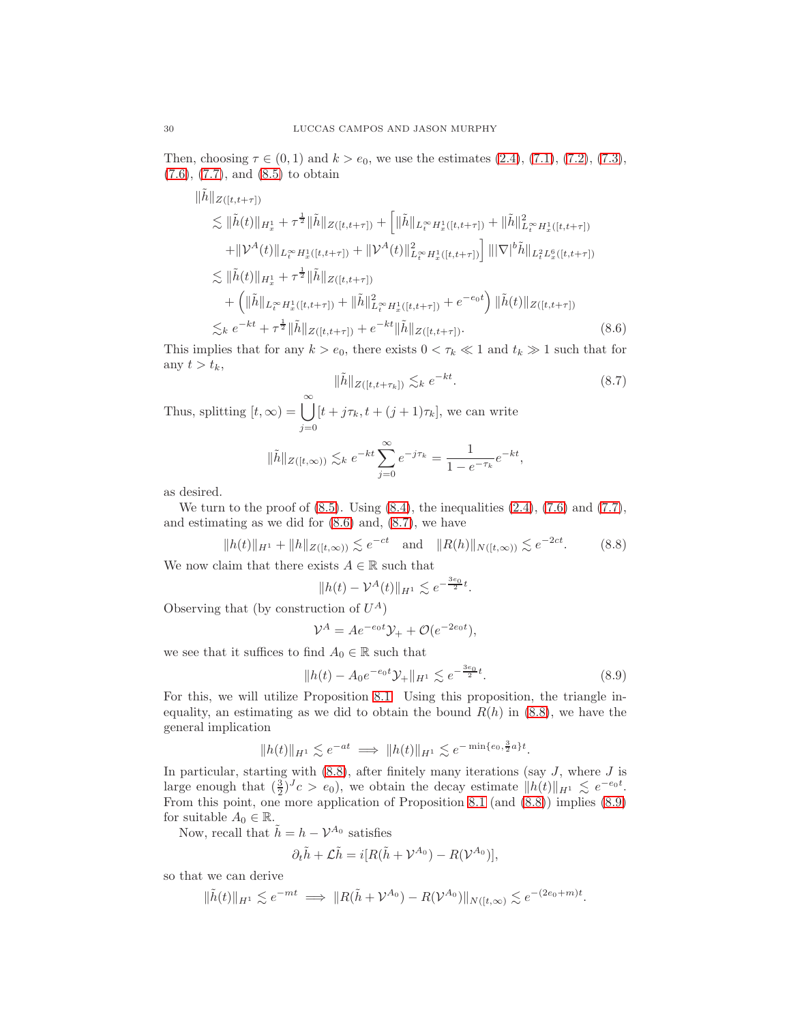Then, choosing  $\tau \in (0,1)$  and  $k > e_0$ , we use the estimates  $(2.4)$ ,  $(7.1)$ ,  $(7.2)$ ,  $(7.3)$ , [\(7.6\)](#page-24-3), [\(7.7\)](#page-24-4), and [\(8.5\)](#page-28-2) to obtain

$$
\|\tilde{h}\|_{Z([t,t+\tau])} \n\lesssim \|\tilde{h}(t)\|_{H_x^1} + \tau^{\frac{1}{2}} \|\tilde{h}\|_{Z([t,t+\tau])} + \left[ \|\tilde{h}\|_{L_t^\infty H_x^1([t,t+\tau])} + \|\tilde{h}\|_{L_t^\infty H_x^1([t,t+\tau])}^2 \right. \n+ \|\mathcal{V}^A(t)\|_{L_t^\infty H_x^1([t,t+\tau])} + \|\mathcal{V}^A(t)\|_{L_t^\infty H_x^1([t,t+\tau])}^2 \|\|\nabla|^b \tilde{h}\|_{L_t^2 L_x^6([t,t+\tau])} \n\lesssim \|\tilde{h}(t)\|_{H_x^1} + \tau^{\frac{1}{2}} \|\tilde{h}\|_{Z([t,t+\tau])} \n+ \left( \|\tilde{h}\|_{L_t^\infty H_x^1([t,t+\tau])} + \|\tilde{h}\|_{L_t^\infty H_x^1([t,t+\tau])}^2 + e^{-e_0 t} \right) \|\tilde{h}(t)\|_{Z([t,t+\tau])} \n\lesssim_k e^{-kt} + \tau^{\frac{1}{2}} \|\tilde{h}\|_{Z([t,t+\tau])} + e^{-kt} \|\tilde{h}\|_{Z([t,t+\tau])}. \tag{8.6}
$$

This implies that for any  $k > e_0$ , there exists  $0 < \tau_k \ll 1$  and  $t_k \gg 1$  such that for any  $t > t_k$ ,

<span id="page-29-1"></span><span id="page-29-0"></span>
$$
\|\tilde{h}\|_{Z([t,t+\tau_k])} \lesssim_k e^{-kt}.\tag{8.7}
$$

Thus, splitting  $[t, \infty) = \bigcup_{k=1}^{\infty}$  $j=0$  $[t + j\tau_k, t + (j + 1)\tau_k]$ , we can write

$$
\|\tilde{h}\|_{Z([t,\infty))} \lesssim_k e^{-kt} \sum_{j=0}^{\infty} e^{-j\tau_k} = \frac{1}{1 - e^{-\tau_k}} e^{-kt},
$$

as desired.

We turn to the proof of  $(8.5)$ . Using  $(8.4)$ , the inequalities  $(2.4)$ ,  $(7.6)$  and  $(7.7)$ , and estimating as we did for [\(8.6\)](#page-29-0) and, [\(8.7\)](#page-29-1), we have

$$
||h(t)||_{H^1} + ||h||_{Z([t,\infty))} \lesssim e^{-ct} \quad \text{and} \quad ||R(h)||_{N([t,\infty))} \lesssim e^{-2ct}.
$$
 (8.8)

We now claim that there exists  $A \in \mathbb{R}$  such that

<span id="page-29-2"></span>
$$
||h(t) - \mathcal{V}^A(t)||_{H^1} \lesssim e^{-\frac{3e_0}{2}t}.
$$

Observing that (by construction of  $U^A$ )

<span id="page-29-3"></span>
$$
\mathcal{V}^A = Ae^{-e_0t}\mathcal{Y}_+ + \mathcal{O}(e^{-2e_0t}),
$$

we see that it suffices to find  $A_0 \in \mathbb{R}$  such that

$$
||h(t) - A_0 e^{-e_0 t} \mathcal{Y}_+||_{H^1} \lesssim e^{-\frac{3e_0}{2}t}.
$$
\n(8.9)

For this, we will utilize Proposition [8.1.](#page-28-1) Using this proposition, the triangle inequality, an estimating as we did to obtain the bound  $R(h)$  in [\(8.8\)](#page-29-2), we have the general implication

$$
||h(t)||_{H^1} \lesssim e^{-at} \implies ||h(t)||_{H^1} \lesssim e^{-\min\{e_0, \frac{3}{2}a\}t}.
$$

In particular, starting with  $(8.8)$ , after finitely many iterations (say  $J$ , where  $J$  is large enough that  $(\frac{3}{2})^J c > e_0$ , we obtain the decay estimate  $||h(t)||_{H^1} \leq e^{-e_0 t}$ . From this point, one more application of Proposition [8.1](#page-28-1) (and [\(8.8\)](#page-29-2)) implies [\(8.9\)](#page-29-3) for suitable  $A_0 \in \mathbb{R}$ .

Now, recall that  $\tilde{h} = h - \mathcal{V}^{A_0}$  satisfies

$$
\partial_t \tilde{h} + \mathcal{L}\tilde{h} = i[R(\tilde{h} + \mathcal{V}^{A_0}) - R(\mathcal{V}^{A_0})],
$$

so that we can derive

$$
\|\tilde{h}(t)\|_{H^1} \lesssim e^{-mt} \implies \|R(\tilde{h} + \mathcal{V}^{A_0}) - R(\mathcal{V}^{A_0})\|_{N([t,\infty)} \lesssim e^{-(2e_0+m)t}.
$$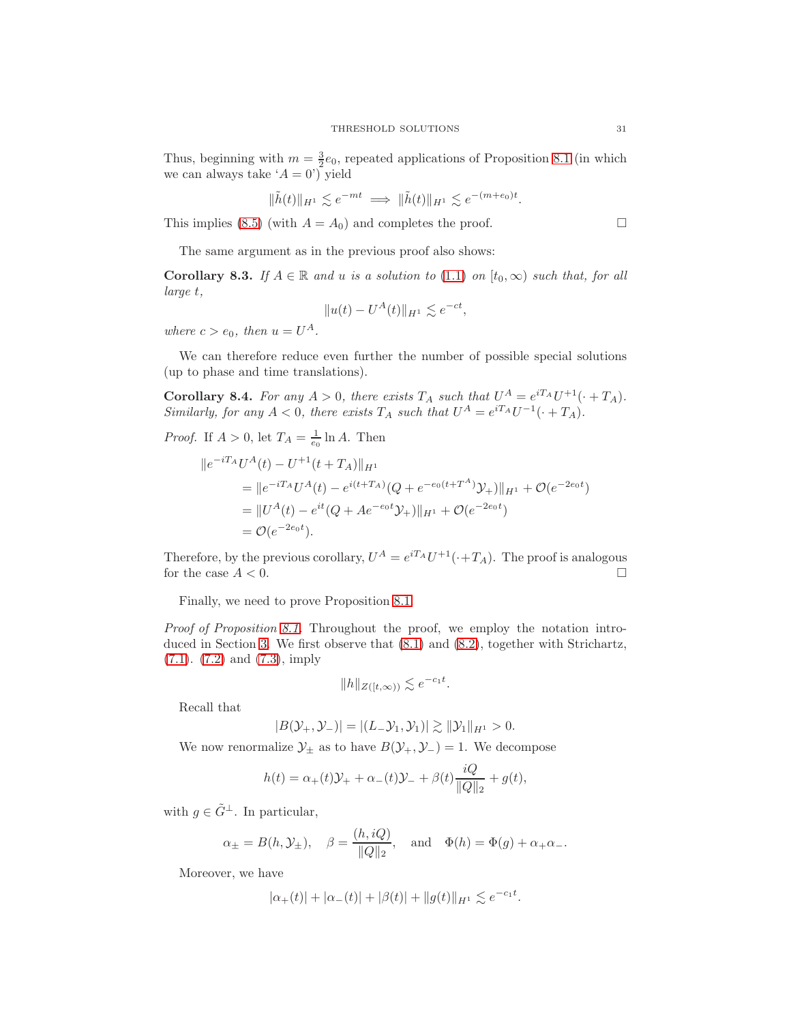Thus, beginning with  $m = \frac{3}{2}e_0$ , repeated applications of Proposition [8.1](#page-28-1) (in which we can always take  $A = 0$ <sup>'</sup>) yield

$$
\|\tilde{h}(t)\|_{H^1} \lesssim e^{-mt} \implies \|\tilde{h}(t)\|_{H^1} \lesssim e^{-(m+e_0)t}.
$$

This implies [\(8.5\)](#page-28-2) (with  $A = A_0$ ) and completes the proof.

The same argument as in the previous proof also shows:

<span id="page-30-0"></span>Corollary 8.3. If  $A \in \mathbb{R}$  and u is a solution to [\(1.1\)](#page-0-0) on  $[t_0, \infty)$  such that, for all large t,

$$
||u(t) - U^A(t)||_{H^1} \lesssim e^{-ct},
$$

where  $c > e_0$ , then  $u = U^A$ .

We can therefore reduce even further the number of possible special solutions (up to phase and time translations).

<span id="page-30-1"></span>**Corollary 8.4.** For any  $A > 0$ , there exists  $T_A$  such that  $U^A = e^{i T_A} U^{+1} (\cdot + T_A)$ . Similarly, for any  $A < 0$ , there exists  $T_A$  such that  $U^A = e^{i T_A} U^{-1} (\cdot + T_A)$ .

*Proof.* If  $A > 0$ , let  $T_A = \frac{1}{e_0} \ln A$ . Then

$$
||e^{-iTA}U^{A}(t) - U^{+1}(t+T_{A})||_{H^{1}}
$$
  
= 
$$
||e^{-iTA}U^{A}(t) - e^{i(t+T_{A})}(Q + e^{-e_{0}(t+T^{A})}Y_{+})||_{H^{1}} + \mathcal{O}(e^{-2e_{0}t})
$$
  
= 
$$
||U^{A}(t) - e^{it}(Q + Ae^{-e_{0}t}Y_{+})||_{H^{1}} + \mathcal{O}(e^{-2e_{0}t})
$$
  
= 
$$
\mathcal{O}(e^{-2e_{0}t}).
$$

Therefore, by the previous corollary,  $U^A = e^{iT_A}U^{+1}(\cdot + T_A)$ . The proof is analogous for the case  $A < 0$ .

Finally, we need to prove Proposition [8.1.](#page-28-1)

Proof of Proposition [8.1.](#page-28-1) Throughout the proof, we employ the notation introduced in Section [3.](#page-6-0) We first observe that [\(8.1\)](#page-28-4) and [\(8.2\)](#page-28-5), together with Strichartz, [\(7.1\)](#page-23-2). [\(7.2\)](#page-23-3) and [\(7.3\)](#page-23-4), imply

$$
||h||_{Z([t,\infty))} \lesssim e^{-c_1 t}.
$$

Recall that

$$
|B(\mathcal{Y}_+,\mathcal{Y}_-)| = |(L_-\mathcal{Y}_1,\mathcal{Y}_1)| \gtrsim ||\mathcal{Y}_1||_{H^1} > 0.
$$

We now renormalize  $\mathcal{Y}_\pm$  as to have  $B(\mathcal{Y}_+,\mathcal{Y}_-) = 1$ . We decompose

$$
h(t) = \alpha_{+}(t)\mathcal{Y}_{+} + \alpha_{-}(t)\mathcal{Y}_{-} + \beta(t)\frac{iQ}{\|Q\|_2} + g(t),
$$

with  $q \in \tilde{G}^{\perp}$ . In particular,

$$
\alpha_{\pm}=B(h,\mathcal{Y}_{\pm}),\quad \beta=\frac{(h,iQ)}{\|Q\|_2},\quad \text{and}\quad \Phi(h)=\Phi(g)+\alpha_{+}\alpha_{-}.
$$

Moreover, we have

$$
|\alpha_+(t)| + |\alpha_-(t)| + |\beta(t)| + \|g(t)\|_{H^1} \lesssim e^{-c_1 t}.
$$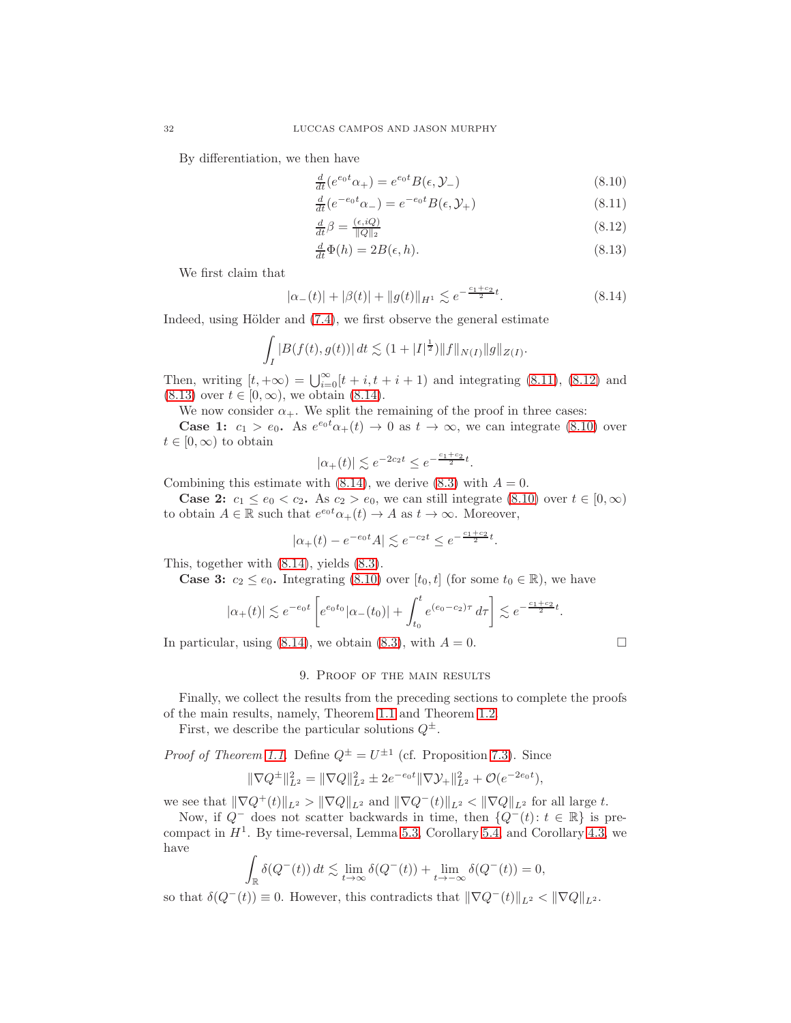By differentiation, we then have

<span id="page-31-5"></span><span id="page-31-1"></span>
$$
\frac{d}{dt}(e^{e_0t}\alpha_+) = e^{e_0t}B(\epsilon, \mathcal{Y}_-)
$$
\n(8.10)

$$
\frac{d}{dt}(e^{-e_0t}\alpha_-) = e^{-e_0t}B(\epsilon,\mathcal{Y}_+)\tag{8.11}
$$

<span id="page-31-3"></span><span id="page-31-2"></span>
$$
\frac{d}{dt}\beta = \frac{(\epsilon, iQ)}{\|Q\|_2} \tag{8.12}
$$

<span id="page-31-4"></span>
$$
\frac{d}{dt}\Phi(h) = 2B(\epsilon, h). \tag{8.13}
$$

We first claim that

$$
|\alpha_{-}(t)| + |\beta(t)| + ||g(t)||_{H^1} \lesssim e^{-\frac{c_1 + c_2}{2}t}.
$$
\n(8.14)

Indeed, using Hölder and  $(7.4)$ , we first observe the general estimate

$$
\int_I |B(f(t),g(t))| dt \lesssim (1+|I|^{\frac{1}{2}}) ||f||_{N(I)} ||g||_{Z(I)}.
$$

Then, writing  $[t, +\infty) = \bigcup_{i=0}^{\infty} [t + i, t + i + 1]$  and integrating [\(8.11\)](#page-31-1), [\(8.12\)](#page-31-2) and  $(8.13)$  over  $t \in [0, \infty)$ , we obtain  $(8.14)$ .

We now consider  $\alpha_+$ . We split the remaining of the proof in three cases:

**Case 1:**  $c_1 > e_0$ . As  $e^{e_0 t} \alpha_+(t) \to 0$  as  $t \to \infty$ , we can integrate [\(8.10\)](#page-31-5) over  $t \in [0, \infty)$  to obtain

$$
|\alpha_+(t)| \lesssim e^{-2c_2 t} \le e^{-\frac{c_1+c_2}{2}t}.
$$

Combining this estimate with  $(8.14)$ , we derive  $(8.3)$  with  $A = 0$ .

**Case 2:**  $c_1 \leq e_0 < c_2$ . As  $c_2 > e_0$ , we can still integrate  $(8.10)$  over  $t \in [0, \infty)$ to obtain  $A \in \mathbb{R}$  such that  $e^{e_0 t} \alpha_+(t) \to A$  as  $t \to \infty$ . Moreover,

$$
|\alpha_+(t) - e^{-e_0 t} A| \lesssim e^{-c_2 t} \le e^{-\frac{c_1 + c_2}{2} t}.
$$

This, together with [\(8.14\)](#page-31-4), yields [\(8.3\)](#page-28-6).

**Case 3:**  $c_2 \leq e_0$ . Integrating [\(8.10\)](#page-31-5) over  $[t_0, t]$  (for some  $t_0 \in \mathbb{R}$ ), we have

$$
|\alpha_+(t)| \lesssim e^{-e_0t} \left[ e^{e_0t_0} |\alpha_-(t_0)| + \int_{t_0}^t e^{(e_0 - c_2)\tau} d\tau \right] \lesssim e^{-\frac{c_1 + c_2}{2}t}.
$$

<span id="page-31-0"></span>In particular, using [\(8.14\)](#page-31-4), we obtain [\(8.3\)](#page-28-6), with  $A = 0$ .

# 9. Proof of the main results

Finally, we collect the results from the preceding sections to complete the proofs of the main results, namely, Theorem [1.1](#page-2-0) and Theorem [1.2.](#page-2-1)

First, we describe the particular solutions  $Q^{\pm}$ .

*Proof of Theorem [1.1.](#page-2-0)* Define  $Q^{\pm} = U^{\pm 1}$  (cf. Proposition [7.3\)](#page-26-4). Since

$$
\|\nabla Q^{\pm}\|_{L^2}^2 = \|\nabla Q\|_{L^2}^2 \pm 2e^{-e_0t} \|\nabla \mathcal{Y}_+\|_{L^2}^2 + \mathcal{O}(e^{-2e_0t}),
$$

we see that  $\|\nabla Q^+(t)\|_{L^2} > \|\nabla Q\|_{L^2}$  and  $\|\nabla Q^-(t)\|_{L^2} < \|\nabla Q\|_{L^2}$  for all large t.

Now, if  $Q^-$  does not scatter backwards in time, then  $\{Q^-(t): t \in \mathbb{R}\}\$ is precompact in  $H<sup>1</sup>$ . By time-reversal, Lemma [5.3,](#page-17-2) Corollary [5.4,](#page-19-3) and Corollary [4.3,](#page-14-1) we have

$$
\int_{\mathbb{R}} \delta(Q^-(t)) dt \lesssim \lim_{t \to \infty} \delta(Q^-(t)) + \lim_{t \to -\infty} \delta(Q^-(t)) = 0,
$$

so that  $\delta(Q^-(t)) \equiv 0$ . However, this contradicts that  $\|\nabla Q^-(t)\|_{L^2} < \|\nabla Q\|_{L^2}$ .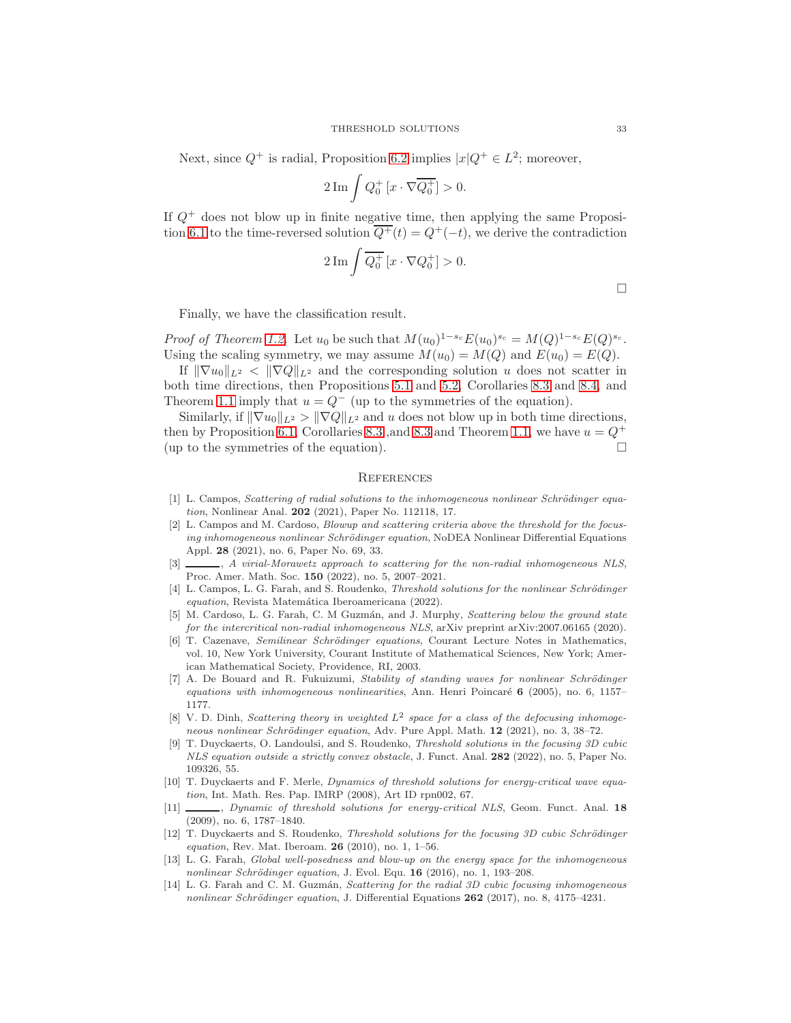Next, since  $Q^+$  is radial, Proposition [6.2](#page-22-3) implies  $|x|Q^+ \in L^2$ ; moreover,

$$
2\operatorname{Im}\int Q_0^+[x\cdot\nabla\overline{Q_0^+}]>0.
$$

If  $Q^+$  does not blow up in finite negative time, then applying the same Proposi-tion [6.1](#page-20-2) to the time-reversed solution  $\overline{Q^+}(t) = Q^+(-t)$ , we derive the contradiction

$$
2\operatorname{Im}\int\overline{Q_0^+}\left[x\cdot\nabla Q_0^+\right]>0.
$$

Finally, we have the classification result.

Proof of Theorem [1.2.](#page-2-1) Let  $u_0$  be such that  $M(u_0)^{1-s_c} E(u_0)^{s_c} = M(Q)^{1-s_c} E(Q)^{s_c}$ . Using the scaling symmetry, we may assume  $M(u_0) = M(Q)$  and  $E(u_0) = E(Q)$ .

If  $\|\nabla u_0\|_{L^2} < \|\nabla Q\|_{L^2}$  and the corresponding solution u does not scatter in both time directions, then Propositions [5.1](#page-15-3) and [5.2,](#page-17-0) Corollaries [8.3](#page-30-0) and [8.4,](#page-30-1) and Theorem [1.1](#page-2-0) imply that  $u = Q^-$  (up to the symmetries of the equation).

Similarly, if  $\|\nabla u_0\|_{L^2} > \|\nabla Q\|_{L^2}$  and u does not blow up in both time directions, then by Proposition [6.1,](#page-20-2) Corollaries [8.3](#page-30-0) ,and 8.3 and Theorem [1.1,](#page-2-0) we have  $u = Q^+$ (up to the symmetries of the equation).  $\Box$ 

### **REFERENCES**

- <span id="page-32-0"></span>[1] L. Campos, Scattering of radial solutions to the inhomogeneous nonlinear Schrödinger equation, Nonlinear Anal. **202** (2021), Paper No. 112118, 17.
- <span id="page-32-4"></span>[2] L. Campos and M. Cardoso, Blowup and scattering criteria above the threshold for the focusing inhomogeneous nonlinear Schrödinger equation, NoDEA Nonlinear Differential Equations Appl. 28 (2021), no. 6, Paper No. 69, 33.
- <span id="page-32-2"></span>[3]  $\_\_\_\_\$ , A virial-Morawetz approach to scattering for the non-radial inhomogeneous NLS, Proc. Amer. Math. Soc. 150 (2022), no. 5, 2007–2021.
- <span id="page-32-8"></span>[4] L. Campos, L. G. Farah, and S. Roudenko, *Threshold solutions for the nonlinear Schrödinger* equation, Revista Matemática Iberoamericana (2022).
- <span id="page-32-3"></span>[5] M. Cardoso, L. G. Farah, C. M Guzmán, and J. Murphy, *Scattering below the ground state* for the intercritical non-radial inhomogeneous NLS, arXiv preprint arXiv:2007.06165 (2020).
- <span id="page-32-11"></span>[6] T. Cazenave, Semilinear Schrödinger equations, Courant Lecture Notes in Mathematics, vol. 10, New York University, Courant Institute of Mathematical Sciences, New York; American Mathematical Society, Providence, RI, 2003.
- <span id="page-32-13"></span>[7] A. De Bouard and R. Fukuizumi, Stability of standing waves for nonlinear Schrödinger equations with inhomogeneous nonlinearities, Ann. Henri Poincaré  $6$  (2005), no. 6, 1157– 1177.
- <span id="page-32-12"></span>[8] V. D. Dinh, Scattering theory in weighted  $L^2$  space for a class of the defocusing inhomogeneous nonlinear Schrödinger equation, Adv. Pure Appl. Math.  $12$  (2021), no. 3, 38–72.
- <span id="page-32-9"></span>[9] T. Duyckaerts, O. Landoulsi, and S. Roudenko, Threshold solutions in the focusing 3D cubic NLS equation outside a strictly convex obstacle, J. Funct. Anal. 282 (2022), no. 5, Paper No. 109326, 55.
- <span id="page-32-6"></span>[10] T. Duyckaerts and F. Merle, Dynamics of threshold solutions for energy-critical wave equation, Int. Math. Res. Pap. IMRP (2008), Art ID rpn002, 67.
- <span id="page-32-5"></span>[11]  $\_\_\_\_\_\$  Dynamic of threshold solutions for energy-critical NLS, Geom. Funct. Anal. 18 (2009), no. 6, 1787–1840.
- <span id="page-32-7"></span>[12] T. Duyckaerts and S. Roudenko, Threshold solutions for the focusing 3D cubic Schrödinger equation, Rev. Mat. Iberoam.  $26$  (2010), no. 1, 1–56.
- <span id="page-32-10"></span>[13] L. G. Farah, Global well-posedness and blow-up on the energy space for the inhomogeneous nonlinear Schrödinger equation, J. Evol. Equ. 16 (2016), no. 1, 193-208.
- <span id="page-32-1"></span>[14] L. G. Farah and C. M. Guzmán, Scattering for the radial 3D cubic focusing inhomogeneous nonlinear Schrödinger equation, J. Differential Equations  $262$  (2017), no. 8, 4175–4231.